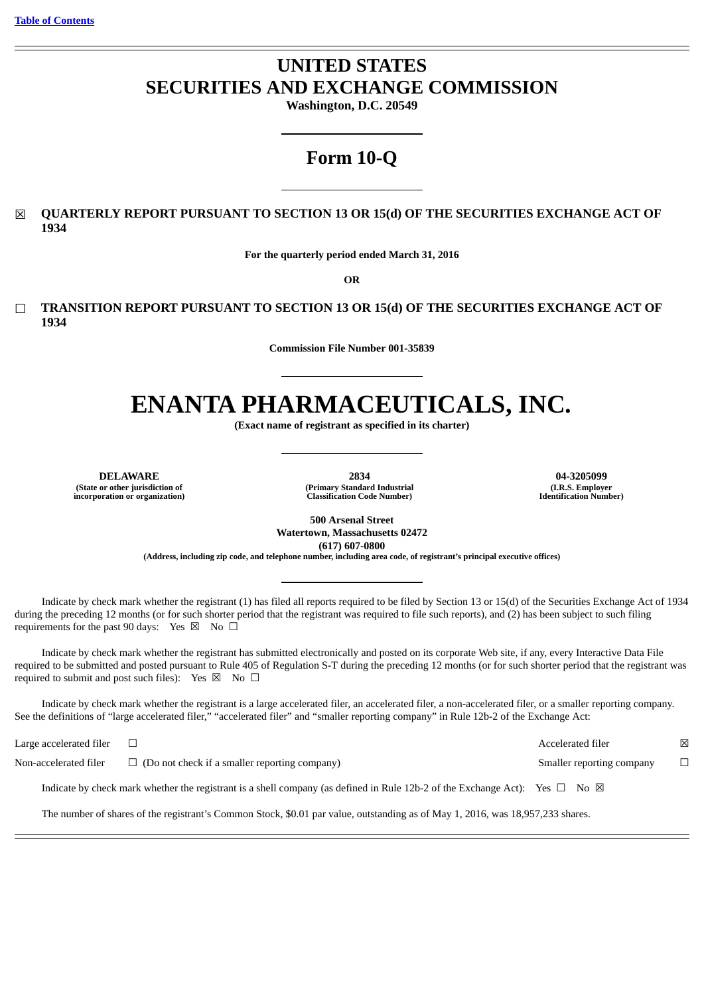# **UNITED STATES SECURITIES AND EXCHANGE COMMISSION**

**Washington, D.C. 20549**

## **Form 10-Q**

☒ **QUARTERLY REPORT PURSUANT TO SECTION 13 OR 15(d) OF THE SECURITIES EXCHANGE ACT OF 1934**

**For the quarterly period ended March 31, 2016**

**OR**

☐ **TRANSITION REPORT PURSUANT TO SECTION 13 OR 15(d) OF THE SECURITIES EXCHANGE ACT OF 1934**

**Commission File Number 001-35839**

# **ENANTA PHARMACEUTICALS, INC.**

**(Exact name of registrant as specified in its charter)**

**(State or other jurisdiction of incorporation or organization)**

**DELAWARE 2834 04-3205099 (Primary Standard Industrial Classification Code Number)**

**(I.R.S. Employer Identification Number)**

**500 Arsenal Street Watertown, Massachusetts 02472 (617) 607-0800**

**(Address, including zip code, and telephone number, including area code, of registrant's principal executive offices)**

Indicate by check mark whether the registrant (1) has filed all reports required to be filed by Section 13 or 15(d) of the Securities Exchange Act of 1934 during the preceding 12 months (or for such shorter period that the registrant was required to file such reports), and (2) has been subject to such filing requirements for the past 90 days: Yes  $\boxtimes$  No  $\Box$ 

Indicate by check mark whether the registrant has submitted electronically and posted on its corporate Web site, if any, every Interactive Data File required to be submitted and posted pursuant to Rule 405 of Regulation S-T during the preceding 12 months (or for such shorter period that the registrant was required to submit and post such files): Yes  $\boxtimes$  No  $\Box$ 

Indicate by check mark whether the registrant is a large accelerated filer, an accelerated filer, a non-accelerated filer, or a smaller reporting company. See the definitions of "large accelerated filer," "accelerated filer" and "smaller reporting company" in Rule 12b-2 of the Exchange Act:

| Large accelerated filer |                                                                                                                                            | Accelerated filer         | ⊠ |
|-------------------------|--------------------------------------------------------------------------------------------------------------------------------------------|---------------------------|---|
| Non-accelerated filer   | $\Box$ (Do not check if a smaller reporting company)                                                                                       | Smaller reporting company |   |
|                         | Indicate by check mark whether the registrant is a shell company (as defined in Rule 12b-2 of the Exchange Act): Yes $\Box$ No $\boxtimes$ |                           |   |

The number of shares of the registrant's Common Stock, \$0.01 par value, outstanding as of May 1, 2016, was 18,957,233 shares.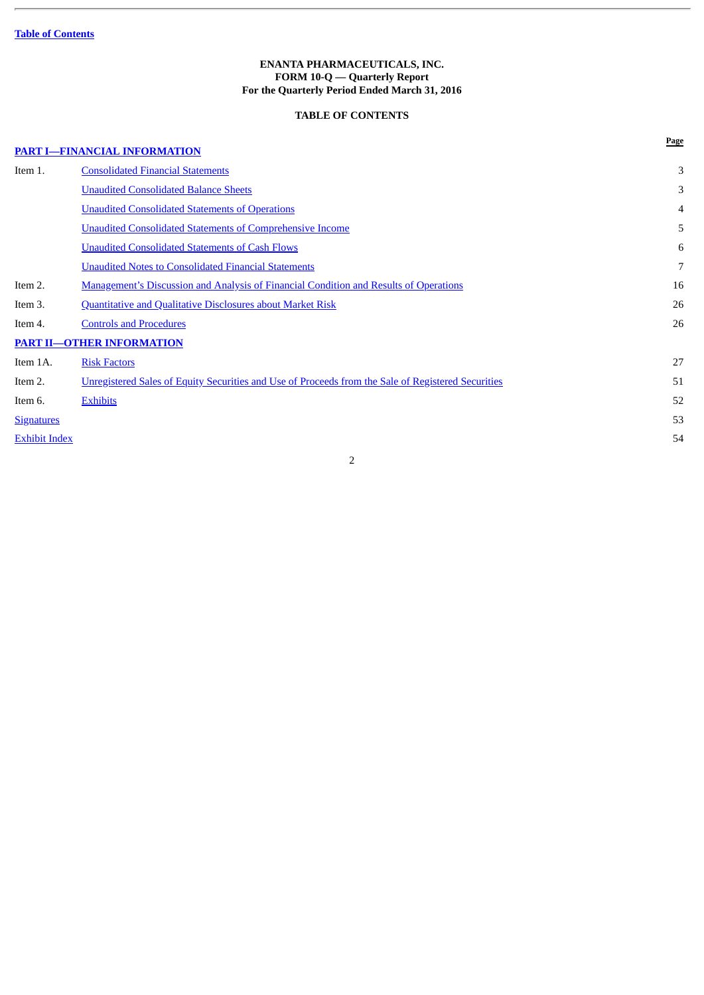## **ENANTA PHARMACEUTICALS, INC. FORM 10-Q — Quarterly Report For the Quarterly Period Ended March 31, 2016**

## **TABLE OF CONTENTS**

<span id="page-1-0"></span>

|                      | <b>PART I-FINANCIAL INFORMATION</b>                                                                       | Page |
|----------------------|-----------------------------------------------------------------------------------------------------------|------|
| Item 1.              | <b>Consolidated Financial Statements</b>                                                                  | 3    |
|                      | <b>Unaudited Consolidated Balance Sheets</b>                                                              | 3    |
|                      | <b>Unaudited Consolidated Statements of Operations</b>                                                    | 4    |
|                      | <b>Unaudited Consolidated Statements of Comprehensive Income</b>                                          | 5    |
|                      | <b>Unaudited Consolidated Statements of Cash Flows</b>                                                    | 6    |
|                      | <b>Unaudited Notes to Consolidated Financial Statements</b>                                               | 7    |
| Item 2.              | <b>Management's Discussion and Analysis of Financial Condition and Results of Operations</b>              | 16   |
| Item 3.              | <b>Quantitative and Qualitative Disclosures about Market Risk</b>                                         | 26   |
| Item 4.              | <b>Controls and Procedures</b>                                                                            | 26   |
|                      | <b>PART II-OTHER INFORMATION</b>                                                                          |      |
| Item 1A.             | <b>Risk Factors</b>                                                                                       | 27   |
| Item 2.              | <b>Unregistered Sales of Equity Securities and Use of Proceeds from the Sale of Registered Securities</b> | 51   |
| Item 6.              | <b>Exhibits</b>                                                                                           | 52   |
| <b>Signatures</b>    |                                                                                                           | 53   |
| <b>Exhibit Index</b> |                                                                                                           | 54   |
|                      | 2                                                                                                         |      |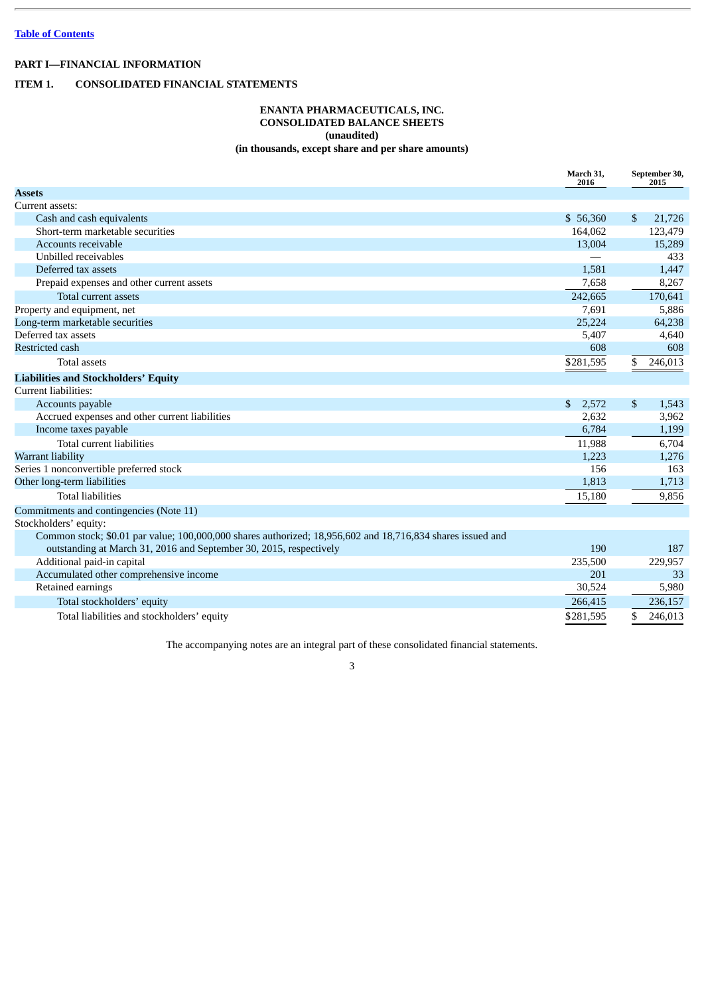## <span id="page-2-0"></span>**PART I—FINANCIAL INFORMATION**

## <span id="page-2-2"></span><span id="page-2-1"></span>**ITEM 1. CONSOLIDATED FINANCIAL STATEMENTS**

## **ENANTA PHARMACEUTICALS, INC. CONSOLIDATED BALANCE SHEETS (unaudited) (in thousands, except share and per share amounts)**

|                                                                                                            | March 31,<br>2016 | September 30,<br>2015 |
|------------------------------------------------------------------------------------------------------------|-------------------|-----------------------|
| <b>Assets</b>                                                                                              |                   |                       |
| Current assets:                                                                                            |                   |                       |
| Cash and cash equivalents                                                                                  | \$56,360          | \$<br>21,726          |
| Short-term marketable securities                                                                           | 164.062           | 123,479               |
| Accounts receivable                                                                                        | 13,004            | 15,289                |
| Unbilled receivables                                                                                       |                   | 433                   |
| Deferred tax assets                                                                                        | 1,581             | 1,447                 |
| Prepaid expenses and other current assets                                                                  | 7,658             | 8,267                 |
| Total current assets                                                                                       | 242,665           | 170,641               |
| Property and equipment, net                                                                                | 7,691             | 5,886                 |
| Long-term marketable securities                                                                            | 25.224            | 64,238                |
| Deferred tax assets                                                                                        | 5,407             | 4,640                 |
| <b>Restricted cash</b>                                                                                     | 608               | 608                   |
| Total assets                                                                                               | \$281,595         | \$<br>246,013         |
| <b>Liabilities and Stockholders' Equity</b>                                                                |                   |                       |
| Current liabilities:                                                                                       |                   |                       |
| Accounts payable                                                                                           | \$<br>2,572       | \$<br>1,543           |
| Accrued expenses and other current liabilities                                                             | 2,632             | 3,962                 |
| Income taxes payable                                                                                       | 6,784             | 1,199                 |
| Total current liabilities                                                                                  | 11,988            | 6,704                 |
| Warrant liability                                                                                          | 1,223             | 1,276                 |
| Series 1 nonconvertible preferred stock                                                                    | 156               | 163                   |
| Other long-term liabilities                                                                                | 1,813             | 1,713                 |
| <b>Total liabilities</b>                                                                                   | 15,180            | 9.856                 |
| Commitments and contingencies (Note 11)                                                                    |                   |                       |
| Stockholders' equity:                                                                                      |                   |                       |
| Common stock; \$0.01 par value; 100,000,000 shares authorized; 18,956,602 and 18,716,834 shares issued and |                   |                       |
| outstanding at March 31, 2016 and September 30, 2015, respectively                                         | 190               | 187                   |
| Additional paid-in capital                                                                                 | 235,500           | 229,957               |
| Accumulated other comprehensive income                                                                     | 201               | 33                    |
| Retained earnings                                                                                          | 30,524            | 5,980                 |
| Total stockholders' equity                                                                                 | 266,415           | 236,157               |
| Total liabilities and stockholders' equity                                                                 | \$281,595         | \$<br>246,013         |

The accompanying notes are an integral part of these consolidated financial statements.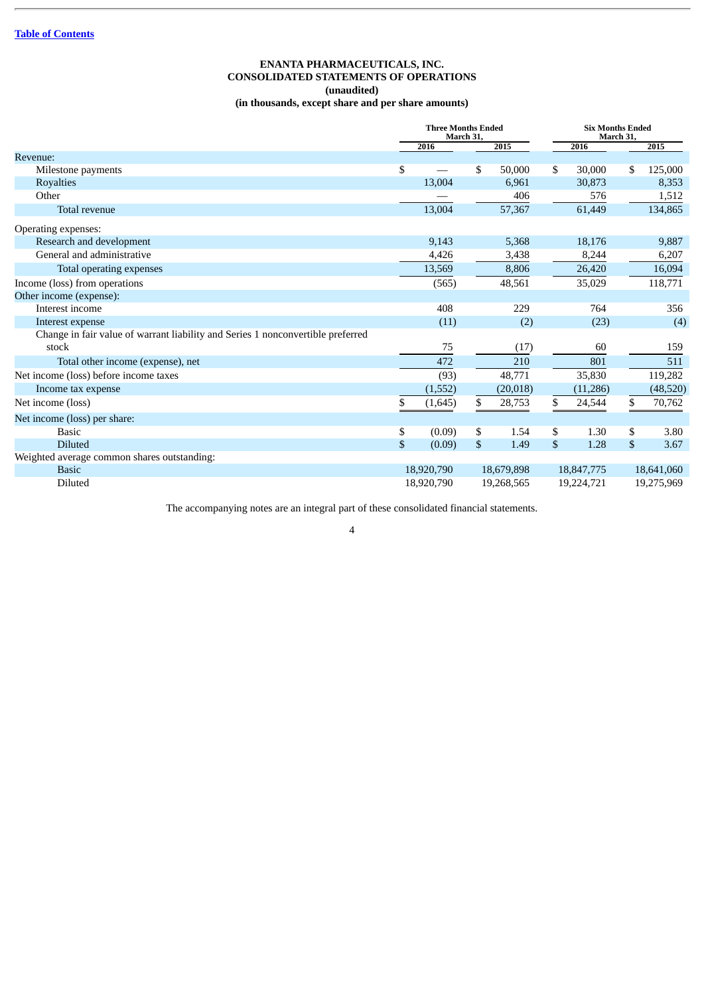## **ENANTA PHARMACEUTICALS, INC. CONSOLIDATED STATEMENTS OF OPERATIONS (unaudited) (in thousands, except share and per share amounts)**

<span id="page-3-0"></span>

|                                                                                 | <b>Three Months Ended</b><br>March 31, |            |            | <b>Six Months Ended</b><br>March 31, |            |            |            |            |
|---------------------------------------------------------------------------------|----------------------------------------|------------|------------|--------------------------------------|------------|------------|------------|------------|
|                                                                                 | 2016                                   |            | 2015       |                                      | 2016       |            |            | 2015       |
| Revenue:                                                                        |                                        |            |            |                                      |            |            |            |            |
| Milestone payments                                                              | \$                                     |            | \$         | 50,000                               | \$         | 30,000     | \$         | 125,000    |
| Royalties                                                                       |                                        | 13,004     |            | 6,961                                |            | 30.873     |            | 8,353      |
| Other                                                                           |                                        |            |            | 406                                  |            | 576        |            | 1,512      |
| <b>Total revenue</b>                                                            |                                        | 13,004     |            | 57,367                               |            | 61,449     |            | 134,865    |
| Operating expenses:                                                             |                                        |            |            |                                      |            |            |            |            |
| Research and development                                                        |                                        | 9,143      |            | 5,368                                |            | 18,176     |            | 9,887      |
| General and administrative                                                      |                                        | 4,426      |            | 3,438                                |            | 8,244      |            | 6,207      |
| Total operating expenses                                                        |                                        | 13,569     |            | 8,806                                |            | 26,420     |            | 16,094     |
| Income (loss) from operations                                                   |                                        | (565)      |            | 48,561                               |            | 35,029     |            | 118,771    |
| Other income (expense):                                                         |                                        |            |            |                                      |            |            |            |            |
| Interest income                                                                 |                                        | 408        |            | 229                                  |            | 764        |            | 356        |
| Interest expense                                                                |                                        | (11)       |            | (2)                                  |            | (23)       |            | (4)        |
| Change in fair value of warrant liability and Series 1 nonconvertible preferred |                                        |            |            |                                      |            |            |            |            |
| stock                                                                           |                                        | 75         |            | (17)                                 |            | 60         |            | 159        |
| Total other income (expense), net                                               |                                        | 472        |            | 210                                  |            | 801        |            | 511        |
| Net income (loss) before income taxes                                           |                                        | (93)       | 48,771     |                                      | 35,830     |            |            | 119,282    |
| Income tax expense                                                              |                                        | (1, 552)   |            | (20, 018)                            |            | (11,286)   |            | (48,520)   |
| Net income (loss)                                                               | \$                                     | (1, 645)   | \$         | 28,753                               | \$         | 24,544     | \$         | 70,762     |
| Net income (loss) per share:                                                    |                                        |            |            |                                      |            |            |            |            |
| <b>Basic</b>                                                                    | \$                                     | (0.09)     | \$         | 1.54                                 | \$         | 1.30       | \$         | 3.80       |
| <b>Diluted</b>                                                                  | \$                                     | (0.09)     | \$         | 1.49                                 | \$         | 1.28       | \$         | 3.67       |
| Weighted average common shares outstanding:                                     |                                        |            |            |                                      |            |            |            |            |
| <b>Basic</b>                                                                    |                                        | 18,920,790 |            | 18,679,898                           |            | 18,847,775 |            | 18,641,060 |
| <b>Diluted</b>                                                                  | 18,920,790                             |            | 19,268,565 |                                      | 19,224,721 |            | 19,275,969 |            |

The accompanying notes are an integral part of these consolidated financial statements.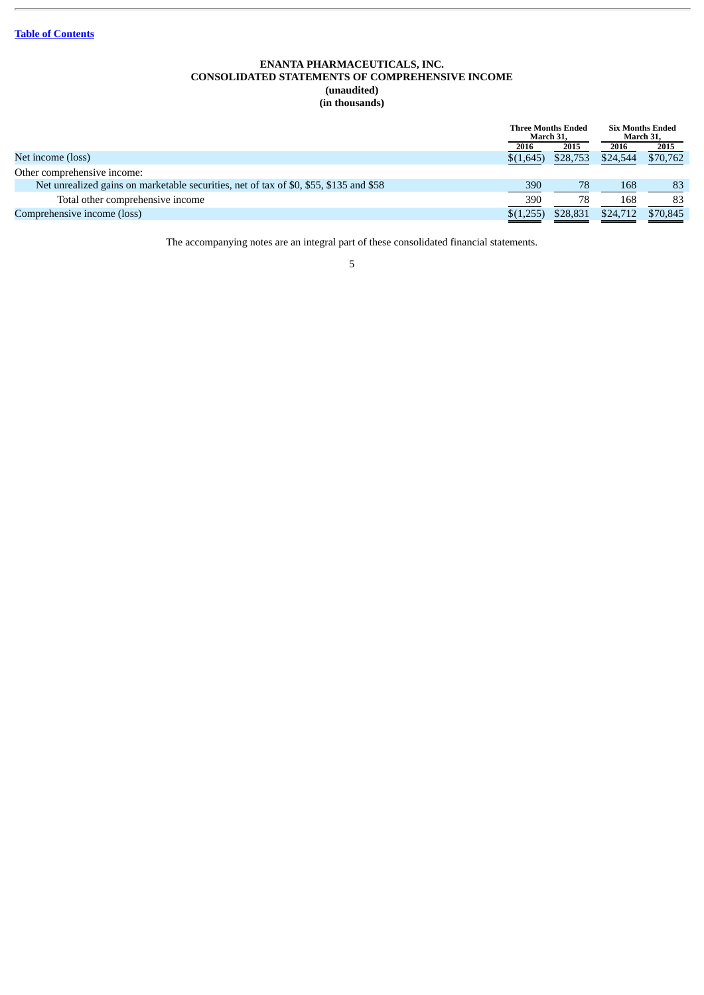## **ENANTA PHARMACEUTICALS, INC. CONSOLIDATED STATEMENTS OF COMPREHENSIVE INCOME (unaudited) (in thousands)**

<span id="page-4-0"></span>

|                                                                                        | <b>Three Months Ended</b><br>March 31. |          | <b>Six Months Ended</b><br>March 31, |          |
|----------------------------------------------------------------------------------------|----------------------------------------|----------|--------------------------------------|----------|
|                                                                                        | 2016                                   | 2015     | 2016                                 | 2015     |
| Net income (loss)                                                                      | \$(1,645)                              | \$28,753 | \$24,544                             | \$70,762 |
| Other comprehensive income:                                                            |                                        |          |                                      |          |
| Net unrealized gains on marketable securities, net of tax of \$0, \$55, \$135 and \$58 | 390                                    | 78       | 168                                  | 83       |
| Total other comprehensive income                                                       | 390                                    | 78       | 168                                  | 83       |
| Comprehensive income (loss)                                                            | \$(1,255)                              | \$28,831 | \$24,712                             | \$70,845 |

The accompanying notes are an integral part of these consolidated financial statements.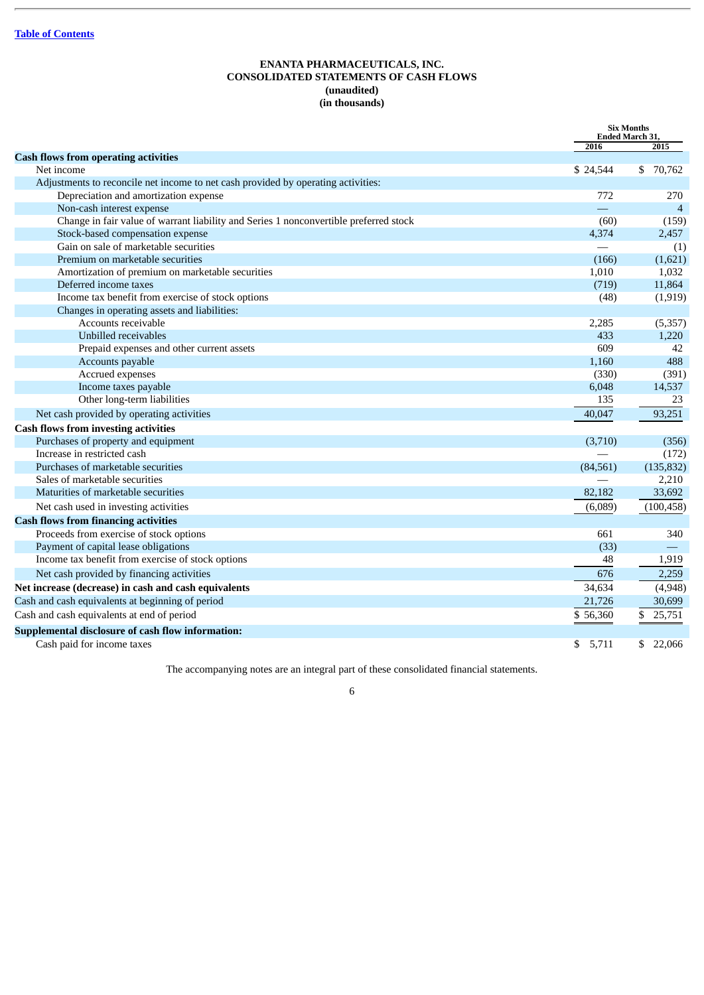## **ENANTA PHARMACEUTICALS, INC. CONSOLIDATED STATEMENTS OF CASH FLOWS (unaudited) (in thousands)**

<span id="page-5-0"></span>

|                                                                                       | <b>Six Months</b><br><b>Ended March 31,</b> |                |  |
|---------------------------------------------------------------------------------------|---------------------------------------------|----------------|--|
|                                                                                       | 2016                                        | 2015           |  |
| <b>Cash flows from operating activities</b>                                           |                                             |                |  |
| Net income                                                                            | \$24,544                                    | \$<br>70,762   |  |
| Adjustments to reconcile net income to net cash provided by operating activities:     |                                             |                |  |
| Depreciation and amortization expense                                                 | 772                                         | 270            |  |
| Non-cash interest expense                                                             |                                             | $\overline{4}$ |  |
| Change in fair value of warrant liability and Series 1 nonconvertible preferred stock | (60)                                        | (159)          |  |
| Stock-based compensation expense<br>Gain on sale of marketable securities             | 4,374                                       | 2,457          |  |
| Premium on marketable securities                                                      |                                             | (1)            |  |
|                                                                                       | (166)                                       | (1,621)        |  |
| Amortization of premium on marketable securities<br>Deferred income taxes             | 1,010                                       | 1,032          |  |
|                                                                                       | (719)                                       | 11,864         |  |
| Income tax benefit from exercise of stock options                                     | (48)                                        | (1, 919)       |  |
| Changes in operating assets and liabilities:<br>Accounts receivable                   | 2,285                                       | (5, 357)       |  |
| Unbilled receivables                                                                  | 433                                         | 1,220          |  |
| Prepaid expenses and other current assets                                             | 609                                         | 42             |  |
| Accounts payable                                                                      | 1,160                                       | 488            |  |
| Accrued expenses                                                                      | (330)                                       | (391)          |  |
| Income taxes payable                                                                  | 6,048                                       | 14,537         |  |
| Other long-term liabilities                                                           | 135                                         | 23             |  |
|                                                                                       |                                             |                |  |
| Net cash provided by operating activities                                             | 40,047                                      | 93,251         |  |
| <b>Cash flows from investing activities</b>                                           |                                             |                |  |
| Purchases of property and equipment                                                   | (3,710)                                     | (356)          |  |
| Increase in restricted cash                                                           |                                             | (172)          |  |
| Purchases of marketable securities                                                    | (84, 561)                                   | (135, 832)     |  |
| Sales of marketable securities                                                        |                                             | 2,210          |  |
| Maturities of marketable securities                                                   | 82,182                                      | 33,692         |  |
| Net cash used in investing activities                                                 | (6,089)                                     | (100, 458)     |  |
| <b>Cash flows from financing activities</b>                                           |                                             |                |  |
| Proceeds from exercise of stock options                                               | 661                                         | 340            |  |
| Payment of capital lease obligations                                                  | (33)                                        |                |  |
| Income tax benefit from exercise of stock options                                     | 48                                          | 1,919          |  |
| Net cash provided by financing activities                                             | 676                                         | 2,259          |  |
| Net increase (decrease) in cash and cash equivalents                                  | 34,634                                      | (4,948)        |  |
| Cash and cash equivalents at beginning of period                                      | 21,726                                      | 30,699         |  |
| Cash and cash equivalents at end of period                                            | \$56,360                                    | \$<br>25,751   |  |
| Supplemental disclosure of cash flow information:                                     |                                             |                |  |
| Cash paid for income taxes                                                            | \$<br>5,711                                 | 22,066<br>\$   |  |

The accompanying notes are an integral part of these consolidated financial statements.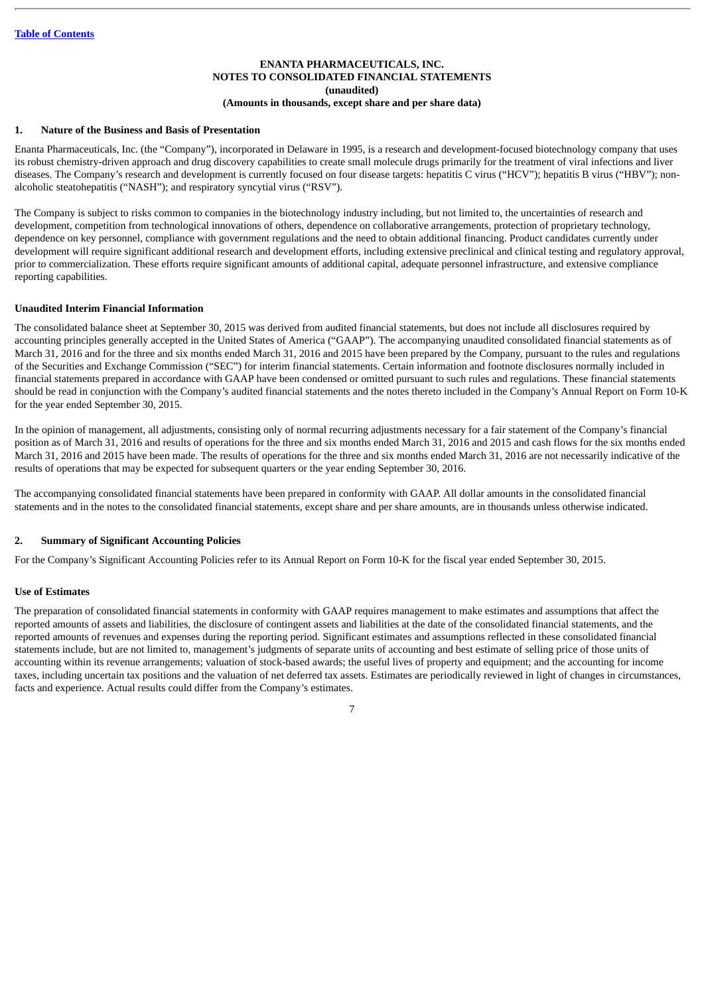#### **ENANTA PHARMACEUTICALS, INC. NOTES TO CONSOLIDATED FINANCIAL STATEMENTS (unaudited) (Amounts in thousands, except share and per share data)**

#### <span id="page-6-0"></span>**1. Nature of the Business and Basis of Presentation**

Enanta Pharmaceuticals, Inc. (the "Company"), incorporated in Delaware in 1995, is a research and development-focused biotechnology company that uses its robust chemistry-driven approach and drug discovery capabilities to create small molecule drugs primarily for the treatment of viral infections and liver diseases. The Company's research and development is currently focused on four disease targets: hepatitis C virus ("HCV"); hepatitis B virus ("HBV"); nonalcoholic steatohepatitis ("NASH"); and respiratory syncytial virus ("RSV").

The Company is subject to risks common to companies in the biotechnology industry including, but not limited to, the uncertainties of research and development, competition from technological innovations of others, dependence on collaborative arrangements, protection of proprietary technology, dependence on key personnel, compliance with government regulations and the need to obtain additional financing. Product candidates currently under development will require significant additional research and development efforts, including extensive preclinical and clinical testing and regulatory approval, prior to commercialization. These efforts require significant amounts of additional capital, adequate personnel infrastructure, and extensive compliance reporting capabilities.

#### **Unaudited Interim Financial Information**

The consolidated balance sheet at September 30, 2015 was derived from audited financial statements, but does not include all disclosures required by accounting principles generally accepted in the United States of America ("GAAP"). The accompanying unaudited consolidated financial statements as of March 31, 2016 and for the three and six months ended March 31, 2016 and 2015 have been prepared by the Company, pursuant to the rules and regulations of the Securities and Exchange Commission ("SEC") for interim financial statements. Certain information and footnote disclosures normally included in financial statements prepared in accordance with GAAP have been condensed or omitted pursuant to such rules and regulations. These financial statements should be read in conjunction with the Company's audited financial statements and the notes thereto included in the Company's Annual Report on Form 10-K for the year ended September 30, 2015.

In the opinion of management, all adjustments, consisting only of normal recurring adjustments necessary for a fair statement of the Company's financial position as of March 31, 2016 and results of operations for the three and six months ended March 31, 2016 and 2015 and cash flows for the six months ended March 31, 2016 and 2015 have been made. The results of operations for the three and six months ended March 31, 2016 are not necessarily indicative of the results of operations that may be expected for subsequent quarters or the year ending September 30, 2016.

The accompanying consolidated financial statements have been prepared in conformity with GAAP. All dollar amounts in the consolidated financial statements and in the notes to the consolidated financial statements, except share and per share amounts, are in thousands unless otherwise indicated.

#### **2. Summary of Significant Accounting Policies**

For the Company's Significant Accounting Policies refer to its Annual Report on Form 10-K for the fiscal year ended September 30, 2015.

#### **Use of Estimates**

The preparation of consolidated financial statements in conformity with GAAP requires management to make estimates and assumptions that affect the reported amounts of assets and liabilities, the disclosure of contingent assets and liabilities at the date of the consolidated financial statements, and the reported amounts of revenues and expenses during the reporting period. Significant estimates and assumptions reflected in these consolidated financial statements include, but are not limited to, management's judgments of separate units of accounting and best estimate of selling price of those units of accounting within its revenue arrangements; valuation of stock-based awards; the useful lives of property and equipment; and the accounting for income taxes, including uncertain tax positions and the valuation of net deferred tax assets. Estimates are periodically reviewed in light of changes in circumstances, facts and experience. Actual results could differ from the Company's estimates.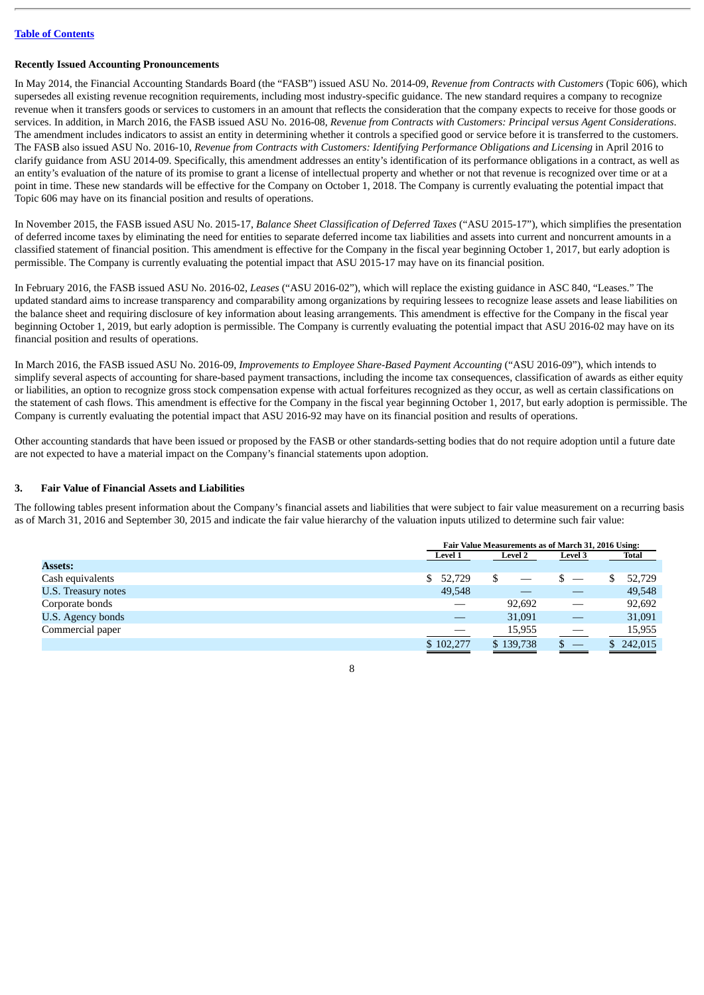#### **Recently Issued Accounting Pronouncements**

In May 2014, the Financial Accounting Standards Board (the "FASB") issued ASU No. 2014-09, *Revenue from Contracts with Customers* (Topic 606), which supersedes all existing revenue recognition requirements, including most industry-specific guidance. The new standard requires a company to recognize revenue when it transfers goods or services to customers in an amount that reflects the consideration that the company expects to receive for those goods or services. In addition, in March 2016, the FASB issued ASU No. 2016-08, *Revenue from Contracts with Customers: Principal versus Agent Considerations*. The amendment includes indicators to assist an entity in determining whether it controls a specified good or service before it is transferred to the customers. The FASB also issued ASU No. 2016-10, *Revenue from Contracts with Customers: Identifying Performance Obligations and Licensing* in April 2016 to clarify guidance from ASU 2014-09. Specifically, this amendment addresses an entity's identification of its performance obligations in a contract, as well as an entity's evaluation of the nature of its promise to grant a license of intellectual property and whether or not that revenue is recognized over time or at a point in time. These new standards will be effective for the Company on October 1, 2018. The Company is currently evaluating the potential impact that Topic 606 may have on its financial position and results of operations.

In November 2015, the FASB issued ASU No. 2015-17, *Balance Sheet Classification of Deferred Taxes* ("ASU 2015-17"), which simplifies the presentation of deferred income taxes by eliminating the need for entities to separate deferred income tax liabilities and assets into current and noncurrent amounts in a classified statement of financial position. This amendment is effective for the Company in the fiscal year beginning October 1, 2017, but early adoption is permissible. The Company is currently evaluating the potential impact that ASU 2015-17 may have on its financial position.

In February 2016, the FASB issued ASU No. 2016-02, *Leases* ("ASU 2016-02"), which will replace the existing guidance in ASC 840, "Leases." The updated standard aims to increase transparency and comparability among organizations by requiring lessees to recognize lease assets and lease liabilities on the balance sheet and requiring disclosure of key information about leasing arrangements. This amendment is effective for the Company in the fiscal year beginning October 1, 2019, but early adoption is permissible. The Company is currently evaluating the potential impact that ASU 2016-02 may have on its financial position and results of operations.

In March 2016, the FASB issued ASU No. 2016-09, *Improvements to Employee Share-Based Payment Accounting* ("ASU 2016-09"), which intends to simplify several aspects of accounting for share-based payment transactions, including the income tax consequences, classification of awards as either equity or liabilities, an option to recognize gross stock compensation expense with actual forfeitures recognized as they occur, as well as certain classifications on the statement of cash flows. This amendment is effective for the Company in the fiscal year beginning October 1, 2017, but early adoption is permissible. The Company is currently evaluating the potential impact that ASU 2016-92 may have on its financial position and results of operations.

Other accounting standards that have been issued or proposed by the FASB or other standards-setting bodies that do not require adoption until a future date are not expected to have a material impact on the Company's financial statements upon adoption.

#### **3. Fair Value of Financial Assets and Liabilities**

The following tables present information about the Company's financial assets and liabilities that were subject to fair value measurement on a recurring basis as of March 31, 2016 and September 30, 2015 and indicate the fair value hierarchy of the valuation inputs utilized to determine such fair value:

|                     |           | Fair Value Measurements as of March 31, 2016 Using: |                                 |           |  |  |
|---------------------|-----------|-----------------------------------------------------|---------------------------------|-----------|--|--|
|                     | Level 1   | <b>Level 2</b><br><b>Level 3</b>                    |                                 |           |  |  |
| <b>Assets:</b>      |           |                                                     |                                 |           |  |  |
| Cash equivalents    | \$52,729  |                                                     |                                 | 52,729    |  |  |
| U.S. Treasury notes | 49,548    |                                                     |                                 | 49,548    |  |  |
| Corporate bonds     |           | 92,692                                              |                                 | 92,692    |  |  |
| U.S. Agency bonds   |           | 31,091                                              |                                 | 31,091    |  |  |
| Commercial paper    |           | 15,955                                              | $\hspace{0.1mm}-\hspace{0.1mm}$ | 15,955    |  |  |
|                     | \$102,277 | \$139,738                                           | $s =$                           | \$242,015 |  |  |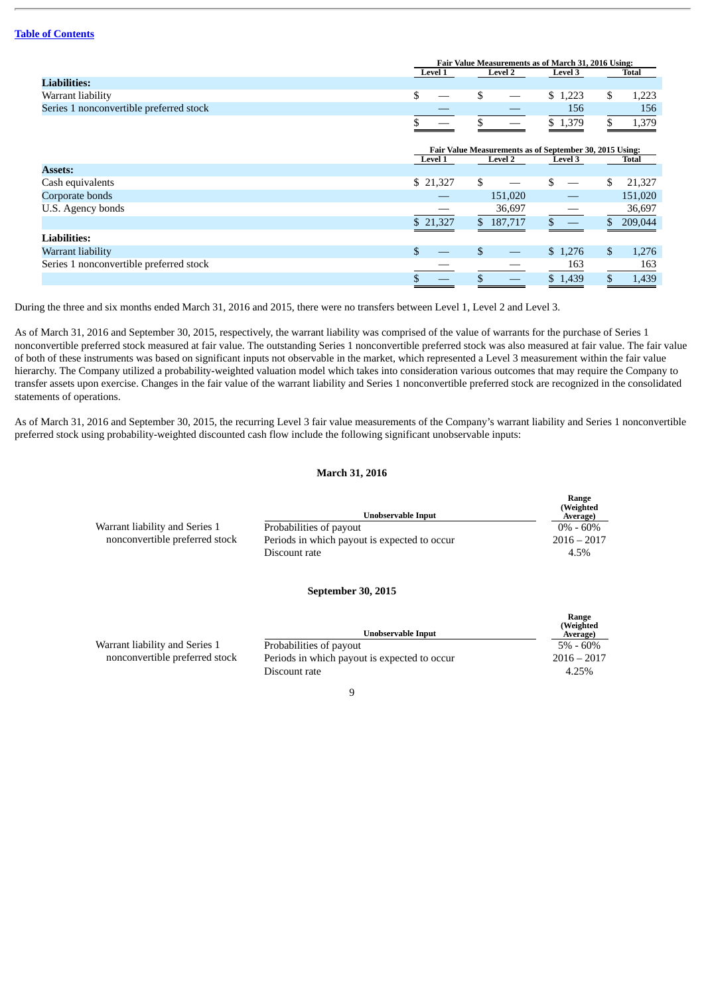|                                         |                | Fair Value Measurements as of March 31, 2016 Using:     |                |                         |  |  |
|-----------------------------------------|----------------|---------------------------------------------------------|----------------|-------------------------|--|--|
|                                         | <b>Level 1</b> | Level 2                                                 | Level 3        | Total                   |  |  |
| <b>Liabilities:</b>                     |                |                                                         |                |                         |  |  |
| Warrant liability                       | \$             | \$                                                      | \$1,223        | \$<br>1,223             |  |  |
| Series 1 nonconvertible preferred stock |                |                                                         | 156            | 156                     |  |  |
|                                         |                |                                                         | \$1,379        | \$<br>1,379             |  |  |
|                                         |                | Fair Value Measurements as of September 30, 2015 Using: |                |                         |  |  |
|                                         | <b>Level 1</b> | <b>Level 2</b>                                          | <b>Level 3</b> | Total                   |  |  |
| <b>Assets:</b>                          |                |                                                         |                |                         |  |  |
| Cash equivalents                        | \$21,327       | \$                                                      | \$             | \$<br>21,327            |  |  |
| Corporate bonds                         |                | 151,020                                                 |                | 151,020                 |  |  |
| U.S. Agency bonds                       |                | 36,697                                                  |                | 36,697                  |  |  |
|                                         | \$21,327       | \$187,717                                               |                | $\mathbf{s}$<br>209,044 |  |  |
| <b>Liabilities:</b>                     |                |                                                         |                |                         |  |  |
| Warrant liability                       | \$.            |                                                         | \$1,276        | $\mathbb{S}$<br>1,276   |  |  |
| Series 1 nonconvertible preferred stock |                |                                                         | 163            | 163                     |  |  |
|                                         |                |                                                         | \$1,439        | \$<br>1,439             |  |  |

During the three and six months ended March 31, 2016 and 2015, there were no transfers between Level 1, Level 2 and Level 3.

As of March 31, 2016 and September 30, 2015, respectively, the warrant liability was comprised of the value of warrants for the purchase of Series 1 nonconvertible preferred stock measured at fair value. The outstanding Series 1 nonconvertible preferred stock was also measured at fair value. The fair value of both of these instruments was based on significant inputs not observable in the market, which represented a Level 3 measurement within the fair value hierarchy. The Company utilized a probability-weighted valuation model which takes into consideration various outcomes that may require the Company to transfer assets upon exercise. Changes in the fair value of the warrant liability and Series 1 nonconvertible preferred stock are recognized in the consolidated statements of operations.

As of March 31, 2016 and September 30, 2015, the recurring Level 3 fair value measurements of the Company's warrant liability and Series 1 nonconvertible preferred stock using probability-weighted discounted cash flow include the following significant unobservable inputs:

#### **March 31, 2016**

|                                | Unobservable Input                           | Range<br>(Weighted<br>Average) |
|--------------------------------|----------------------------------------------|--------------------------------|
| Warrant liability and Series 1 | Probabilities of payout                      | $0\% - 60\%$                   |
| nonconvertible preferred stock | Periods in which payout is expected to occur | $2016 - 2017$                  |
|                                | Discount rate                                | 4.5%                           |
|                                |                                              |                                |

#### **September 30, 2015**

|                                | Unobservable Input                           | Range<br>(Weighted<br>Average) |
|--------------------------------|----------------------------------------------|--------------------------------|
| Warrant liability and Series 1 | Probabilities of payout                      | $5\%$ - 60%                    |
| nonconvertible preferred stock | Periods in which payout is expected to occur | $2016 - 2017$                  |
|                                | Discount rate                                | 4.25%                          |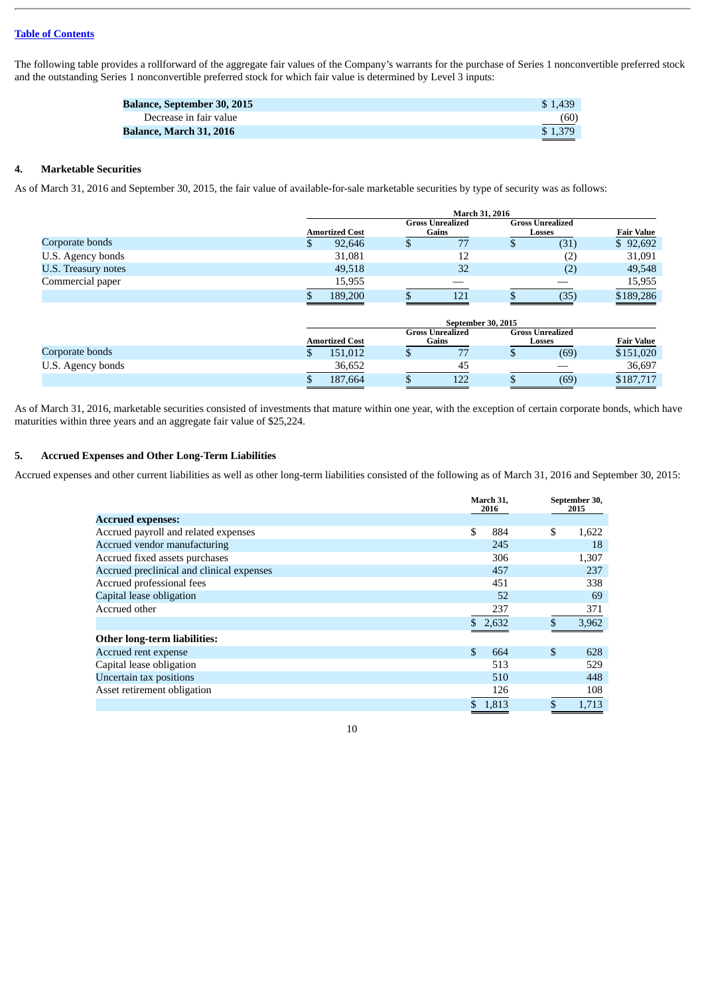The following table provides a rollforward of the aggregate fair values of the Company's warrants for the purchase of Series 1 nonconvertible preferred stock and the outstanding Series 1 nonconvertible preferred stock for which fair value is determined by Level 3 inputs:

| <b>Balance, September 30, 2015</b> | \$1.439 |
|------------------------------------|---------|
| Decrease in fair value             | (60)    |
| <b>Balance, March 31, 2016</b>     | \$1,379 |

## **4. Marketable Securities**

As of March 31, 2016 and September 30, 2015, the fair value of available-for-sale marketable securities by type of security was as follows:

|                     | March 31, 2016 |                       |    |                                  |                           |                         |                               |
|---------------------|----------------|-----------------------|----|----------------------------------|---------------------------|-------------------------|-------------------------------|
|                     |                | <b>Amortized Cost</b> |    | <b>Gross Unrealized</b><br>Gains |                           | <b>Gross Unrealized</b> |                               |
| Corporate bonds     | \$             | 92,646                | \$ | 77                               |                           | Losses<br>(31)          | <b>Fair Value</b><br>\$92,692 |
|                     |                |                       |    |                                  |                           |                         |                               |
| U.S. Agency bonds   |                | 31,081                |    | 12                               |                           | (2)                     | 31,091                        |
| U.S. Treasury notes |                | 49,518                |    | 32                               |                           | (2)                     | 49,548                        |
| Commercial paper    |                | 15,955                |    |                                  |                           |                         | 15,955                        |
|                     |                | 189,200               |    | 121                              |                           | (35)                    | \$189,286                     |
|                     |                |                       |    |                                  |                           |                         |                               |
|                     |                |                       |    |                                  | <b>September 30, 2015</b> |                         |                               |
|                     |                |                       |    | <b>Gross Unrealized</b>          |                           | <b>Gross Unrealized</b> |                               |
|                     |                | <b>Amortized Cost</b> |    | Gains                            |                           | Losses                  | <b>Fair Value</b>             |
| Corporate bonds     | \$             | 151,012               | \$ | 77                               | \$                        | (69)                    | \$151,020                     |
| U.S. Agency bonds   |                | 36,652                |    | 45                               |                           |                         | 36,697                        |
|                     | \$             | 187,664               |    | 122                              |                           | (69)                    | \$187,717                     |
|                     |                |                       |    |                                  |                           |                         |                               |

As of March 31, 2016, marketable securities consisted of investments that mature within one year, with the exception of certain corporate bonds, which have maturities within three years and an aggregate fair value of \$25,224.

## **5. Accrued Expenses and Other Long-Term Liabilities**

Accrued expenses and other current liabilities as well as other long-term liabilities consisted of the following as of March 31, 2016 and September 30, 2015:

|                                           | March 31,<br>2016     | September 30,<br>2015 |
|-------------------------------------------|-----------------------|-----------------------|
| <b>Accrued expenses:</b>                  |                       |                       |
| Accrued payroll and related expenses      | \$<br>884             | S<br>1,622            |
| Accrued vendor manufacturing              | 245                   | 18                    |
| Accrued fixed assets purchases            | 306                   | 1,307                 |
| Accrued preclinical and clinical expenses | 457                   | 237                   |
| Accrued professional fees                 | 451                   | 338                   |
| Capital lease obligation                  | 52                    | 69                    |
| Accrued other                             | 237                   | 371                   |
|                                           | \$2,632               | ß.<br>3,962           |
| <b>Other long-term liabilities:</b>       |                       |                       |
| Accrued rent expense                      | $\mathfrak{L}$<br>664 | \$<br>628             |
| Capital lease obligation                  | 513                   | 529                   |
| Uncertain tax positions                   | 510                   | 448                   |
| Asset retirement obligation               | 126                   | 108                   |
|                                           | \$<br>1,813           | \$<br>1,713           |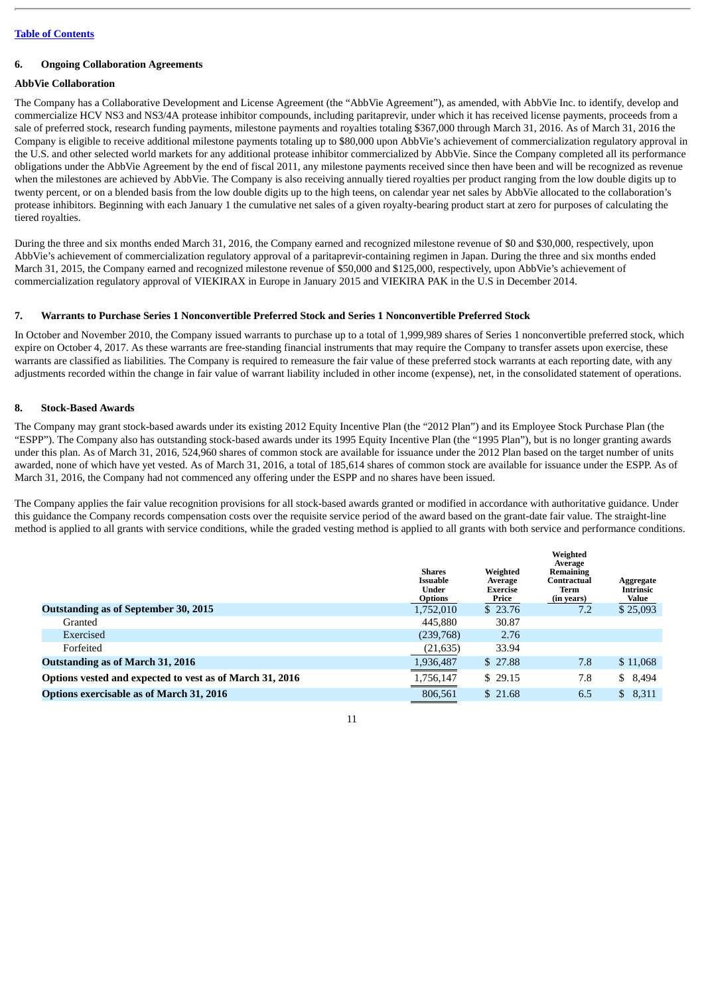## **6. Ongoing Collaboration Agreements**

## **AbbVie Collaboration**

The Company has a Collaborative Development and License Agreement (the "AbbVie Agreement"), as amended, with AbbVie Inc. to identify, develop and commercialize HCV NS3 and NS3/4A protease inhibitor compounds, including paritaprevir, under which it has received license payments, proceeds from a sale of preferred stock, research funding payments, milestone payments and royalties totaling \$367,000 through March 31, 2016. As of March 31, 2016 the Company is eligible to receive additional milestone payments totaling up to \$80,000 upon AbbVie's achievement of commercialization regulatory approval in the U.S. and other selected world markets for any additional protease inhibitor commercialized by AbbVie. Since the Company completed all its performance obligations under the AbbVie Agreement by the end of fiscal 2011, any milestone payments received since then have been and will be recognized as revenue when the milestones are achieved by AbbVie. The Company is also receiving annually tiered royalties per product ranging from the low double digits up to twenty percent, or on a blended basis from the low double digits up to the high teens, on calendar year net sales by AbbVie allocated to the collaboration's protease inhibitors. Beginning with each January 1 the cumulative net sales of a given royalty-bearing product start at zero for purposes of calculating the tiered royalties.

During the three and six months ended March 31, 2016, the Company earned and recognized milestone revenue of \$0 and \$30,000, respectively, upon AbbVie's achievement of commercialization regulatory approval of a paritaprevir-containing regimen in Japan. During the three and six months ended March 31, 2015, the Company earned and recognized milestone revenue of \$50,000 and \$125,000, respectively, upon AbbVie's achievement of commercialization regulatory approval of VIEKIRAX in Europe in January 2015 and VIEKIRA PAK in the U.S in December 2014.

## **7. Warrants to Purchase Series 1 Nonconvertible Preferred Stock and Series 1 Nonconvertible Preferred Stock**

In October and November 2010, the Company issued warrants to purchase up to a total of 1,999,989 shares of Series 1 nonconvertible preferred stock, which expire on October 4, 2017. As these warrants are free-standing financial instruments that may require the Company to transfer assets upon exercise, these warrants are classified as liabilities. The Company is required to remeasure the fair value of these preferred stock warrants at each reporting date, with any adjustments recorded within the change in fair value of warrant liability included in other income (expense), net, in the consolidated statement of operations.

## **8. Stock-Based Awards**

The Company may grant stock-based awards under its existing 2012 Equity Incentive Plan (the "2012 Plan") and its Employee Stock Purchase Plan (the "ESPP"). The Company also has outstanding stock-based awards under its 1995 Equity Incentive Plan (the "1995 Plan"), but is no longer granting awards under this plan. As of March 31, 2016, 524,960 shares of common stock are available for issuance under the 2012 Plan based on the target number of units awarded, none of which have yet vested. As of March 31, 2016, a total of 185,614 shares of common stock are available for issuance under the ESPP. As of March 31, 2016, the Company had not commenced any offering under the ESPP and no shares have been issued.

The Company applies the fair value recognition provisions for all stock-based awards granted or modified in accordance with authoritative guidance. Under this guidance the Company records compensation costs over the requisite service period of the award based on the grant-date fair value. The straight-line method is applied to all grants with service conditions, while the graded vesting method is applied to all grants with both service and performance conditions.

|                                                          | <b>Shares</b><br>Issuable<br>Under<br><b>Options</b> | Weighted<br>Average<br>Exercise<br>Price | Weighted<br>Average<br>Remaining<br>Contractual<br>Term<br>(in years) | Aggregate<br><b>Intrinsic</b><br>Value |
|----------------------------------------------------------|------------------------------------------------------|------------------------------------------|-----------------------------------------------------------------------|----------------------------------------|
| <b>Outstanding as of September 30, 2015</b>              | 1,752,010                                            | \$23.76                                  | 7.2                                                                   | \$25,093                               |
| Granted                                                  | 445.880                                              | 30.87                                    |                                                                       |                                        |
| Exercised                                                | (239,768)                                            | 2.76                                     |                                                                       |                                        |
| Forfeited                                                | (21, 635)                                            | 33.94                                    |                                                                       |                                        |
| Outstanding as of March 31, 2016                         | 1,936,487                                            | \$27.88                                  | 7.8                                                                   | \$11,068                               |
| Options vested and expected to vest as of March 31, 2016 | 1,756,147                                            | \$29.15                                  | 7.8                                                                   | \$8,494                                |
| Options exercisable as of March 31, 2016                 | 806,561                                              | \$21.68                                  | 6.5                                                                   | \$8,311                                |

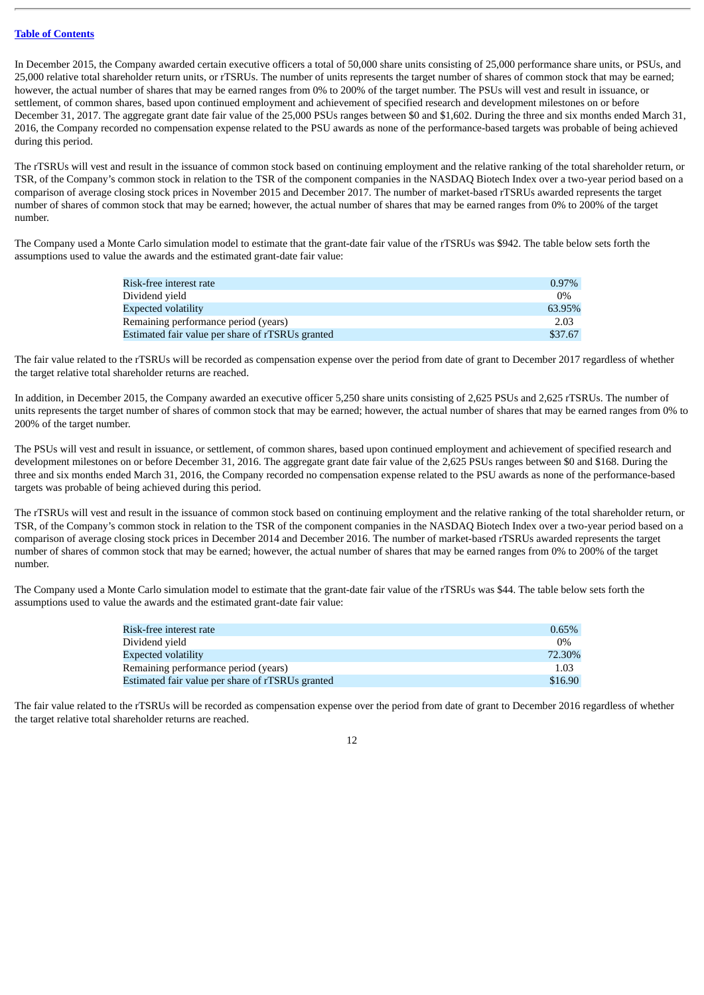In December 2015, the Company awarded certain executive officers a total of 50,000 share units consisting of 25,000 performance share units, or PSUs, and 25,000 relative total shareholder return units, or rTSRUs. The number of units represents the target number of shares of common stock that may be earned; however, the actual number of shares that may be earned ranges from 0% to 200% of the target number. The PSUs will vest and result in issuance, or settlement, of common shares, based upon continued employment and achievement of specified research and development milestones on or before December 31, 2017. The aggregate grant date fair value of the 25,000 PSUs ranges between \$0 and \$1,602. During the three and six months ended March 31, 2016, the Company recorded no compensation expense related to the PSU awards as none of the performance-based targets was probable of being achieved during this period.

The rTSRUs will vest and result in the issuance of common stock based on continuing employment and the relative ranking of the total shareholder return, or TSR, of the Company's common stock in relation to the TSR of the component companies in the NASDAQ Biotech Index over a two-year period based on a comparison of average closing stock prices in November 2015 and December 2017. The number of market-based rTSRUs awarded represents the target number of shares of common stock that may be earned; however, the actual number of shares that may be earned ranges from 0% to 200% of the target number.

The Company used a Monte Carlo simulation model to estimate that the grant-date fair value of the rTSRUs was \$942. The table below sets forth the assumptions used to value the awards and the estimated grant-date fair value:

| Risk-free interest rate                          | $0.97\%$ |
|--------------------------------------------------|----------|
| Dividend vield                                   | $0\%$    |
| <b>Expected volatility</b>                       | 63.95%   |
| Remaining performance period (years)             | 2.03     |
| Estimated fair value per share of rTSRUs granted | \$37.67  |

The fair value related to the rTSRUs will be recorded as compensation expense over the period from date of grant to December 2017 regardless of whether the target relative total shareholder returns are reached.

In addition, in December 2015, the Company awarded an executive officer 5,250 share units consisting of 2,625 PSUs and 2,625 rTSRUs. The number of units represents the target number of shares of common stock that may be earned; however, the actual number of shares that may be earned ranges from 0% to 200% of the target number.

The PSUs will vest and result in issuance, or settlement, of common shares, based upon continued employment and achievement of specified research and development milestones on or before December 31, 2016. The aggregate grant date fair value of the 2,625 PSUs ranges between \$0 and \$168. During the three and six months ended March 31, 2016, the Company recorded no compensation expense related to the PSU awards as none of the performance-based targets was probable of being achieved during this period.

The rTSRUs will vest and result in the issuance of common stock based on continuing employment and the relative ranking of the total shareholder return, or TSR, of the Company's common stock in relation to the TSR of the component companies in the NASDAQ Biotech Index over a two-year period based on a comparison of average closing stock prices in December 2014 and December 2016. The number of market-based rTSRUs awarded represents the target number of shares of common stock that may be earned; however, the actual number of shares that may be earned ranges from 0% to 200% of the target number.

The Company used a Monte Carlo simulation model to estimate that the grant-date fair value of the rTSRUs was \$44. The table below sets forth the assumptions used to value the awards and the estimated grant-date fair value:

| Risk-free interest rate                          | 0.65%   |
|--------------------------------------------------|---------|
| Dividend vield                                   | $0\%$   |
| <b>Expected volatility</b>                       | 72.30%  |
| Remaining performance period (years)             | 1.03    |
| Estimated fair value per share of rTSRUs granted | \$16.90 |

The fair value related to the rTSRUs will be recorded as compensation expense over the period from date of grant to December 2016 regardless of whether the target relative total shareholder returns are reached.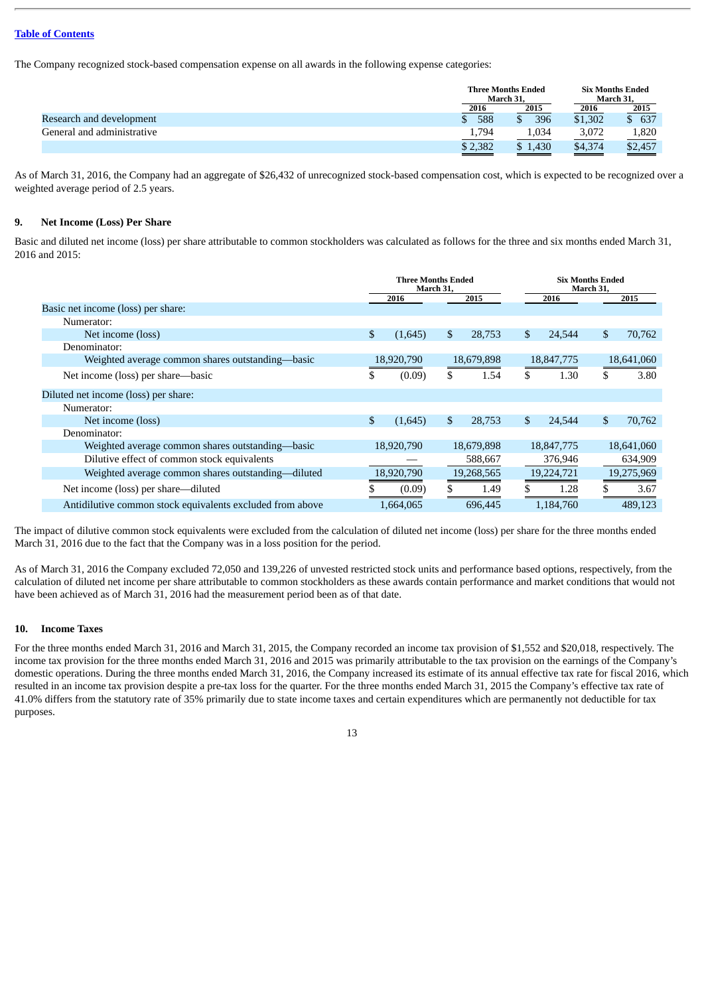The Company recognized stock-based compensation expense on all awards in the following expense categories:

|                            |         | <b>Three Months Ended</b><br>March 31. |         | <b>Six Months Ended</b><br>March 31, |  |  |  |
|----------------------------|---------|----------------------------------------|---------|--------------------------------------|--|--|--|
|                            | 2016    | 2015                                   | 2016    | 2015                                 |  |  |  |
| Research and development   | 588     | 396<br><b>CP</b>                       | \$1,302 | 637                                  |  |  |  |
| General and administrative | 1,794   | 1,034                                  | 3,072   | 1,820                                |  |  |  |
|                            | \$2,382 | 1.430                                  | \$4,374 | \$2,457                              |  |  |  |

As of March 31, 2016, the Company had an aggregate of \$26,432 of unrecognized stock-based compensation cost, which is expected to be recognized over a weighted average period of 2.5 years.

#### **9. Net Income (Loss) Per Share**

Basic and diluted net income (loss) per share attributable to common stockholders was calculated as follows for the three and six months ended March 31, 2016 and 2015:

|                                                           | <b>Three Months Ended</b><br>March 31, |    |            |     |            | <b>Six Months Ended</b><br>March 31, |            |
|-----------------------------------------------------------|----------------------------------------|----|------------|-----|------------|--------------------------------------|------------|
|                                                           | 2016                                   |    | 2015       |     | 2016       |                                      | 2015       |
| Basic net income (loss) per share:                        |                                        |    |            |     |            |                                      |            |
| Numerator:                                                |                                        |    |            |     |            |                                      |            |
| Net income (loss)                                         | \$<br>(1,645)                          | \$ | 28,753     | \$  | 24,544     | \$                                   | 70,762     |
| Denominator:                                              |                                        |    |            |     |            |                                      |            |
| Weighted average common shares outstanding-basic          | 18,920,790                             |    | 18,679,898 |     | 18,847,775 |                                      | 18,641,060 |
| Net income (loss) per share—basic                         | \$<br>(0.09)                           | \$ | 1.54       | \$. | 1.30       | \$                                   | 3.80       |
| Diluted net income (loss) per share:                      |                                        |    |            |     |            |                                      |            |
| Numerator:                                                |                                        |    |            |     |            |                                      |            |
| Net income (loss)                                         | \$<br>(1,645)                          | \$ | 28,753     | \$. | 24,544     | \$                                   | 70,762     |
| Denominator:                                              |                                        |    |            |     |            |                                      |            |
| Weighted average common shares outstanding—basic          | 18,920,790                             |    | 18,679,898 |     | 18,847,775 |                                      | 18,641,060 |
| Dilutive effect of common stock equivalents               |                                        |    | 588,667    |     | 376,946    |                                      | 634,909    |
| Weighted average common shares outstanding—diluted        | 18,920,790                             |    | 19,268,565 |     | 19,224,721 |                                      | 19,275,969 |
| Net income (loss) per share—diluted                       | (0.09)                                 |    | 1.49       |     | 1.28       |                                      | 3.67       |
| Antidilutive common stock equivalents excluded from above | 1.664.065                              |    | 696,445    |     | 1.184.760  |                                      | 489,123    |

The impact of dilutive common stock equivalents were excluded from the calculation of diluted net income (loss) per share for the three months ended March 31, 2016 due to the fact that the Company was in a loss position for the period.

As of March 31, 2016 the Company excluded 72,050 and 139,226 of unvested restricted stock units and performance based options, respectively, from the calculation of diluted net income per share attributable to common stockholders as these awards contain performance and market conditions that would not have been achieved as of March 31, 2016 had the measurement period been as of that date.

## **10. Income Taxes**

For the three months ended March 31, 2016 and March 31, 2015, the Company recorded an income tax provision of \$1,552 and \$20,018, respectively. The income tax provision for the three months ended March 31, 2016 and 2015 was primarily attributable to the tax provision on the earnings of the Company's domestic operations. During the three months ended March 31, 2016, the Company increased its estimate of its annual effective tax rate for fiscal 2016, which resulted in an income tax provision despite a pre-tax loss for the quarter. For the three months ended March 31, 2015 the Company's effective tax rate of 41.0% differs from the statutory rate of 35% primarily due to state income taxes and certain expenditures which are permanently not deductible for tax purposes.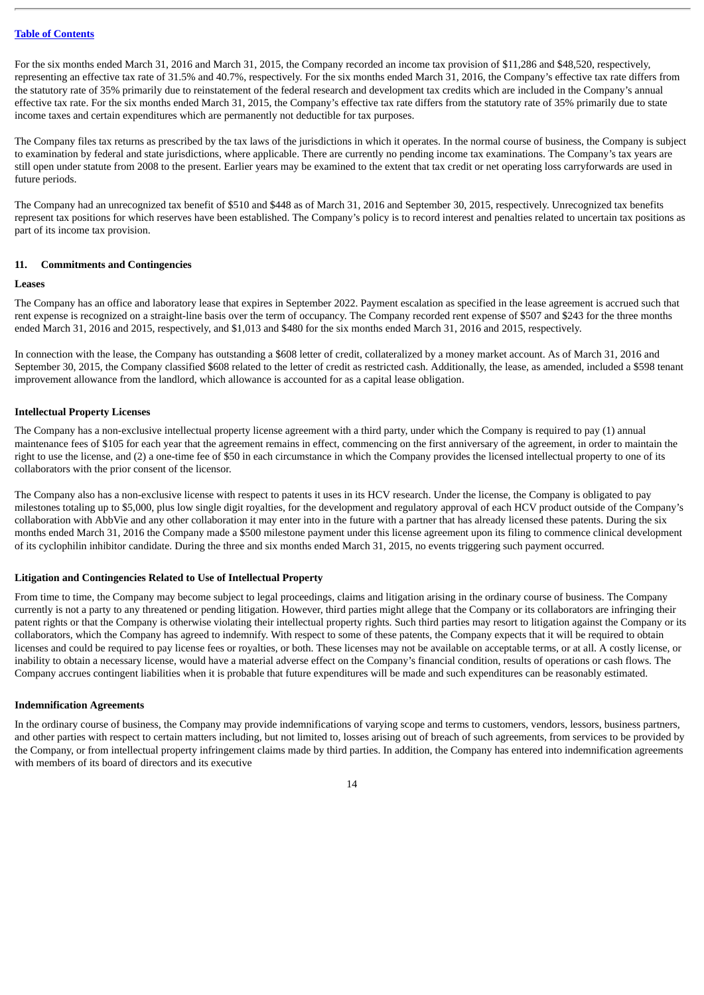For the six months ended March 31, 2016 and March 31, 2015, the Company recorded an income tax provision of \$11,286 and \$48,520, respectively, representing an effective tax rate of 31.5% and 40.7%, respectively. For the six months ended March 31, 2016, the Company's effective tax rate differs from the statutory rate of 35% primarily due to reinstatement of the federal research and development tax credits which are included in the Company's annual effective tax rate. For the six months ended March 31, 2015, the Company's effective tax rate differs from the statutory rate of 35% primarily due to state income taxes and certain expenditures which are permanently not deductible for tax purposes.

The Company files tax returns as prescribed by the tax laws of the jurisdictions in which it operates. In the normal course of business, the Company is subject to examination by federal and state jurisdictions, where applicable. There are currently no pending income tax examinations. The Company's tax years are still open under statute from 2008 to the present. Earlier years may be examined to the extent that tax credit or net operating loss carryforwards are used in future periods.

The Company had an unrecognized tax benefit of \$510 and \$448 as of March 31, 2016 and September 30, 2015, respectively. Unrecognized tax benefits represent tax positions for which reserves have been established. The Company's policy is to record interest and penalties related to uncertain tax positions as part of its income tax provision.

#### **11. Commitments and Contingencies**

#### **Leases**

The Company has an office and laboratory lease that expires in September 2022. Payment escalation as specified in the lease agreement is accrued such that rent expense is recognized on a straight-line basis over the term of occupancy. The Company recorded rent expense of \$507 and \$243 for the three months ended March 31, 2016 and 2015, respectively, and \$1,013 and \$480 for the six months ended March 31, 2016 and 2015, respectively.

In connection with the lease, the Company has outstanding a \$608 letter of credit, collateralized by a money market account. As of March 31, 2016 and September 30, 2015, the Company classified \$608 related to the letter of credit as restricted cash. Additionally, the lease, as amended, included a \$598 tenant improvement allowance from the landlord, which allowance is accounted for as a capital lease obligation.

#### **Intellectual Property Licenses**

The Company has a non-exclusive intellectual property license agreement with a third party, under which the Company is required to pay (1) annual maintenance fees of \$105 for each year that the agreement remains in effect, commencing on the first anniversary of the agreement, in order to maintain the right to use the license, and (2) a one-time fee of \$50 in each circumstance in which the Company provides the licensed intellectual property to one of its collaborators with the prior consent of the licensor.

The Company also has a non-exclusive license with respect to patents it uses in its HCV research. Under the license, the Company is obligated to pay milestones totaling up to \$5,000, plus low single digit royalties, for the development and regulatory approval of each HCV product outside of the Company's collaboration with AbbVie and any other collaboration it may enter into in the future with a partner that has already licensed these patents. During the six months ended March 31, 2016 the Company made a \$500 milestone payment under this license agreement upon its filing to commence clinical development of its cyclophilin inhibitor candidate. During the three and six months ended March 31, 2015, no events triggering such payment occurred.

#### **Litigation and Contingencies Related to Use of Intellectual Property**

From time to time, the Company may become subject to legal proceedings, claims and litigation arising in the ordinary course of business. The Company currently is not a party to any threatened or pending litigation. However, third parties might allege that the Company or its collaborators are infringing their patent rights or that the Company is otherwise violating their intellectual property rights. Such third parties may resort to litigation against the Company or its collaborators, which the Company has agreed to indemnify. With respect to some of these patents, the Company expects that it will be required to obtain licenses and could be required to pay license fees or royalties, or both. These licenses may not be available on acceptable terms, or at all. A costly license, or inability to obtain a necessary license, would have a material adverse effect on the Company's financial condition, results of operations or cash flows. The Company accrues contingent liabilities when it is probable that future expenditures will be made and such expenditures can be reasonably estimated.

#### **Indemnification Agreements**

In the ordinary course of business, the Company may provide indemnifications of varying scope and terms to customers, vendors, lessors, business partners, and other parties with respect to certain matters including, but not limited to, losses arising out of breach of such agreements, from services to be provided by the Company, or from intellectual property infringement claims made by third parties. In addition, the Company has entered into indemnification agreements with members of its board of directors and its executive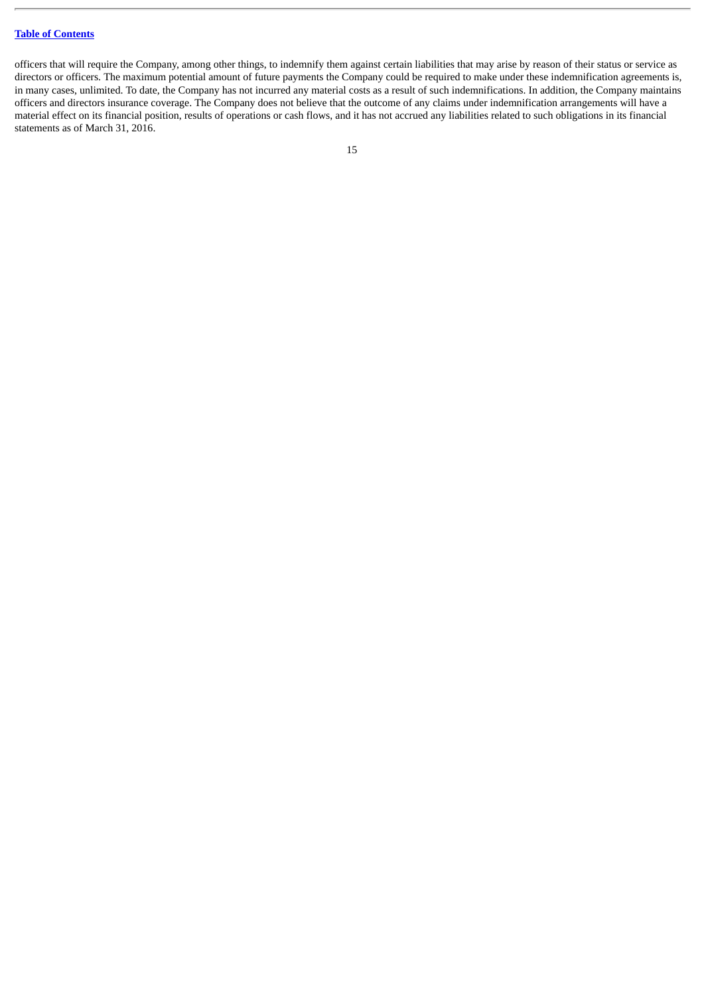officers that will require the Company, among other things, to indemnify them against certain liabilities that may arise by reason of their status or service as directors or officers. The maximum potential amount of future payments the Company could be required to make under these indemnification agreements is, in many cases, unlimited. To date, the Company has not incurred any material costs as a result of such indemnifications. In addition, the Company maintains officers and directors insurance coverage. The Company does not believe that the outcome of any claims under indemnification arrangements will have a material effect on its financial position, results of operations or cash flows, and it has not accrued any liabilities related to such obligations in its financial statements as of March 31, 2016.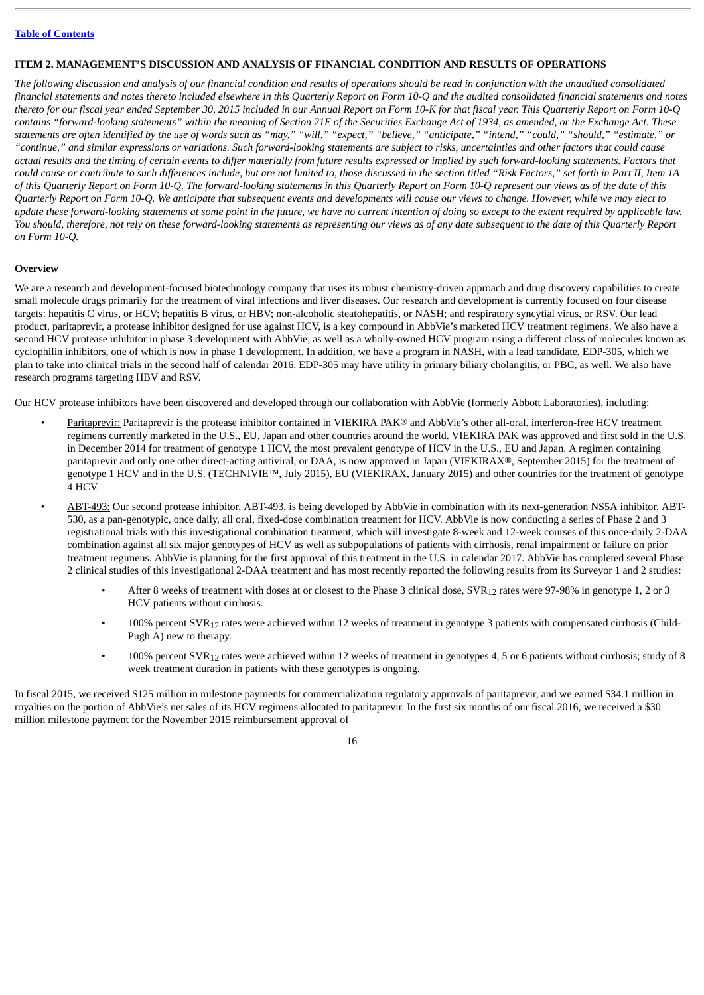#### <span id="page-15-0"></span>**ITEM 2. MANAGEMENT'S DISCUSSION AND ANALYSIS OF FINANCIAL CONDITION AND RESULTS OF OPERATIONS**

The following discussion and analysis of our financial condition and results of operations should be read in conjunction with the unaudited consolidated financial statements and notes thereto included elsewhere in this Quarterly Report on Form 10-Q and the audited consolidated financial statements and notes thereto for our fiscal year ended September 30, 2015 included in our Annual Report on Form 10-K for that fiscal year. This Quarterly Report on Form 10-Q contains "forward-looking statements" within the meaning of Section 21E of the Securities Exchange Act of 1934, as amended, or the Exchange Act. These statements are often identified by the use of words such as "may," "will," "expect," "believe," "anticipate," "intend," "could," "should," "estimate," or "continue," and similar expressions or variations. Such forward-looking statements are subject to risks, uncertainties and other factors that could cause actual results and the timing of certain events to differ materially from future results expressed or implied by such forward-looking statements. Factors that could cause or contribute to such differences include, but are not limited to, those discussed in the section titled "Risk Factors," set forth in Part II, Item 1A of this Quarterly Report on Form 10-O. The forward-looking statements in this Quarterly Report on Form 10-O represent our views as of the date of this Quarterly Report on Form 10-Q. We anticipate that subsequent events and developments will cause our views to change. However, while we may elect to update these forward-looking statements at some point in the future, we have no current intention of doing so except to the extent required by applicable law. You should, therefore, not rely on these forward-looking statements as representing our views as of any date subsequent to the date of this Quarterly Report *on Form 10-Q.*

#### **Overview**

We are a research and development-focused biotechnology company that uses its robust chemistry-driven approach and drug discovery capabilities to create small molecule drugs primarily for the treatment of viral infections and liver diseases. Our research and development is currently focused on four disease targets: hepatitis C virus, or HCV; hepatitis B virus, or HBV; non-alcoholic steatohepatitis, or NASH; and respiratory syncytial virus, or RSV. Our lead product, paritaprevir, a protease inhibitor designed for use against HCV, is a key compound in AbbVie's marketed HCV treatment regimens. We also have a second HCV protease inhibitor in phase 3 development with AbbVie, as well as a wholly-owned HCV program using a different class of molecules known as cyclophilin inhibitors, one of which is now in phase 1 development. In addition, we have a program in NASH, with a lead candidate, EDP-305, which we plan to take into clinical trials in the second half of calendar 2016. EDP-305 may have utility in primary biliary cholangitis, or PBC, as well. We also have research programs targeting HBV and RSV.

Our HCV protease inhibitors have been discovered and developed through our collaboration with AbbVie (formerly Abbott Laboratories), including:

- Paritaprevir: Paritaprevir is the protease inhibitor contained in VIEKIRA PAK® and AbbVie's other all-oral, interferon-free HCV treatment regimens currently marketed in the U.S., EU, Japan and other countries around the world. VIEKIRA PAK was approved and first sold in the U.S. in December 2014 for treatment of genotype 1 HCV, the most prevalent genotype of HCV in the U.S., EU and Japan. A regimen containing paritaprevir and only one other direct-acting antiviral, or DAA, is now approved in Japan (VIEKIRAX®, September 2015) for the treatment of genotype 1 HCV and in the U.S. (TECHNIVIE™, July 2015), EU (VIEKIRAX, January 2015) and other countries for the treatment of genotype 4 HCV.
- ABT-493: Our second protease inhibitor, ABT-493, is being developed by AbbVie in combination with its next-generation NS5A inhibitor, ABT-530, as a pan-genotypic, once daily, all oral, fixed-dose combination treatment for HCV. AbbVie is now conducting a series of Phase 2 and 3 registrational trials with this investigational combination treatment, which will investigate 8-week and 12-week courses of this once-daily 2-DAA combination against all six major genotypes of HCV as well as subpopulations of patients with cirrhosis, renal impairment or failure on prior treatment regimens. AbbVie is planning for the first approval of this treatment in the U.S. in calendar 2017. AbbVie has completed several Phase 2 clinical studies of this investigational 2-DAA treatment and has most recently reported the following results from its Surveyor 1 and 2 studies:
	- After 8 weeks of treatment with doses at or closest to the Phase 3 clinical dose, SVR12 rates were 97-98% in genotype 1, 2 or 3 HCV patients without cirrhosis.
	- 100% percent SVR12 rates were achieved within 12 weeks of treatment in genotype 3 patients with compensated cirrhosis (Child-Pugh A) new to therapy.
	- 100% percent SVR12 rates were achieved within 12 weeks of treatment in genotypes 4, 5 or 6 patients without cirrhosis; study of 8 week treatment duration in patients with these genotypes is ongoing.

In fiscal 2015, we received \$125 million in milestone payments for commercialization regulatory approvals of paritaprevir, and we earned \$34.1 million in royalties on the portion of AbbVie's net sales of its HCV regimens allocated to paritaprevir. In the first six months of our fiscal 2016, we received a \$30 million milestone payment for the November 2015 reimbursement approval of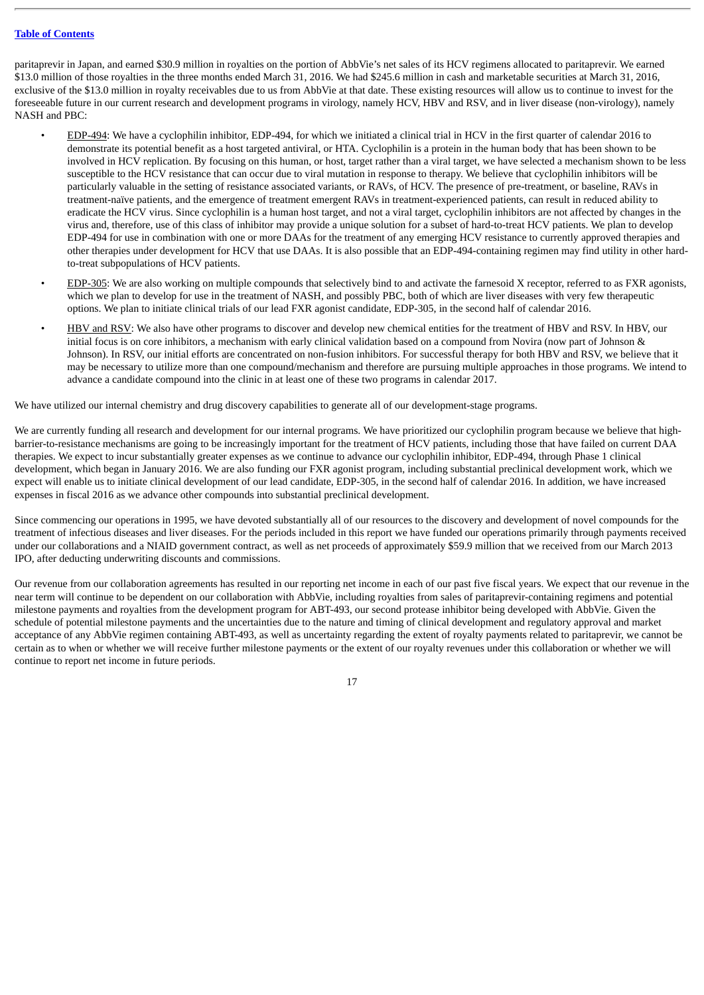paritaprevir in Japan, and earned \$30.9 million in royalties on the portion of AbbVie's net sales of its HCV regimens allocated to paritaprevir. We earned \$13.0 million of those royalties in the three months ended March 31, 2016. We had \$245.6 million in cash and marketable securities at March 31, 2016, exclusive of the \$13.0 million in royalty receivables due to us from AbbVie at that date. These existing resources will allow us to continue to invest for the foreseeable future in our current research and development programs in virology, namely HCV, HBV and RSV, and in liver disease (non-virology), namely NASH and PBC:

- EDP-494: We have a cyclophilin inhibitor, EDP-494, for which we initiated a clinical trial in HCV in the first quarter of calendar 2016 to demonstrate its potential benefit as a host targeted antiviral, or HTA. Cyclophilin is a protein in the human body that has been shown to be involved in HCV replication. By focusing on this human, or host, target rather than a viral target, we have selected a mechanism shown to be less susceptible to the HCV resistance that can occur due to viral mutation in response to therapy. We believe that cyclophilin inhibitors will be particularly valuable in the setting of resistance associated variants, or RAVs, of HCV. The presence of pre-treatment, or baseline, RAVs in treatment-naïve patients, and the emergence of treatment emergent RAVs in treatment-experienced patients, can result in reduced ability to eradicate the HCV virus. Since cyclophilin is a human host target, and not a viral target, cyclophilin inhibitors are not affected by changes in the virus and, therefore, use of this class of inhibitor may provide a unique solution for a subset of hard-to-treat HCV patients. We plan to develop EDP-494 for use in combination with one or more DAAs for the treatment of any emerging HCV resistance to currently approved therapies and other therapies under development for HCV that use DAAs. It is also possible that an EDP-494-containing regimen may find utility in other hardto-treat subpopulations of HCV patients.
- EDP-305: We are also working on multiple compounds that selectively bind to and activate the farnesoid X receptor, referred to as FXR agonists, which we plan to develop for use in the treatment of NASH, and possibly PBC, both of which are liver diseases with very few therapeutic options. We plan to initiate clinical trials of our lead FXR agonist candidate, EDP-305, in the second half of calendar 2016.
- HBV and RSV: We also have other programs to discover and develop new chemical entities for the treatment of HBV and RSV. In HBV, our initial focus is on core inhibitors, a mechanism with early clinical validation based on a compound from Novira (now part of Johnson & Johnson). In RSV, our initial efforts are concentrated on non-fusion inhibitors. For successful therapy for both HBV and RSV, we believe that it may be necessary to utilize more than one compound/mechanism and therefore are pursuing multiple approaches in those programs. We intend to advance a candidate compound into the clinic in at least one of these two programs in calendar 2017.

We have utilized our internal chemistry and drug discovery capabilities to generate all of our development-stage programs.

We are currently funding all research and development for our internal programs. We have prioritized our cyclophilin program because we believe that highbarrier-to-resistance mechanisms are going to be increasingly important for the treatment of HCV patients, including those that have failed on current DAA therapies. We expect to incur substantially greater expenses as we continue to advance our cyclophilin inhibitor, EDP-494, through Phase 1 clinical development, which began in January 2016. We are also funding our FXR agonist program, including substantial preclinical development work, which we expect will enable us to initiate clinical development of our lead candidate, EDP-305, in the second half of calendar 2016. In addition, we have increased expenses in fiscal 2016 as we advance other compounds into substantial preclinical development.

Since commencing our operations in 1995, we have devoted substantially all of our resources to the discovery and development of novel compounds for the treatment of infectious diseases and liver diseases. For the periods included in this report we have funded our operations primarily through payments received under our collaborations and a NIAID government contract, as well as net proceeds of approximately \$59.9 million that we received from our March 2013 IPO, after deducting underwriting discounts and commissions.

Our revenue from our collaboration agreements has resulted in our reporting net income in each of our past five fiscal years. We expect that our revenue in the near term will continue to be dependent on our collaboration with AbbVie, including royalties from sales of paritaprevir-containing regimens and potential milestone payments and royalties from the development program for ABT-493, our second protease inhibitor being developed with AbbVie. Given the schedule of potential milestone payments and the uncertainties due to the nature and timing of clinical development and regulatory approval and market acceptance of any AbbVie regimen containing ABT-493, as well as uncertainty regarding the extent of royalty payments related to paritaprevir, we cannot be certain as to when or whether we will receive further milestone payments or the extent of our royalty revenues under this collaboration or whether we will continue to report net income in future periods.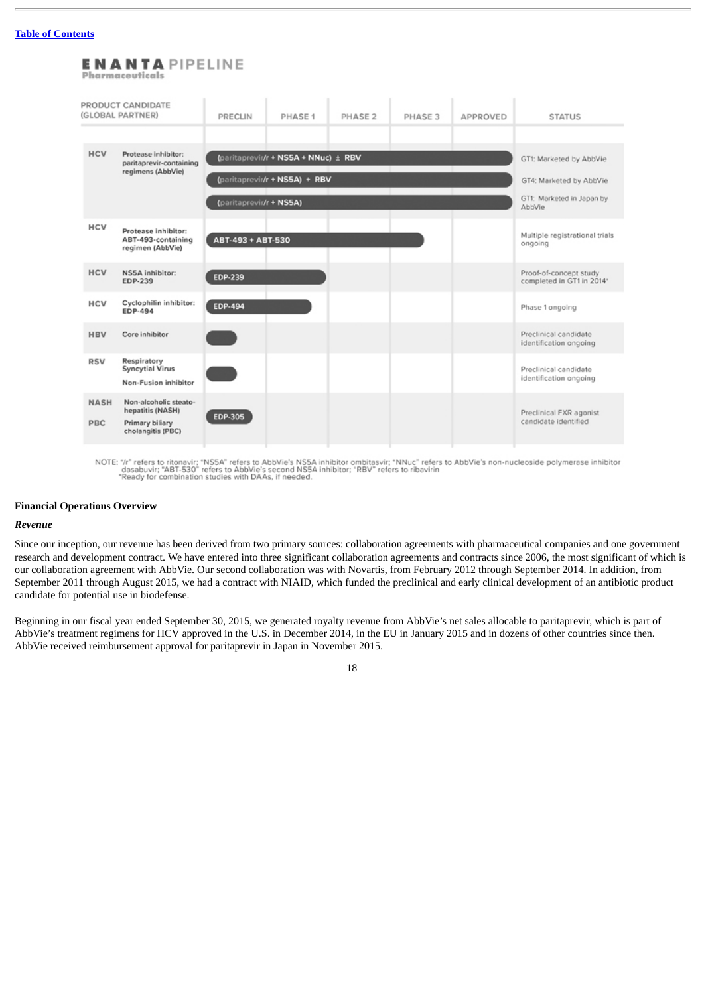

NOTE: "/r" refers to ritonavir: "NS5A" refers to AbbVie's NS5A inhibitor ombitasvir; "NNuc" refers to AbbVie's non-nucleoside polymerase inhibitor<br>dasabuvir: "ABT-530" refers to AbbVie's second NS5A inhibitor; "RBV" refers

#### **Financial Operations Overview**

#### *Revenue*

Since our inception, our revenue has been derived from two primary sources: collaboration agreements with pharmaceutical companies and one government research and development contract. We have entered into three significant collaboration agreements and contracts since 2006, the most significant of which is our collaboration agreement with AbbVie. Our second collaboration was with Novartis, from February 2012 through September 2014. In addition, from September 2011 through August 2015, we had a contract with NIAID, which funded the preclinical and early clinical development of an antibiotic product candidate for potential use in biodefense.

Beginning in our fiscal year ended September 30, 2015, we generated royalty revenue from AbbVie's net sales allocable to paritaprevir, which is part of AbbVie's treatment regimens for HCV approved in the U.S. in December 2014, in the EU in January 2015 and in dozens of other countries since then. AbbVie received reimbursement approval for paritaprevir in Japan in November 2015.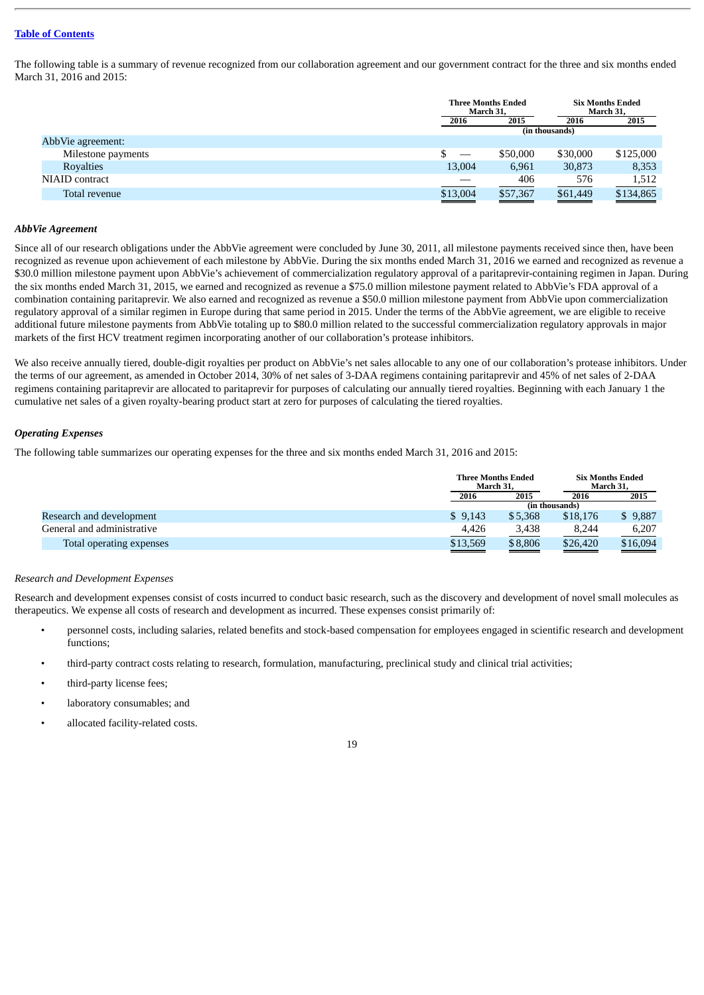The following table is a summary of revenue recognized from our collaboration agreement and our government contract for the three and six months ended March 31, 2016 and 2015:

|                    |                   | <b>Three Months Ended</b><br>March 31, |          | <b>Six Months Ended</b><br>March 31, |
|--------------------|-------------------|----------------------------------------|----------|--------------------------------------|
|                    | 2016              | 2015                                   | 2016     | 2015                                 |
|                    |                   | (in thousands)                         |          |                                      |
| AbbVie agreement:  |                   |                                        |          |                                      |
| Milestone payments | $\hspace{0.05cm}$ | \$50,000                               | \$30,000 | \$125,000                            |
| Rovalties          | 13,004            | 6,961                                  | 30,873   | 8,353                                |
| NIAID contract     |                   | 406                                    | 576      | 1,512                                |
| Total revenue      | \$13,004          | \$57,367                               | \$61,449 | \$134,865                            |

#### *AbbVie Agreement*

Since all of our research obligations under the AbbVie agreement were concluded by June 30, 2011, all milestone payments received since then, have been recognized as revenue upon achievement of each milestone by AbbVie. During the six months ended March 31, 2016 we earned and recognized as revenue a \$30.0 million milestone payment upon AbbVie's achievement of commercialization regulatory approval of a paritaprevir-containing regimen in Japan. During the six months ended March 31, 2015, we earned and recognized as revenue a \$75.0 million milestone payment related to AbbVie's FDA approval of a combination containing paritaprevir. We also earned and recognized as revenue a \$50.0 million milestone payment from AbbVie upon commercialization regulatory approval of a similar regimen in Europe during that same period in 2015. Under the terms of the AbbVie agreement, we are eligible to receive additional future milestone payments from AbbVie totaling up to \$80.0 million related to the successful commercialization regulatory approvals in major markets of the first HCV treatment regimen incorporating another of our collaboration's protease inhibitors.

We also receive annually tiered, double-digit royalties per product on AbbVie's net sales allocable to any one of our collaboration's protease inhibitors. Under the terms of our agreement, as amended in October 2014, 30% of net sales of 3-DAA regimens containing paritaprevir and 45% of net sales of 2-DAA regimens containing paritaprevir are allocated to paritaprevir for purposes of calculating our annually tiered royalties. Beginning with each January 1 the cumulative net sales of a given royalty-bearing product start at zero for purposes of calculating the tiered royalties.

#### *Operating Expenses*

The following table summarizes our operating expenses for the three and six months ended March 31, 2016 and 2015:

|                            |          | <b>Three Months Ended</b><br>March 31. |          | <b>Six Months Ended</b><br>March 31. |
|----------------------------|----------|----------------------------------------|----------|--------------------------------------|
|                            | 2016     | 2015                                   | 2016     | 2015                                 |
|                            |          | (in thousands)                         |          |                                      |
| Research and development   | \$9,143  | \$5,368                                | \$18,176 | \$9,887                              |
| General and administrative | 4.426    | 3,438                                  | 8,244    | 6,207                                |
| Total operating expenses   | \$13,569 | \$8,806                                | \$26,420 | \$16,094                             |

#### *Research and Development Expenses*

Research and development expenses consist of costs incurred to conduct basic research, such as the discovery and development of novel small molecules as therapeutics. We expense all costs of research and development as incurred. These expenses consist primarily of:

- personnel costs, including salaries, related benefits and stock-based compensation for employees engaged in scientific research and development functions;
- third-party contract costs relating to research, formulation, manufacturing, preclinical study and clinical trial activities;
- third-party license fees;
- laboratory consumables; and
- allocated facility-related costs.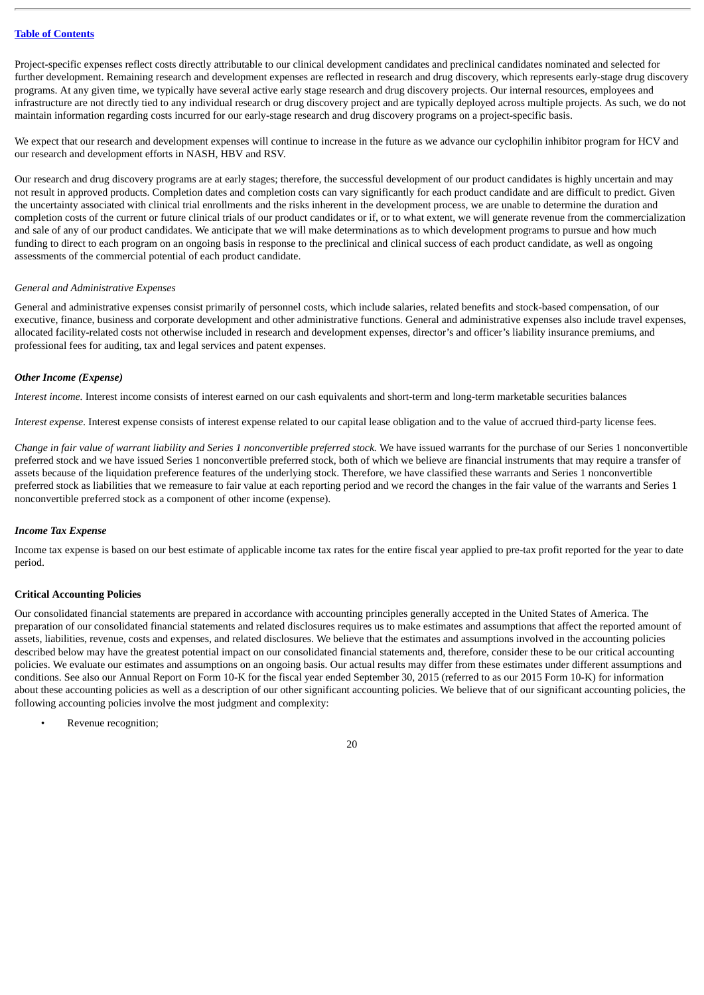Project-specific expenses reflect costs directly attributable to our clinical development candidates and preclinical candidates nominated and selected for further development. Remaining research and development expenses are reflected in research and drug discovery, which represents early-stage drug discovery programs. At any given time, we typically have several active early stage research and drug discovery projects. Our internal resources, employees and infrastructure are not directly tied to any individual research or drug discovery project and are typically deployed across multiple projects. As such, we do not maintain information regarding costs incurred for our early-stage research and drug discovery programs on a project-specific basis.

We expect that our research and development expenses will continue to increase in the future as we advance our cyclophilin inhibitor program for HCV and our research and development efforts in NASH, HBV and RSV.

Our research and drug discovery programs are at early stages; therefore, the successful development of our product candidates is highly uncertain and may not result in approved products. Completion dates and completion costs can vary significantly for each product candidate and are difficult to predict. Given the uncertainty associated with clinical trial enrollments and the risks inherent in the development process, we are unable to determine the duration and completion costs of the current or future clinical trials of our product candidates or if, or to what extent, we will generate revenue from the commercialization and sale of any of our product candidates. We anticipate that we will make determinations as to which development programs to pursue and how much funding to direct to each program on an ongoing basis in response to the preclinical and clinical success of each product candidate, as well as ongoing assessments of the commercial potential of each product candidate.

#### *General and Administrative Expenses*

General and administrative expenses consist primarily of personnel costs, which include salaries, related benefits and stock-based compensation, of our executive, finance, business and corporate development and other administrative functions. General and administrative expenses also include travel expenses, allocated facility-related costs not otherwise included in research and development expenses, director's and officer's liability insurance premiums, and professional fees for auditing, tax and legal services and patent expenses.

#### *Other Income (Expense)*

*Interest income.* Interest income consists of interest earned on our cash equivalents and short-term and long-term marketable securities balances

*Interest expense*. Interest expense consists of interest expense related to our capital lease obligation and to the value of accrued third-party license fees.

Change in fair value of warrant liability and Series 1 nonconvertible preferred stock. We have issued warrants for the purchase of our Series 1 nonconvertible preferred stock and we have issued Series 1 nonconvertible preferred stock, both of which we believe are financial instruments that may require a transfer of assets because of the liquidation preference features of the underlying stock. Therefore, we have classified these warrants and Series 1 nonconvertible preferred stock as liabilities that we remeasure to fair value at each reporting period and we record the changes in the fair value of the warrants and Series 1 nonconvertible preferred stock as a component of other income (expense).

#### *Income Tax Expense*

Income tax expense is based on our best estimate of applicable income tax rates for the entire fiscal year applied to pre-tax profit reported for the year to date period.

#### **Critical Accounting Policies**

Our consolidated financial statements are prepared in accordance with accounting principles generally accepted in the United States of America. The preparation of our consolidated financial statements and related disclosures requires us to make estimates and assumptions that affect the reported amount of assets, liabilities, revenue, costs and expenses, and related disclosures. We believe that the estimates and assumptions involved in the accounting policies described below may have the greatest potential impact on our consolidated financial statements and, therefore, consider these to be our critical accounting policies. We evaluate our estimates and assumptions on an ongoing basis. Our actual results may differ from these estimates under different assumptions and conditions. See also our Annual Report on Form 10-K for the fiscal year ended September 30, 2015 (referred to as our 2015 Form 10-K) for information about these accounting policies as well as a description of our other significant accounting policies. We believe that of our significant accounting policies, the following accounting policies involve the most judgment and complexity:

• Revenue recognition;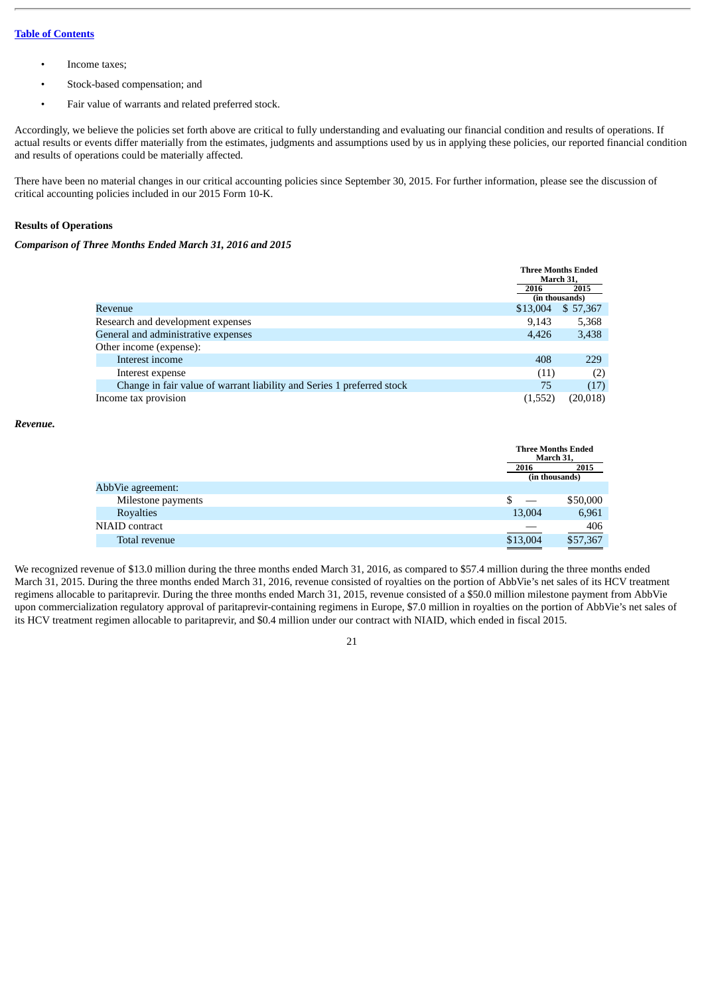- Income taxes;
- Stock-based compensation; and
- Fair value of warrants and related preferred stock.

Accordingly, we believe the policies set forth above are critical to fully understanding and evaluating our financial condition and results of operations. If actual results or events differ materially from the estimates, judgments and assumptions used by us in applying these policies, our reported financial condition and results of operations could be materially affected.

There have been no material changes in our critical accounting policies since September 30, 2015. For further information, please see the discussion of critical accounting policies included in our 2015 Form 10-K.

## **Results of Operations**

#### *Comparison of Three Months Ended March 31, 2016 and 2015*

|                                                                        | <b>Three Months Ended</b><br>March 31. |                |
|------------------------------------------------------------------------|----------------------------------------|----------------|
|                                                                        | 2016                                   | 2015           |
|                                                                        |                                        | (in thousands) |
| Revenue                                                                | \$13,004                               | \$57,367       |
| Research and development expenses                                      | 9.143                                  | 5,368          |
| General and administrative expenses                                    | 4,426                                  | 3,438          |
| Other income (expense):                                                |                                        |                |
| Interest income                                                        | 408                                    | 229            |
| Interest expense                                                       | (11)                                   | (2)            |
| Change in fair value of warrant liability and Series 1 preferred stock | 75                                     | (17)           |
| Income tax provision                                                   | (1,552)                                | (20, 018)      |

#### *Revenue.*

|                    |          | <b>Three Months Ended</b><br>March 31, |
|--------------------|----------|----------------------------------------|
|                    | 2016     | 2015                                   |
|                    |          | (in thousands)                         |
| AbbVie agreement:  |          |                                        |
| Milestone payments |          | \$50,000                               |
| <b>Royalties</b>   | 13,004   | 6,961                                  |
| NIAID contract     |          | 406                                    |
| Total revenue      | \$13,004 | \$57,367                               |

We recognized revenue of \$13.0 million during the three months ended March 31, 2016, as compared to \$57.4 million during the three months ended March 31, 2015. During the three months ended March 31, 2016, revenue consisted of royalties on the portion of AbbVie's net sales of its HCV treatment regimens allocable to paritaprevir. During the three months ended March 31, 2015, revenue consisted of a \$50.0 million milestone payment from AbbVie upon commercialization regulatory approval of paritaprevir-containing regimens in Europe, \$7.0 million in royalties on the portion of AbbVie's net sales of its HCV treatment regimen allocable to paritaprevir, and \$0.4 million under our contract with NIAID, which ended in fiscal 2015.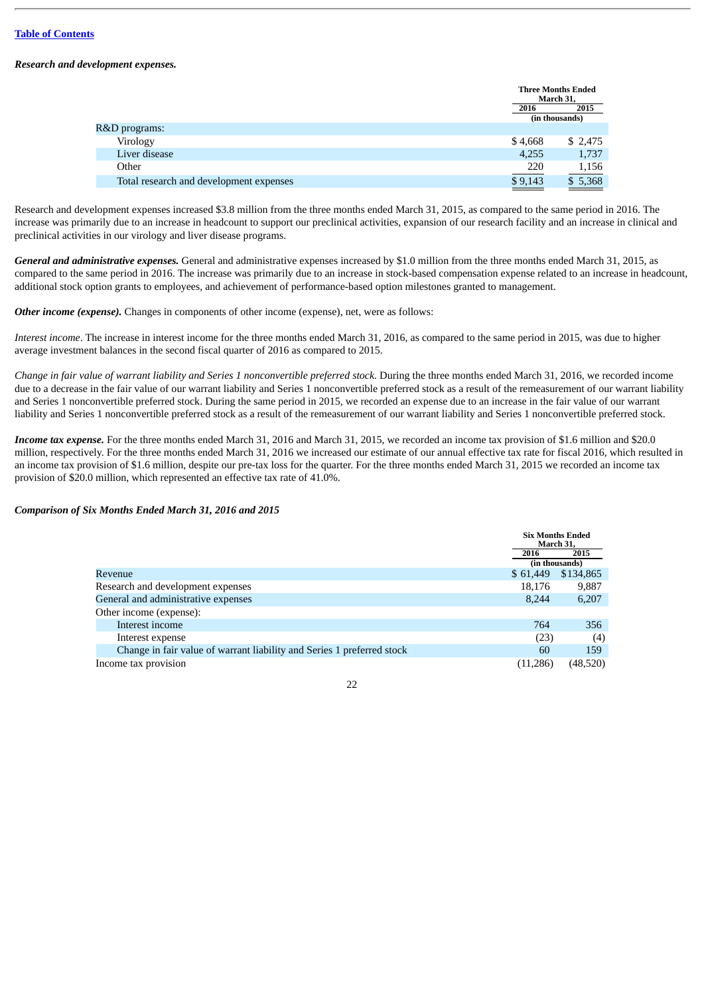#### *Research and development expenses.*

|                                         |         | <b>Three Months Ended</b><br>March 31, |
|-----------------------------------------|---------|----------------------------------------|
|                                         | 2016    | 2015                                   |
|                                         |         | (in thousands)                         |
| R&D programs:                           |         |                                        |
| Virology                                | \$4,668 | \$2,475                                |
| Liver disease                           | 4,255   | 1,737                                  |
| Other                                   | 220     | 1,156                                  |
| Total research and development expenses | \$9,143 | \$5,368                                |

Research and development expenses increased \$3.8 million from the three months ended March 31, 2015, as compared to the same period in 2016. The increase was primarily due to an increase in headcount to support our preclinical activities, expansion of our research facility and an increase in clinical and preclinical activities in our virology and liver disease programs.

*General and administrative expenses.* General and administrative expenses increased by \$1.0 million from the three months ended March 31, 2015, as compared to the same period in 2016. The increase was primarily due to an increase in stock-based compensation expense related to an increase in headcount, additional stock option grants to employees, and achievement of performance-based option milestones granted to management.

*Other income (expense).* Changes in components of other income (expense), net, were as follows:

*Interest income*. The increase in interest income for the three months ended March 31, 2016, as compared to the same period in 2015, was due to higher average investment balances in the second fiscal quarter of 2016 as compared to 2015.

Change in fair value of warrant liability and Series 1 nonconvertible preferred stock. During the three months ended March 31, 2016, we recorded income due to a decrease in the fair value of our warrant liability and Series 1 nonconvertible preferred stock as a result of the remeasurement of our warrant liability and Series 1 nonconvertible preferred stock. During the same period in 2015, we recorded an expense due to an increase in the fair value of our warrant liability and Series 1 nonconvertible preferred stock as a result of the remeasurement of our warrant liability and Series 1 nonconvertible preferred stock.

*Income tax expense.* For the three months ended March 31, 2016 and March 31, 2015, we recorded an income tax provision of \$1.6 million and \$20.0 million, respectively. For the three months ended March 31, 2016 we increased our estimate of our annual effective tax rate for fiscal 2016, which resulted in an income tax provision of \$1.6 million, despite our pre-tax loss for the quarter. For the three months ended March 31, 2015 we recorded an income tax provision of \$20.0 million, which represented an effective tax rate of 41.0%.

## *Comparison of Six Months Ended March 31, 2016 and 2015*

|                                                                        | <b>Six Months Ended</b><br>March 31. |                |
|------------------------------------------------------------------------|--------------------------------------|----------------|
|                                                                        | 2016                                 | 2015           |
|                                                                        |                                      | (in thousands) |
| Revenue                                                                | \$61,449                             | \$134,865      |
| Research and development expenses                                      | 18,176                               | 9,887          |
| General and administrative expenses                                    | 8.244                                | 6,207          |
| Other income (expense):                                                |                                      |                |
| Interest income                                                        | 764                                  | 356            |
| Interest expense                                                       | (23)                                 | (4)            |
| Change in fair value of warrant liability and Series 1 preferred stock | 60                                   | 159            |
| Income tax provision                                                   | (11,286)                             | (48, 520)      |

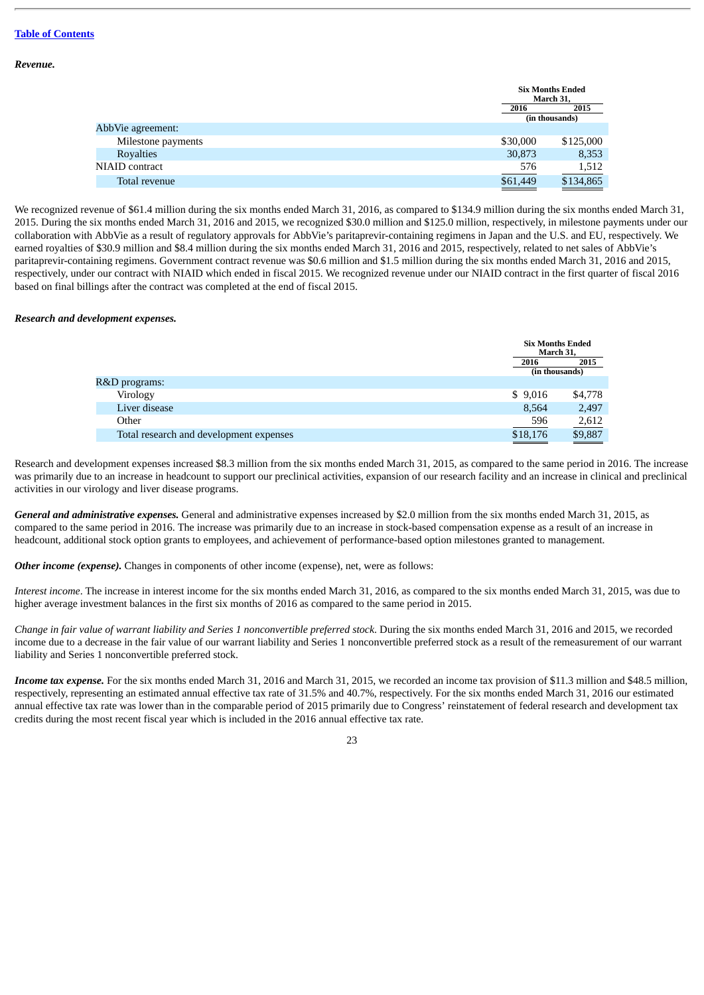#### *Revenue.*

|                    |          | <b>Six Months Ended</b><br>March 31, |  |
|--------------------|----------|--------------------------------------|--|
|                    | 2016     | 2015                                 |  |
|                    |          | (in thousands)                       |  |
| AbbVie agreement:  |          |                                      |  |
| Milestone payments | \$30,000 | \$125,000                            |  |
| <b>Royalties</b>   | 30,873   | 8,353                                |  |
| NIAID contract     | 576      | 1,512                                |  |
| Total revenue      | \$61,449 | \$134,865                            |  |

We recognized revenue of \$61.4 million during the six months ended March 31, 2016, as compared to \$134.9 million during the six months ended March 31, 2015. During the six months ended March 31, 2016 and 2015, we recognized \$30.0 million and \$125.0 million, respectively, in milestone payments under our collaboration with AbbVie as a result of regulatory approvals for AbbVie's paritaprevir-containing regimens in Japan and the U.S. and EU, respectively. We earned royalties of \$30.9 million and \$8.4 million during the six months ended March 31, 2016 and 2015, respectively, related to net sales of AbbVie's paritaprevir-containing regimens. Government contract revenue was \$0.6 million and \$1.5 million during the six months ended March 31, 2016 and 2015, respectively, under our contract with NIAID which ended in fiscal 2015. We recognized revenue under our NIAID contract in the first quarter of fiscal 2016 based on final billings after the contract was completed at the end of fiscal 2015.

#### *Research and development expenses.*

|                                         |                | <b>Six Months Ended</b><br>March 31, |  |
|-----------------------------------------|----------------|--------------------------------------|--|
|                                         | 2016           | 2015                                 |  |
|                                         | (in thousands) |                                      |  |
| R&D programs:                           |                |                                      |  |
| Virology                                | \$9,016        | \$4,778                              |  |
| Liver disease                           | 8,564          | 2,497                                |  |
| Other                                   | 596            | 2,612                                |  |
| Total research and development expenses | \$18,176       | \$9,887                              |  |

Research and development expenses increased \$8.3 million from the six months ended March 31, 2015, as compared to the same period in 2016. The increase was primarily due to an increase in headcount to support our preclinical activities, expansion of our research facility and an increase in clinical and preclinical activities in our virology and liver disease programs.

*General and administrative expenses.* General and administrative expenses increased by \$2.0 million from the six months ended March 31, 2015, as compared to the same period in 2016. The increase was primarily due to an increase in stock-based compensation expense as a result of an increase in headcount, additional stock option grants to employees, and achievement of performance-based option milestones granted to management.

*Other income (expense).* Changes in components of other income (expense), net, were as follows:

*Interest income*. The increase in interest income for the six months ended March 31, 2016, as compared to the six months ended March 31, 2015, was due to higher average investment balances in the first six months of 2016 as compared to the same period in 2015.

Change in fair value of warrant liability and Series 1 nonconvertible preferred stock. During the six months ended March 31, 2016 and 2015, we recorded income due to a decrease in the fair value of our warrant liability and Series 1 nonconvertible preferred stock as a result of the remeasurement of our warrant liability and Series 1 nonconvertible preferred stock.

*Income tax expense.* For the six months ended March 31, 2016 and March 31, 2015, we recorded an income tax provision of \$11.3 million and \$48.5 million, respectively, representing an estimated annual effective tax rate of 31.5% and 40.7%, respectively. For the six months ended March 31, 2016 our estimated annual effective tax rate was lower than in the comparable period of 2015 primarily due to Congress' reinstatement of federal research and development tax credits during the most recent fiscal year which is included in the 2016 annual effective tax rate.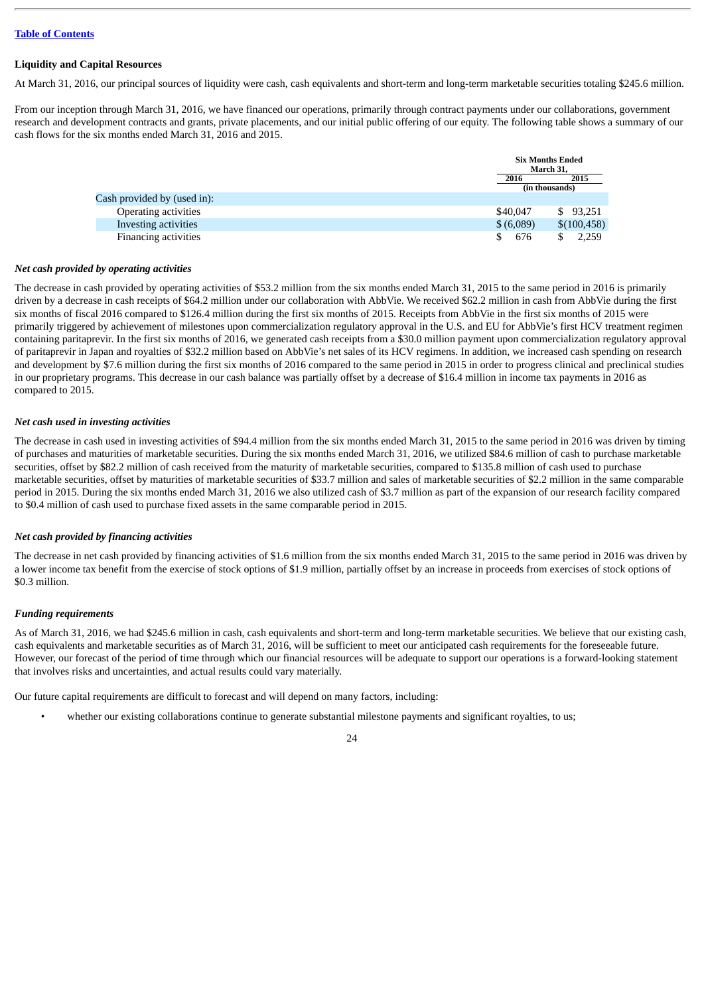#### **Liquidity and Capital Resources**

At March 31, 2016, our principal sources of liquidity were cash, cash equivalents and short-term and long-term marketable securities totaling \$245.6 million.

From our inception through March 31, 2016, we have financed our operations, primarily through contract payments under our collaborations, government research and development contracts and grants, private placements, and our initial public offering of our equity. The following table shows a summary of our cash flows for the six months ended March 31, 2016 and 2015.

|                             |            | <b>Six Months Ended</b><br>March 31, |  |  |
|-----------------------------|------------|--------------------------------------|--|--|
|                             | 2016       | 2015                                 |  |  |
| Cash provided by (used in): |            | (in thousands)                       |  |  |
| Operating activities        | \$40,047   | 93,251<br>S.                         |  |  |
| Investing activities        | \$ (6,089) | \$(100,458)                          |  |  |
| <b>Financing activities</b> | 676        | 2,259<br>\$                          |  |  |

#### *Net cash provided by operating activities*

The decrease in cash provided by operating activities of \$53.2 million from the six months ended March 31, 2015 to the same period in 2016 is primarily driven by a decrease in cash receipts of \$64.2 million under our collaboration with AbbVie. We received \$62.2 million in cash from AbbVie during the first six months of fiscal 2016 compared to \$126.4 million during the first six months of 2015. Receipts from AbbVie in the first six months of 2015 were primarily triggered by achievement of milestones upon commercialization regulatory approval in the U.S. and EU for AbbVie's first HCV treatment regimen containing paritaprevir. In the first six months of 2016, we generated cash receipts from a \$30.0 million payment upon commercialization regulatory approval of paritaprevir in Japan and royalties of \$32.2 million based on AbbVie's net sales of its HCV regimens. In addition, we increased cash spending on research and development by \$7.6 million during the first six months of 2016 compared to the same period in 2015 in order to progress clinical and preclinical studies in our proprietary programs. This decrease in our cash balance was partially offset by a decrease of \$16.4 million in income tax payments in 2016 as compared to 2015.

#### *Net cash used in investing activities*

The decrease in cash used in investing activities of \$94.4 million from the six months ended March 31, 2015 to the same period in 2016 was driven by timing of purchases and maturities of marketable securities. During the six months ended March 31, 2016, we utilized \$84.6 million of cash to purchase marketable securities, offset by \$82.2 million of cash received from the maturity of marketable securities, compared to \$135.8 million of cash used to purchase marketable securities, offset by maturities of marketable securities of \$33.7 million and sales of marketable securities of \$2.2 million in the same comparable period in 2015. During the six months ended March 31, 2016 we also utilized cash of \$3.7 million as part of the expansion of our research facility compared to \$0.4 million of cash used to purchase fixed assets in the same comparable period in 2015.

#### *Net cash provided by financing activities*

The decrease in net cash provided by financing activities of \$1.6 million from the six months ended March 31, 2015 to the same period in 2016 was driven by a lower income tax benefit from the exercise of stock options of \$1.9 million, partially offset by an increase in proceeds from exercises of stock options of \$0.3 million.

#### *Funding requirements*

As of March 31, 2016, we had \$245.6 million in cash, cash equivalents and short-term and long-term marketable securities. We believe that our existing cash, cash equivalents and marketable securities as of March 31, 2016, will be sufficient to meet our anticipated cash requirements for the foreseeable future. However, our forecast of the period of time through which our financial resources will be adequate to support our operations is a forward-looking statement that involves risks and uncertainties, and actual results could vary materially.

Our future capital requirements are difficult to forecast and will depend on many factors, including:

• whether our existing collaborations continue to generate substantial milestone payments and significant royalties, to us;

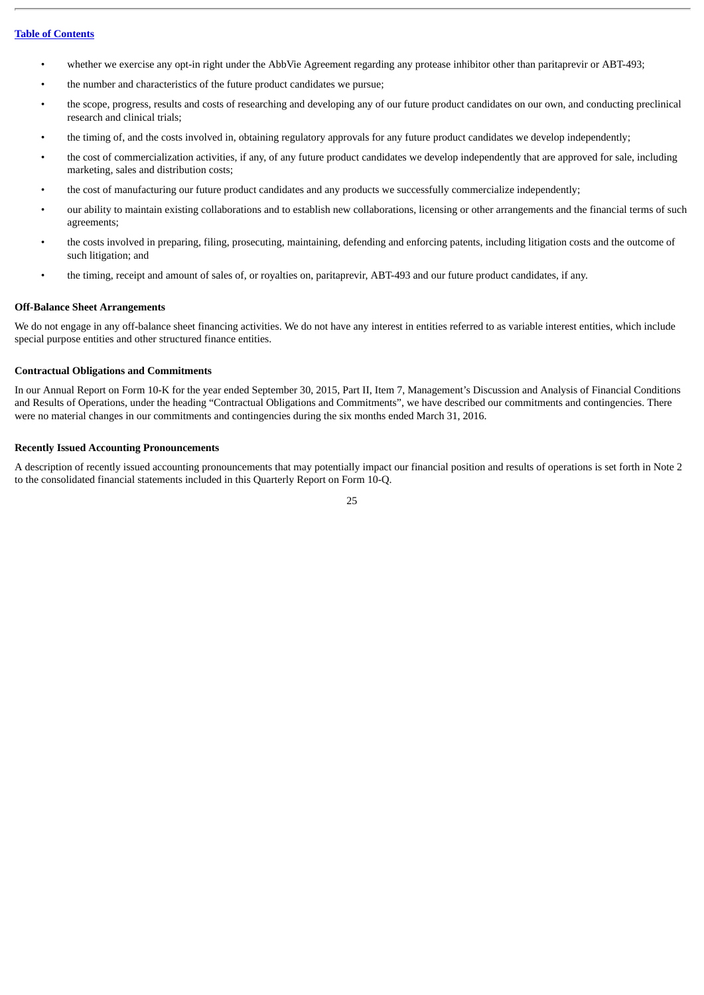- whether we exercise any opt-in right under the AbbVie Agreement regarding any protease inhibitor other than paritaprevir or ABT-493;
- the number and characteristics of the future product candidates we pursue;
- the scope, progress, results and costs of researching and developing any of our future product candidates on our own, and conducting preclinical research and clinical trials;
- the timing of, and the costs involved in, obtaining regulatory approvals for any future product candidates we develop independently;
- the cost of commercialization activities, if any, of any future product candidates we develop independently that are approved for sale, including marketing, sales and distribution costs;
- the cost of manufacturing our future product candidates and any products we successfully commercialize independently;
- our ability to maintain existing collaborations and to establish new collaborations, licensing or other arrangements and the financial terms of such agreements;
- the costs involved in preparing, filing, prosecuting, maintaining, defending and enforcing patents, including litigation costs and the outcome of such litigation; and
- the timing, receipt and amount of sales of, or royalties on, paritaprevir, ABT-493 and our future product candidates, if any.

#### **Off-Balance Sheet Arrangements**

We do not engage in any off-balance sheet financing activities. We do not have any interest in entities referred to as variable interest entities, which include special purpose entities and other structured finance entities.

#### **Contractual Obligations and Commitments**

In our Annual Report on Form 10-K for the year ended September 30, 2015, Part II, Item 7, Management's Discussion and Analysis of Financial Conditions and Results of Operations, under the heading "Contractual Obligations and Commitments", we have described our commitments and contingencies. There were no material changes in our commitments and contingencies during the six months ended March 31, 2016.

#### **Recently Issued Accounting Pronouncements**

A description of recently issued accounting pronouncements that may potentially impact our financial position and results of operations is set forth in Note 2 to the consolidated financial statements included in this Quarterly Report on Form 10-Q.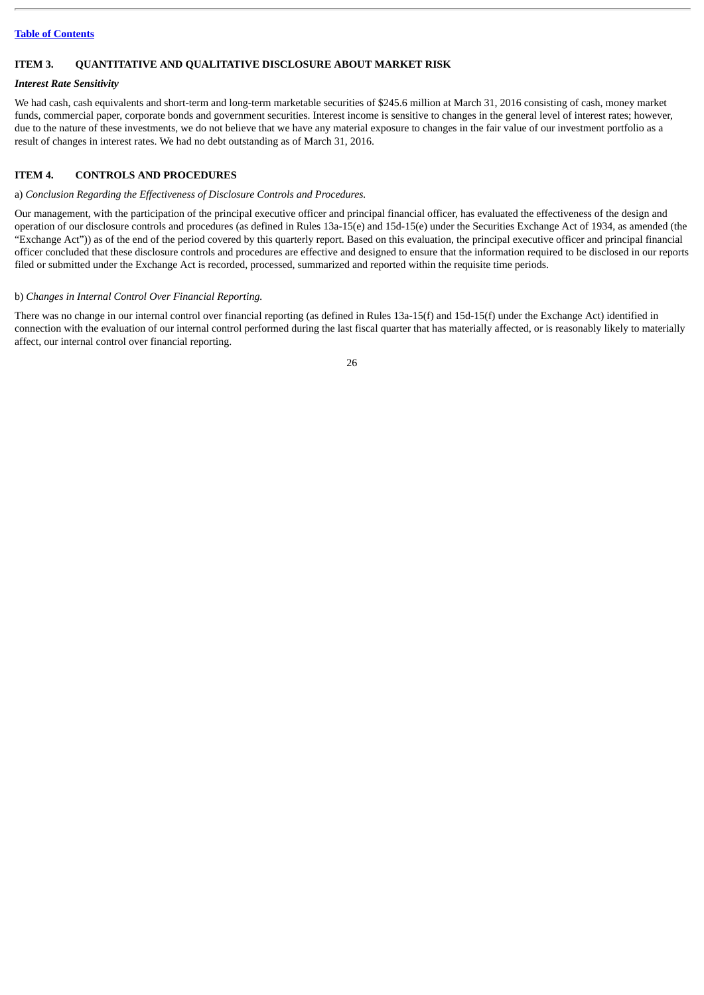#### <span id="page-25-0"></span>**ITEM 3. QUANTITATIVE AND QUALITATIVE DISCLOSURE ABOUT MARKET RISK**

#### *Interest Rate Sensitivity*

We had cash, cash equivalents and short-term and long-term marketable securities of \$245.6 million at March 31, 2016 consisting of cash, money market funds, commercial paper, corporate bonds and government securities. Interest income is sensitive to changes in the general level of interest rates; however, due to the nature of these investments, we do not believe that we have any material exposure to changes in the fair value of our investment portfolio as a result of changes in interest rates. We had no debt outstanding as of March 31, 2016.

#### <span id="page-25-1"></span>**ITEM 4. CONTROLS AND PROCEDURES**

#### a) *Conclusion Regarding the Effectiveness of Disclosure Controls and Procedures.*

Our management, with the participation of the principal executive officer and principal financial officer, has evaluated the effectiveness of the design and operation of our disclosure controls and procedures (as defined in Rules 13a-15(e) and 15d-15(e) under the Securities Exchange Act of 1934, as amended (the "Exchange Act")) as of the end of the period covered by this quarterly report. Based on this evaluation, the principal executive officer and principal financial officer concluded that these disclosure controls and procedures are effective and designed to ensure that the information required to be disclosed in our reports filed or submitted under the Exchange Act is recorded, processed, summarized and reported within the requisite time periods.

#### b) *Changes in Internal Control Over Financial Reporting.*

There was no change in our internal control over financial reporting (as defined in Rules 13a-15(f) and 15d-15(f) under the Exchange Act) identified in connection with the evaluation of our internal control performed during the last fiscal quarter that has materially affected, or is reasonably likely to materially affect, our internal control over financial reporting.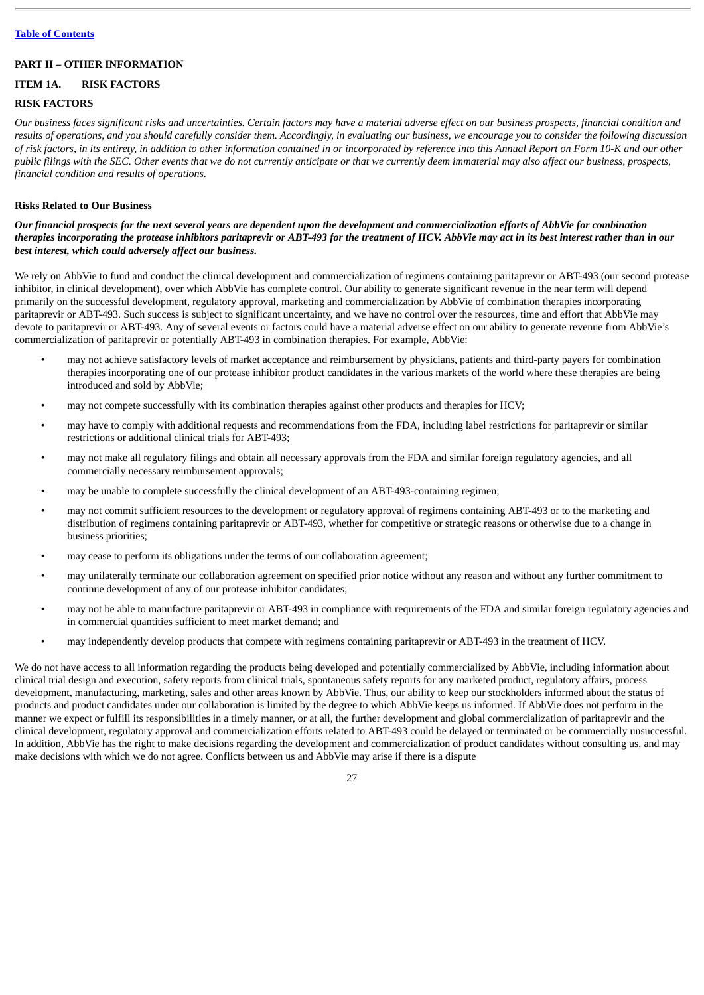## <span id="page-26-0"></span>**PART II – OTHER INFORMATION**

## <span id="page-26-1"></span>**ITEM 1A. RISK FACTORS**

#### **RISK FACTORS**

Our business faces significant risks and uncertainties. Certain factors may have a material adverse effect on our business prospects, financial condition and results of operations, and you should carefully consider them. Accordingly, in evaluating our business, we encourage you to consider the following discussion of risk factors, in its entirety, in addition to other information contained in or incorporated by reference into this Annual Report on Form 10-K and our other public filings with the SEC. Other events that we do not currently anticipate or that we currently deem immaterial may also affect our business, prospects, *financial condition and results of operations.*

#### **Risks Related to Our Business**

Our financial prospects for the next several years are dependent upon the development and commercialization efforts of AbbVie for combination therapies incorporating the protease inhibitors paritaprevir or ABT-493 for the treatment of HCV. AbbVie may act in its best interest rather than in our *best interest, which could adversely affect our business.*

We rely on AbbVie to fund and conduct the clinical development and commercialization of regimens containing paritaprevir or ABT-493 (our second protease inhibitor, in clinical development), over which AbbVie has complete control. Our ability to generate significant revenue in the near term will depend primarily on the successful development, regulatory approval, marketing and commercialization by AbbVie of combination therapies incorporating paritaprevir or ABT-493. Such success is subject to significant uncertainty, and we have no control over the resources, time and effort that AbbVie may devote to paritaprevir or ABT-493. Any of several events or factors could have a material adverse effect on our ability to generate revenue from AbbVie's commercialization of paritaprevir or potentially ABT-493 in combination therapies. For example, AbbVie:

- may not achieve satisfactory levels of market acceptance and reimbursement by physicians, patients and third-party payers for combination therapies incorporating one of our protease inhibitor product candidates in the various markets of the world where these therapies are being introduced and sold by AbbVie;
- may not compete successfully with its combination therapies against other products and therapies for HCV;
- may have to comply with additional requests and recommendations from the FDA, including label restrictions for paritaprevir or similar restrictions or additional clinical trials for ABT-493;
- may not make all regulatory filings and obtain all necessary approvals from the FDA and similar foreign regulatory agencies, and all commercially necessary reimbursement approvals;
- may be unable to complete successfully the clinical development of an ABT-493-containing regimen;
- may not commit sufficient resources to the development or regulatory approval of regimens containing ABT-493 or to the marketing and distribution of regimens containing paritaprevir or ABT-493, whether for competitive or strategic reasons or otherwise due to a change in business priorities;
- may cease to perform its obligations under the terms of our collaboration agreement;
- may unilaterally terminate our collaboration agreement on specified prior notice without any reason and without any further commitment to continue development of any of our protease inhibitor candidates;
- may not be able to manufacture paritaprevir or ABT-493 in compliance with requirements of the FDA and similar foreign regulatory agencies and in commercial quantities sufficient to meet market demand; and
- may independently develop products that compete with regimens containing paritaprevir or ABT-493 in the treatment of HCV.

We do not have access to all information regarding the products being developed and potentially commercialized by AbbVie, including information about clinical trial design and execution, safety reports from clinical trials, spontaneous safety reports for any marketed product, regulatory affairs, process development, manufacturing, marketing, sales and other areas known by AbbVie. Thus, our ability to keep our stockholders informed about the status of products and product candidates under our collaboration is limited by the degree to which AbbVie keeps us informed. If AbbVie does not perform in the manner we expect or fulfill its responsibilities in a timely manner, or at all, the further development and global commercialization of paritaprevir and the clinical development, regulatory approval and commercialization efforts related to ABT-493 could be delayed or terminated or be commercially unsuccessful. In addition, AbbVie has the right to make decisions regarding the development and commercialization of product candidates without consulting us, and may make decisions with which we do not agree. Conflicts between us and AbbVie may arise if there is a dispute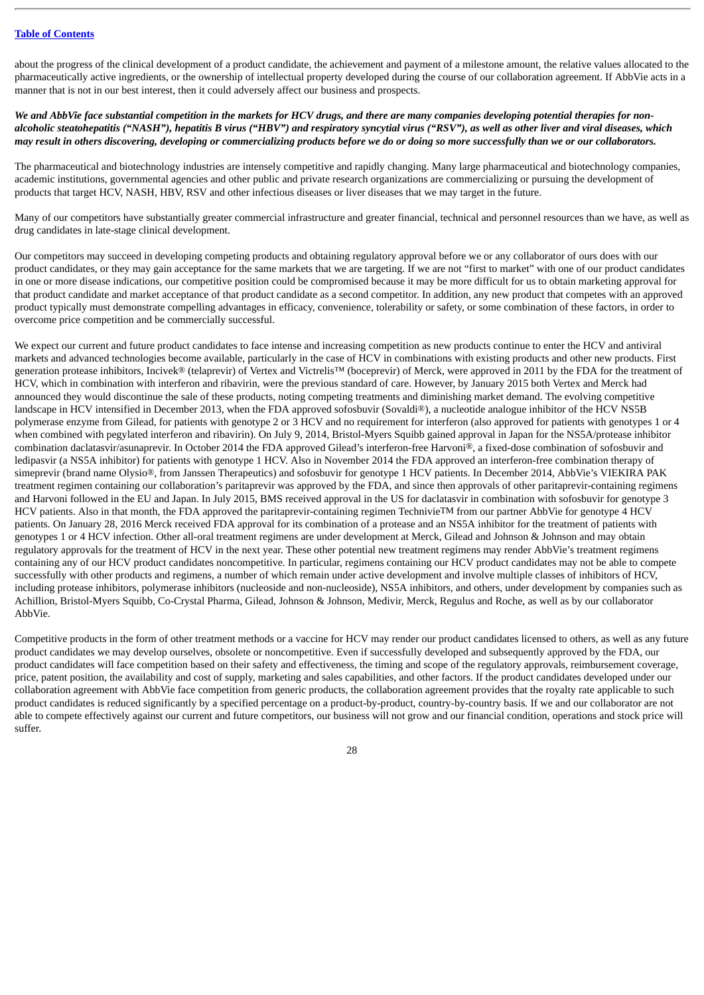about the progress of the clinical development of a product candidate, the achievement and payment of a milestone amount, the relative values allocated to the pharmaceutically active ingredients, or the ownership of intellectual property developed during the course of our collaboration agreement. If AbbVie acts in a manner that is not in our best interest, then it could adversely affect our business and prospects.

We and AbbVie face substantial competition in the markets for HCV drugs, and there are many companies developing potential therapies for nonalcoholic steatohepatitis ("NASH"), hepatitis B virus ("HBV") and respiratory syncytial virus ("RSV"), as well as other liver and viral diseases, which may result in others discovering, developing or commercializing products before we do or doing so more successfully than we or our collaborators.

The pharmaceutical and biotechnology industries are intensely competitive and rapidly changing. Many large pharmaceutical and biotechnology companies, academic institutions, governmental agencies and other public and private research organizations are commercializing or pursuing the development of products that target HCV, NASH, HBV, RSV and other infectious diseases or liver diseases that we may target in the future.

Many of our competitors have substantially greater commercial infrastructure and greater financial, technical and personnel resources than we have, as well as drug candidates in late-stage clinical development.

Our competitors may succeed in developing competing products and obtaining regulatory approval before we or any collaborator of ours does with our product candidates, or they may gain acceptance for the same markets that we are targeting. If we are not "first to market" with one of our product candidates in one or more disease indications, our competitive position could be compromised because it may be more difficult for us to obtain marketing approval for that product candidate and market acceptance of that product candidate as a second competitor. In addition, any new product that competes with an approved product typically must demonstrate compelling advantages in efficacy, convenience, tolerability or safety, or some combination of these factors, in order to overcome price competition and be commercially successful.

We expect our current and future product candidates to face intense and increasing competition as new products continue to enter the HCV and antiviral markets and advanced technologies become available, particularly in the case of HCV in combinations with existing products and other new products. First generation protease inhibitors, Incivek<sup>®</sup> (telaprevir) of Vertex and Victrelis™ (boceprevir) of Merck, were approved in 2011 by the FDA for the treatment of HCV, which in combination with interferon and ribavirin, were the previous standard of care. However, by January 2015 both Vertex and Merck had announced they would discontinue the sale of these products, noting competing treatments and diminishing market demand. The evolving competitive landscape in HCV intensified in December 2013, when the FDA approved sofosbuvir (Sovaldi®), a nucleotide analogue inhibitor of the HCV NS5B polymerase enzyme from Gilead, for patients with genotype 2 or 3 HCV and no requirement for interferon (also approved for patients with genotypes 1 or 4 when combined with pegylated interferon and ribavirin). On July 9, 2014, Bristol-Myers Squibb gained approval in Japan for the NS5A/protease inhibitor combination daclatasvir/asunaprevir. In October 2014 the FDA approved Gilead's interferon-free Harvoni®, a fixed-dose combination of sofosbuvir and ledipasvir (a NS5A inhibitor) for patients with genotype 1 HCV. Also in November 2014 the FDA approved an interferon-free combination therapy of simeprevir (brand name Olysio®, from Janssen Therapeutics) and sofosbuvir for genotype 1 HCV patients. In December 2014, AbbVie's VIEKIRA PAK treatment regimen containing our collaboration's paritaprevir was approved by the FDA, and since then approvals of other paritaprevir-containing regimens and Harvoni followed in the EU and Japan. In July 2015, BMS received approval in the US for daclatasvir in combination with sofosbuvir for genotype 3 HCV patients. Also in that month, the FDA approved the paritaprevir-containing regimen TechnivieTM from our partner AbbVie for genotype 4 HCV patients. On January 28, 2016 Merck received FDA approval for its combination of a protease and an NS5A inhibitor for the treatment of patients with genotypes 1 or 4 HCV infection. Other all-oral treatment regimens are under development at Merck, Gilead and Johnson & Johnson and may obtain regulatory approvals for the treatment of HCV in the next year. These other potential new treatment regimens may render AbbVie's treatment regimens containing any of our HCV product candidates noncompetitive. In particular, regimens containing our HCV product candidates may not be able to compete successfully with other products and regimens, a number of which remain under active development and involve multiple classes of inhibitors of HCV, including protease inhibitors, polymerase inhibitors (nucleoside and non-nucleoside), NS5A inhibitors, and others, under development by companies such as Achillion, Bristol-Myers Squibb, Co-Crystal Pharma, Gilead, Johnson & Johnson, Medivir, Merck, Regulus and Roche, as well as by our collaborator AbbVie.

Competitive products in the form of other treatment methods or a vaccine for HCV may render our product candidates licensed to others, as well as any future product candidates we may develop ourselves, obsolete or noncompetitive. Even if successfully developed and subsequently approved by the FDA, our product candidates will face competition based on their safety and effectiveness, the timing and scope of the regulatory approvals, reimbursement coverage, price, patent position, the availability and cost of supply, marketing and sales capabilities, and other factors. If the product candidates developed under our collaboration agreement with AbbVie face competition from generic products, the collaboration agreement provides that the royalty rate applicable to such product candidates is reduced significantly by a specified percentage on a product-by-product, country-by-country basis. If we and our collaborator are not able to compete effectively against our current and future competitors, our business will not grow and our financial condition, operations and stock price will suffer.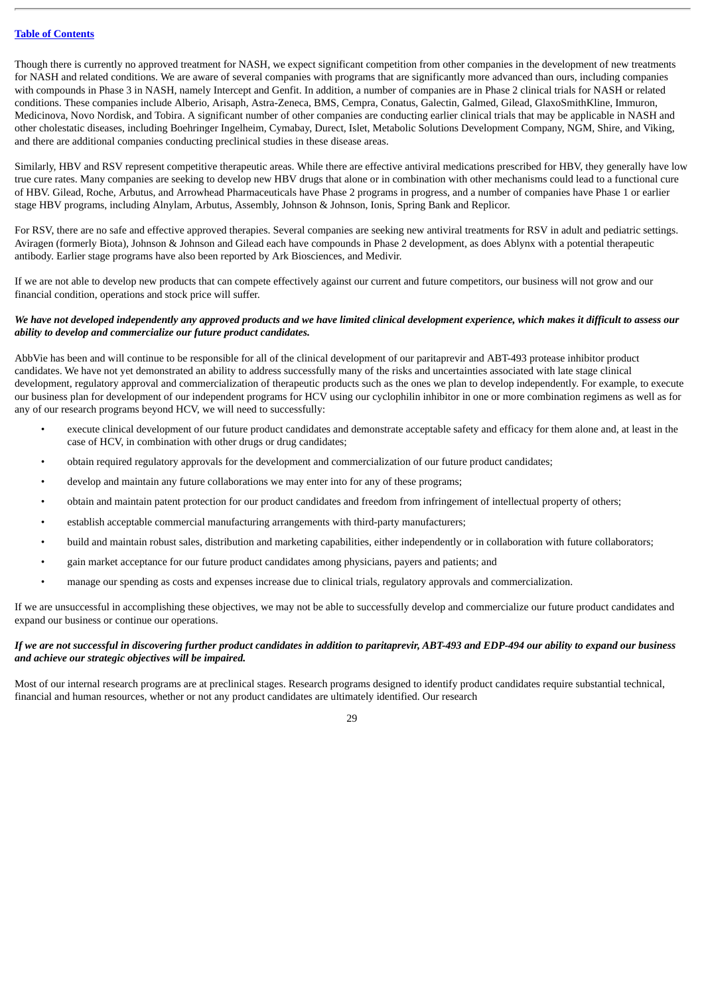Though there is currently no approved treatment for NASH, we expect significant competition from other companies in the development of new treatments for NASH and related conditions. We are aware of several companies with programs that are significantly more advanced than ours, including companies with compounds in Phase 3 in NASH, namely Intercept and Genfit. In addition, a number of companies are in Phase 2 clinical trials for NASH or related conditions. These companies include Alberio, Arisaph, Astra-Zeneca, BMS, Cempra, Conatus, Galectin, Galmed, Gilead, GlaxoSmithKline, Immuron, Medicinova, Novo Nordisk, and Tobira. A significant number of other companies are conducting earlier clinical trials that may be applicable in NASH and other cholestatic diseases, including Boehringer Ingelheim, Cymabay, Durect, Islet, Metabolic Solutions Development Company, NGM, Shire, and Viking, and there are additional companies conducting preclinical studies in these disease areas.

Similarly, HBV and RSV represent competitive therapeutic areas. While there are effective antiviral medications prescribed for HBV, they generally have low true cure rates. Many companies are seeking to develop new HBV drugs that alone or in combination with other mechanisms could lead to a functional cure of HBV. Gilead, Roche, Arbutus, and Arrowhead Pharmaceuticals have Phase 2 programs in progress, and a number of companies have Phase 1 or earlier stage HBV programs, including Alnylam, Arbutus, Assembly, Johnson & Johnson, Ionis, Spring Bank and Replicor.

For RSV, there are no safe and effective approved therapies. Several companies are seeking new antiviral treatments for RSV in adult and pediatric settings. Aviragen (formerly Biota), Johnson & Johnson and Gilead each have compounds in Phase 2 development, as does Ablynx with a potential therapeutic antibody. Earlier stage programs have also been reported by Ark Biosciences, and Medivir.

If we are not able to develop new products that can compete effectively against our current and future competitors, our business will not grow and our financial condition, operations and stock price will suffer.

## We have not developed independently any approved products and we have limited clinical development experience, which makes it difficult to assess our *ability to develop and commercialize our future product candidates.*

AbbVie has been and will continue to be responsible for all of the clinical development of our paritaprevir and ABT-493 protease inhibitor product candidates. We have not yet demonstrated an ability to address successfully many of the risks and uncertainties associated with late stage clinical development, regulatory approval and commercialization of therapeutic products such as the ones we plan to develop independently. For example, to execute our business plan for development of our independent programs for HCV using our cyclophilin inhibitor in one or more combination regimens as well as for any of our research programs beyond HCV, we will need to successfully:

- execute clinical development of our future product candidates and demonstrate acceptable safety and efficacy for them alone and, at least in the case of HCV, in combination with other drugs or drug candidates;
- obtain required regulatory approvals for the development and commercialization of our future product candidates;
- develop and maintain any future collaborations we may enter into for any of these programs;
- obtain and maintain patent protection for our product candidates and freedom from infringement of intellectual property of others;
- establish acceptable commercial manufacturing arrangements with third-party manufacturers;
- build and maintain robust sales, distribution and marketing capabilities, either independently or in collaboration with future collaborators;
- gain market acceptance for our future product candidates among physicians, payers and patients; and
- manage our spending as costs and expenses increase due to clinical trials, regulatory approvals and commercialization.

If we are unsuccessful in accomplishing these objectives, we may not be able to successfully develop and commercialize our future product candidates and expand our business or continue our operations.

## If we are not successful in discovering further product candidates in addition to paritaprevir, ABT-493 and EDP-494 our ability to expand our business *and achieve our strategic objectives will be impaired.*

Most of our internal research programs are at preclinical stages. Research programs designed to identify product candidates require substantial technical, financial and human resources, whether or not any product candidates are ultimately identified. Our research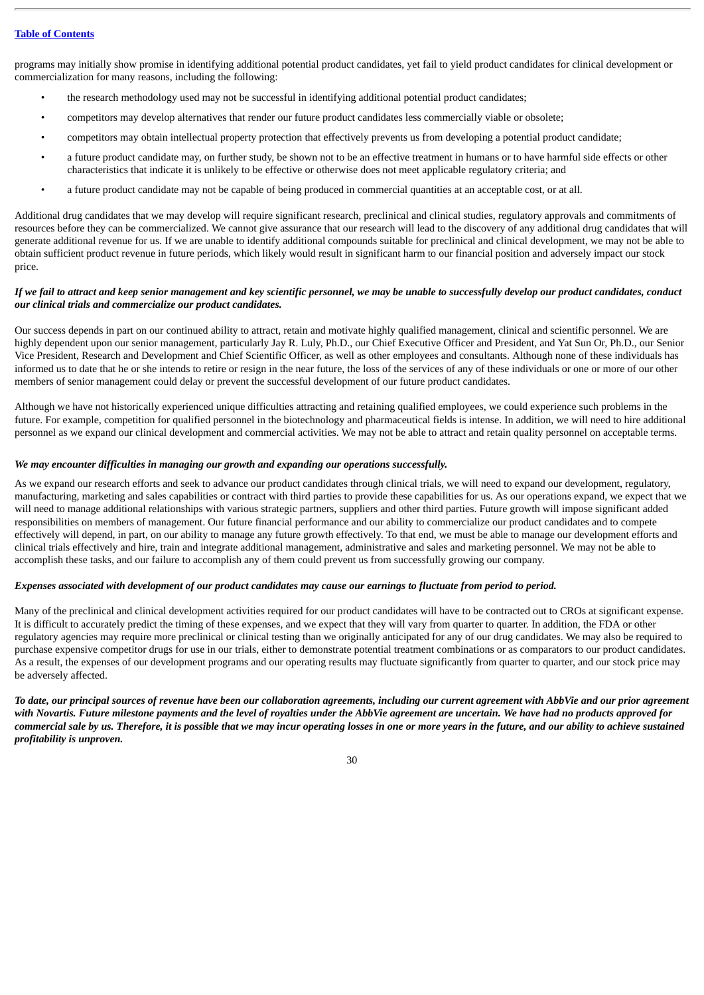programs may initially show promise in identifying additional potential product candidates, yet fail to yield product candidates for clinical development or commercialization for many reasons, including the following:

- the research methodology used may not be successful in identifying additional potential product candidates;
- competitors may develop alternatives that render our future product candidates less commercially viable or obsolete;
- competitors may obtain intellectual property protection that effectively prevents us from developing a potential product candidate;
- a future product candidate may, on further study, be shown not to be an effective treatment in humans or to have harmful side effects or other characteristics that indicate it is unlikely to be effective or otherwise does not meet applicable regulatory criteria; and
- a future product candidate may not be capable of being produced in commercial quantities at an acceptable cost, or at all.

Additional drug candidates that we may develop will require significant research, preclinical and clinical studies, regulatory approvals and commitments of resources before they can be commercialized. We cannot give assurance that our research will lead to the discovery of any additional drug candidates that will generate additional revenue for us. If we are unable to identify additional compounds suitable for preclinical and clinical development, we may not be able to obtain sufficient product revenue in future periods, which likely would result in significant harm to our financial position and adversely impact our stock price.

#### If we fail to attract and keep senior management and key scientific personnel, we may be unable to successfully develop our product candidates, conduct *our clinical trials and commercialize our product candidates.*

Our success depends in part on our continued ability to attract, retain and motivate highly qualified management, clinical and scientific personnel. We are highly dependent upon our senior management, particularly Jay R. Luly, Ph.D., our Chief Executive Officer and President, and Yat Sun Or, Ph.D., our Senior Vice President, Research and Development and Chief Scientific Officer, as well as other employees and consultants. Although none of these individuals has informed us to date that he or she intends to retire or resign in the near future, the loss of the services of any of these individuals or one or more of our other members of senior management could delay or prevent the successful development of our future product candidates.

Although we have not historically experienced unique difficulties attracting and retaining qualified employees, we could experience such problems in the future. For example, competition for qualified personnel in the biotechnology and pharmaceutical fields is intense. In addition, we will need to hire additional personnel as we expand our clinical development and commercial activities. We may not be able to attract and retain quality personnel on acceptable terms.

#### *We may encounter difficulties in managing our growth and expanding our operations successfully.*

As we expand our research efforts and seek to advance our product candidates through clinical trials, we will need to expand our development, regulatory, manufacturing, marketing and sales capabilities or contract with third parties to provide these capabilities for us. As our operations expand, we expect that we will need to manage additional relationships with various strategic partners, suppliers and other third parties. Future growth will impose significant added responsibilities on members of management. Our future financial performance and our ability to commercialize our product candidates and to compete effectively will depend, in part, on our ability to manage any future growth effectively. To that end, we must be able to manage our development efforts and clinical trials effectively and hire, train and integrate additional management, administrative and sales and marketing personnel. We may not be able to accomplish these tasks, and our failure to accomplish any of them could prevent us from successfully growing our company.

#### Expenses associated with development of our product candidates may cause our earnings to fluctuate from period to period.

Many of the preclinical and clinical development activities required for our product candidates will have to be contracted out to CROs at significant expense. It is difficult to accurately predict the timing of these expenses, and we expect that they will vary from quarter to quarter. In addition, the FDA or other regulatory agencies may require more preclinical or clinical testing than we originally anticipated for any of our drug candidates. We may also be required to purchase expensive competitor drugs for use in our trials, either to demonstrate potential treatment combinations or as comparators to our product candidates. As a result, the expenses of our development programs and our operating results may fluctuate significantly from quarter to quarter, and our stock price may be adversely affected.

To date, our principal sources of revenue have been our collaboration agreements, including our current agreement with AbbVie and our prior agreement with Novartis. Future milestone payments and the level of royalties under the AbbVie agreement are uncertain. We have had no products approved for commercial sale by us. Therefore, it is possible that we may incur operating losses in one or more years in the future, and our ability to achieve sustained *profitability is unproven.*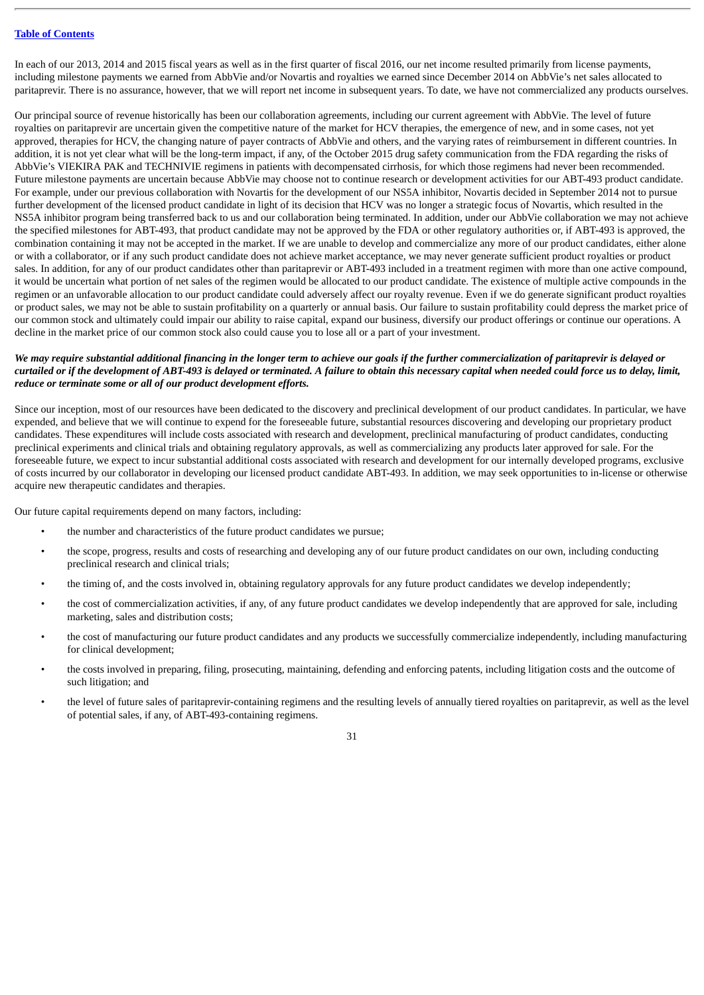In each of our 2013, 2014 and 2015 fiscal years as well as in the first quarter of fiscal 2016, our net income resulted primarily from license payments, including milestone payments we earned from AbbVie and/or Novartis and royalties we earned since December 2014 on AbbVie's net sales allocated to paritaprevir. There is no assurance, however, that we will report net income in subsequent years. To date, we have not commercialized any products ourselves.

Our principal source of revenue historically has been our collaboration agreements, including our current agreement with AbbVie. The level of future royalties on paritaprevir are uncertain given the competitive nature of the market for HCV therapies, the emergence of new, and in some cases, not yet approved, therapies for HCV, the changing nature of payer contracts of AbbVie and others, and the varying rates of reimbursement in different countries. In addition, it is not yet clear what will be the long-term impact, if any, of the October 2015 drug safety communication from the FDA regarding the risks of AbbVie's VIEKIRA PAK and TECHNIVIE regimens in patients with decompensated cirrhosis, for which those regimens had never been recommended. Future milestone payments are uncertain because AbbVie may choose not to continue research or development activities for our ABT-493 product candidate. For example, under our previous collaboration with Novartis for the development of our NS5A inhibitor, Novartis decided in September 2014 not to pursue further development of the licensed product candidate in light of its decision that HCV was no longer a strategic focus of Novartis, which resulted in the NS5A inhibitor program being transferred back to us and our collaboration being terminated. In addition, under our AbbVie collaboration we may not achieve the specified milestones for ABT-493, that product candidate may not be approved by the FDA or other regulatory authorities or, if ABT-493 is approved, the combination containing it may not be accepted in the market. If we are unable to develop and commercialize any more of our product candidates, either alone or with a collaborator, or if any such product candidate does not achieve market acceptance, we may never generate sufficient product royalties or product sales. In addition, for any of our product candidates other than paritaprevir or ABT-493 included in a treatment regimen with more than one active compound, it would be uncertain what portion of net sales of the regimen would be allocated to our product candidate. The existence of multiple active compounds in the regimen or an unfavorable allocation to our product candidate could adversely affect our royalty revenue. Even if we do generate significant product royalties or product sales, we may not be able to sustain profitability on a quarterly or annual basis. Our failure to sustain profitability could depress the market price of our common stock and ultimately could impair our ability to raise capital, expand our business, diversify our product offerings or continue our operations. A decline in the market price of our common stock also could cause you to lose all or a part of your investment.

## We may require substantial additional financina in the longer term to achieve our goals if the further commercialization of paritaprevir is delaved or curtailed or if the development of ABT-493 is delayed or terminated. A failure to obtain this necessary capital when needed could force us to delay, limit, *reduce or terminate some or all of our product development efforts.*

Since our inception, most of our resources have been dedicated to the discovery and preclinical development of our product candidates. In particular, we have expended, and believe that we will continue to expend for the foreseeable future, substantial resources discovering and developing our proprietary product candidates. These expenditures will include costs associated with research and development, preclinical manufacturing of product candidates, conducting preclinical experiments and clinical trials and obtaining regulatory approvals, as well as commercializing any products later approved for sale. For the foreseeable future, we expect to incur substantial additional costs associated with research and development for our internally developed programs, exclusive of costs incurred by our collaborator in developing our licensed product candidate ABT-493. In addition, we may seek opportunities to in-license or otherwise acquire new therapeutic candidates and therapies.

Our future capital requirements depend on many factors, including:

- the number and characteristics of the future product candidates we pursue;
- the scope, progress, results and costs of researching and developing any of our future product candidates on our own, including conducting preclinical research and clinical trials;
- the timing of, and the costs involved in, obtaining regulatory approvals for any future product candidates we develop independently;
- the cost of commercialization activities, if any, of any future product candidates we develop independently that are approved for sale, including marketing, sales and distribution costs;
- the cost of manufacturing our future product candidates and any products we successfully commercialize independently, including manufacturing for clinical development;
- the costs involved in preparing, filing, prosecuting, maintaining, defending and enforcing patents, including litigation costs and the outcome of such litigation; and
- the level of future sales of paritaprevir-containing regimens and the resulting levels of annually tiered royalties on paritaprevir, as well as the level of potential sales, if any, of ABT-493-containing regimens.

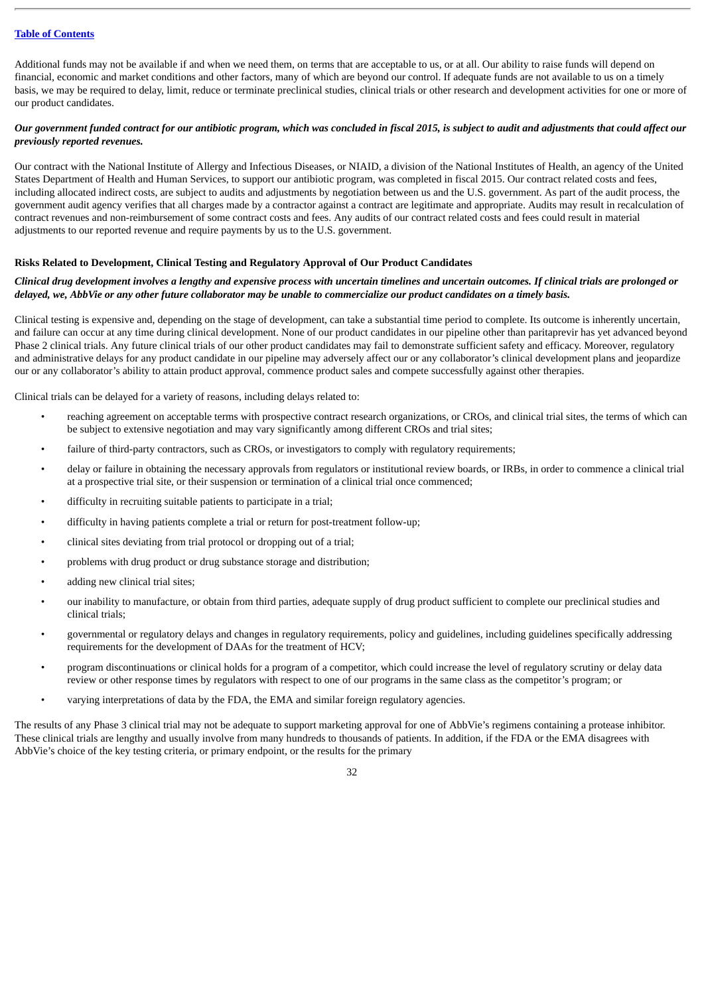Additional funds may not be available if and when we need them, on terms that are acceptable to us, or at all. Our ability to raise funds will depend on financial, economic and market conditions and other factors, many of which are beyond our control. If adequate funds are not available to us on a timely basis, we may be required to delay, limit, reduce or terminate preclinical studies, clinical trials or other research and development activities for one or more of our product candidates.

#### Our government funded contract for our antibiotic program, which was concluded in fiscal 2015, is subject to audit and adjustments that could affect our *previously reported revenues.*

Our contract with the National Institute of Allergy and Infectious Diseases, or NIAID, a division of the National Institutes of Health, an agency of the United States Department of Health and Human Services, to support our antibiotic program, was completed in fiscal 2015. Our contract related costs and fees, including allocated indirect costs, are subject to audits and adjustments by negotiation between us and the U.S. government. As part of the audit process, the government audit agency verifies that all charges made by a contractor against a contract are legitimate and appropriate. Audits may result in recalculation of contract revenues and non-reimbursement of some contract costs and fees. Any audits of our contract related costs and fees could result in material adjustments to our reported revenue and require payments by us to the U.S. government.

#### **Risks Related to Development, Clinical Testing and Regulatory Approval of Our Product Candidates**

#### Clinical drug development involves a lengthy and expensive process with uncertain timelines and uncertain outcomes. If clinical trials are prolonged or delayed, we, AbbVie or any other future collaborator may be unable to commercialize our product candidates on a timely basis.

Clinical testing is expensive and, depending on the stage of development, can take a substantial time period to complete. Its outcome is inherently uncertain, and failure can occur at any time during clinical development. None of our product candidates in our pipeline other than paritaprevir has yet advanced beyond Phase 2 clinical trials. Any future clinical trials of our other product candidates may fail to demonstrate sufficient safety and efficacy. Moreover, regulatory and administrative delays for any product candidate in our pipeline may adversely affect our or any collaborator's clinical development plans and jeopardize our or any collaborator's ability to attain product approval, commence product sales and compete successfully against other therapies.

Clinical trials can be delayed for a variety of reasons, including delays related to:

- reaching agreement on acceptable terms with prospective contract research organizations, or CROs, and clinical trial sites, the terms of which can be subject to extensive negotiation and may vary significantly among different CROs and trial sites;
- failure of third-party contractors, such as CROs, or investigators to comply with regulatory requirements;
- delay or failure in obtaining the necessary approvals from regulators or institutional review boards, or IRBs, in order to commence a clinical trial at a prospective trial site, or their suspension or termination of a clinical trial once commenced;
- difficulty in recruiting suitable patients to participate in a trial:
- difficulty in having patients complete a trial or return for post-treatment follow-up;
- clinical sites deviating from trial protocol or dropping out of a trial;
- problems with drug product or drug substance storage and distribution;
- adding new clinical trial sites;
- our inability to manufacture, or obtain from third parties, adequate supply of drug product sufficient to complete our preclinical studies and clinical trials;
- governmental or regulatory delays and changes in regulatory requirements, policy and guidelines, including guidelines specifically addressing requirements for the development of DAAs for the treatment of HCV;
- program discontinuations or clinical holds for a program of a competitor, which could increase the level of regulatory scrutiny or delay data review or other response times by regulators with respect to one of our programs in the same class as the competitor's program; or
- varying interpretations of data by the FDA, the EMA and similar foreign regulatory agencies.

The results of any Phase 3 clinical trial may not be adequate to support marketing approval for one of AbbVie's regimens containing a protease inhibitor. These clinical trials are lengthy and usually involve from many hundreds to thousands of patients. In addition, if the FDA or the EMA disagrees with AbbVie's choice of the key testing criteria, or primary endpoint, or the results for the primary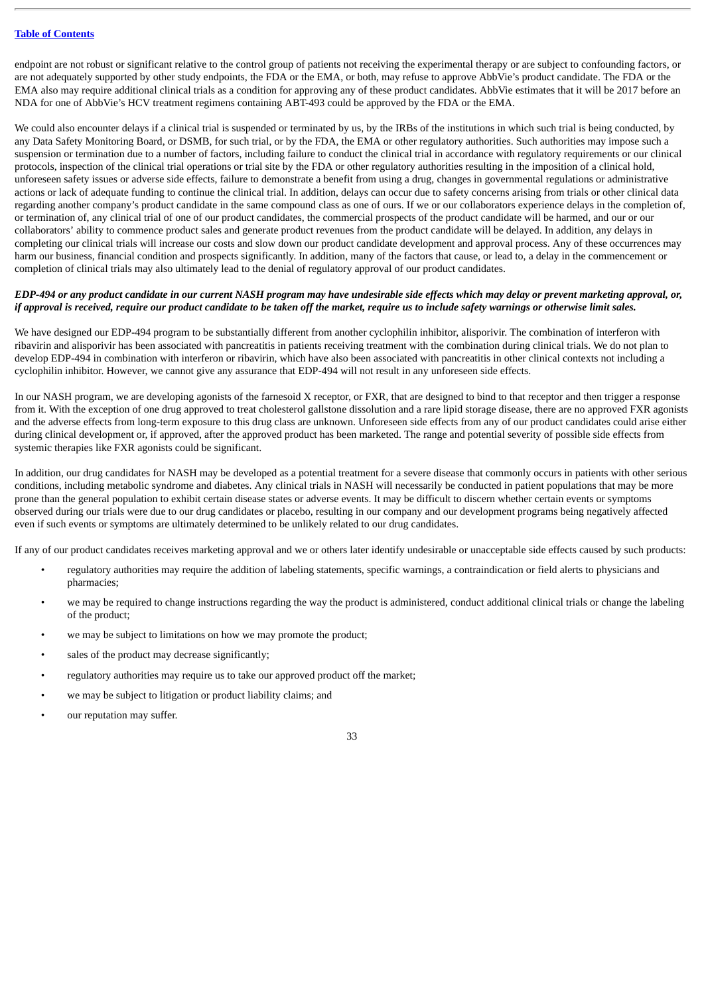endpoint are not robust or significant relative to the control group of patients not receiving the experimental therapy or are subject to confounding factors, or are not adequately supported by other study endpoints, the FDA or the EMA, or both, may refuse to approve AbbVie's product candidate. The FDA or the EMA also may require additional clinical trials as a condition for approving any of these product candidates. AbbVie estimates that it will be 2017 before an NDA for one of AbbVie's HCV treatment regimens containing ABT-493 could be approved by the FDA or the EMA.

We could also encounter delays if a clinical trial is suspended or terminated by us, by the IRBs of the institutions in which such trial is being conducted, by any Data Safety Monitoring Board, or DSMB, for such trial, or by the FDA, the EMA or other regulatory authorities. Such authorities may impose such a suspension or termination due to a number of factors, including failure to conduct the clinical trial in accordance with regulatory requirements or our clinical protocols, inspection of the clinical trial operations or trial site by the FDA or other regulatory authorities resulting in the imposition of a clinical hold, unforeseen safety issues or adverse side effects, failure to demonstrate a benefit from using a drug, changes in governmental regulations or administrative actions or lack of adequate funding to continue the clinical trial. In addition, delays can occur due to safety concerns arising from trials or other clinical data regarding another company's product candidate in the same compound class as one of ours. If we or our collaborators experience delays in the completion of, or termination of, any clinical trial of one of our product candidates, the commercial prospects of the product candidate will be harmed, and our or our collaborators' ability to commence product sales and generate product revenues from the product candidate will be delayed. In addition, any delays in completing our clinical trials will increase our costs and slow down our product candidate development and approval process. Any of these occurrences may harm our business, financial condition and prospects significantly. In addition, many of the factors that cause, or lead to, a delay in the commencement or completion of clinical trials may also ultimately lead to the denial of regulatory approval of our product candidates.

#### EDP-494 or any product candidate in our current NASH program may have undesirable side effects which may delay or prevent marketing approval, or, if approval is received, require our product candidate to be taken off the market, require us to include safety warnings or otherwise limit sales.

We have designed our EDP-494 program to be substantially different from another cyclophilin inhibitor, alisporivir. The combination of interferon with ribavirin and alisporivir has been associated with pancreatitis in patients receiving treatment with the combination during clinical trials. We do not plan to develop EDP-494 in combination with interferon or ribavirin, which have also been associated with pancreatitis in other clinical contexts not including a cyclophilin inhibitor. However, we cannot give any assurance that EDP-494 will not result in any unforeseen side effects.

In our NASH program, we are developing agonists of the farnesoid X receptor, or FXR, that are designed to bind to that receptor and then trigger a response from it. With the exception of one drug approved to treat cholesterol gallstone dissolution and a rare lipid storage disease, there are no approved FXR agonists and the adverse effects from long-term exposure to this drug class are unknown. Unforeseen side effects from any of our product candidates could arise either during clinical development or, if approved, after the approved product has been marketed. The range and potential severity of possible side effects from systemic therapies like FXR agonists could be significant.

In addition, our drug candidates for NASH may be developed as a potential treatment for a severe disease that commonly occurs in patients with other serious conditions, including metabolic syndrome and diabetes. Any clinical trials in NASH will necessarily be conducted in patient populations that may be more prone than the general population to exhibit certain disease states or adverse events. It may be difficult to discern whether certain events or symptoms observed during our trials were due to our drug candidates or placebo, resulting in our company and our development programs being negatively affected even if such events or symptoms are ultimately determined to be unlikely related to our drug candidates.

If any of our product candidates receives marketing approval and we or others later identify undesirable or unacceptable side effects caused by such products:

- regulatory authorities may require the addition of labeling statements, specific warnings, a contraindication or field alerts to physicians and pharmacies;
- we may be required to change instructions regarding the way the product is administered, conduct additional clinical trials or change the labeling of the product;
- we may be subject to limitations on how we may promote the product;
- sales of the product may decrease significantly:
- regulatory authorities may require us to take our approved product off the market;
- we may be subject to litigation or product liability claims; and
- our reputation may suffer.

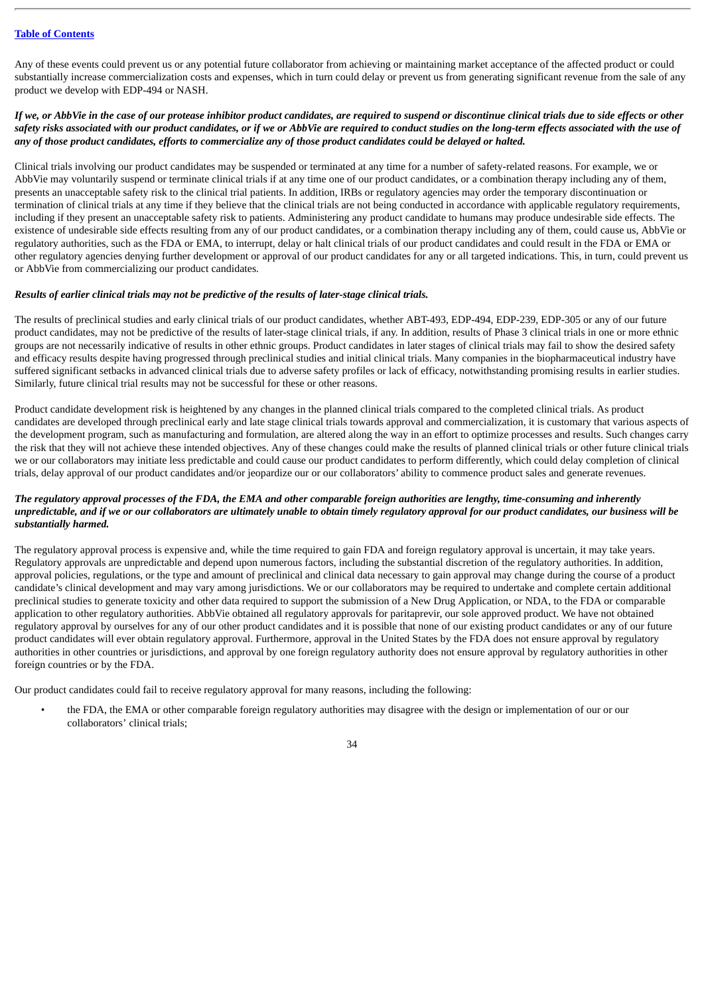Any of these events could prevent us or any potential future collaborator from achieving or maintaining market acceptance of the affected product or could substantially increase commercialization costs and expenses, which in turn could delay or prevent us from generating significant revenue from the sale of any product we develop with EDP-494 or NASH.

#### If we, or AbbVie in the case of our protease inhibitor product candidates, are required to suspend or discontinue clinical trials due to side effects or other safety risks associated with our product candidates, or if we or AbbVie are required to conduct studies on the long-term effects associated with the use of any of those product candidates, efforts to commercialize any of those product candidates could be delayed or halted.

Clinical trials involving our product candidates may be suspended or terminated at any time for a number of safety-related reasons. For example, we or AbbVie may voluntarily suspend or terminate clinical trials if at any time one of our product candidates, or a combination therapy including any of them, presents an unacceptable safety risk to the clinical trial patients. In addition, IRBs or regulatory agencies may order the temporary discontinuation or termination of clinical trials at any time if they believe that the clinical trials are not being conducted in accordance with applicable regulatory requirements, including if they present an unacceptable safety risk to patients. Administering any product candidate to humans may produce undesirable side effects. The existence of undesirable side effects resulting from any of our product candidates, or a combination therapy including any of them, could cause us, AbbVie or regulatory authorities, such as the FDA or EMA, to interrupt, delay or halt clinical trials of our product candidates and could result in the FDA or EMA or other regulatory agencies denying further development or approval of our product candidates for any or all targeted indications. This, in turn, could prevent us or AbbVie from commercializing our product candidates.

#### *Results of earlier clinical trials may not be predictive of the results of later-stage clinical trials.*

The results of preclinical studies and early clinical trials of our product candidates, whether ABT-493, EDP-494, EDP-239, EDP-305 or any of our future product candidates, may not be predictive of the results of later-stage clinical trials, if any. In addition, results of Phase 3 clinical trials in one or more ethnic groups are not necessarily indicative of results in other ethnic groups. Product candidates in later stages of clinical trials may fail to show the desired safety and efficacy results despite having progressed through preclinical studies and initial clinical trials. Many companies in the biopharmaceutical industry have suffered significant setbacks in advanced clinical trials due to adverse safety profiles or lack of efficacy, notwithstanding promising results in earlier studies. Similarly, future clinical trial results may not be successful for these or other reasons.

Product candidate development risk is heightened by any changes in the planned clinical trials compared to the completed clinical trials. As product candidates are developed through preclinical early and late stage clinical trials towards approval and commercialization, it is customary that various aspects of the development program, such as manufacturing and formulation, are altered along the way in an effort to optimize processes and results. Such changes carry the risk that they will not achieve these intended objectives. Any of these changes could make the results of planned clinical trials or other future clinical trials we or our collaborators may initiate less predictable and could cause our product candidates to perform differently, which could delay completion of clinical trials, delay approval of our product candidates and/or jeopardize our or our collaborators' ability to commence product sales and generate revenues.

## The regulatory approval processes of the FDA, the EMA and other comparable foreign authorities are lengthy, time-consuming and inherently unpredictable, and if we or our collaborators are ultimately unable to obtain timely regulatory approval for our product candidates, our business will be *substantially harmed.*

The regulatory approval process is expensive and, while the time required to gain FDA and foreign regulatory approval is uncertain, it may take years. Regulatory approvals are unpredictable and depend upon numerous factors, including the substantial discretion of the regulatory authorities. In addition, approval policies, regulations, or the type and amount of preclinical and clinical data necessary to gain approval may change during the course of a product candidate's clinical development and may vary among jurisdictions. We or our collaborators may be required to undertake and complete certain additional preclinical studies to generate toxicity and other data required to support the submission of a New Drug Application, or NDA, to the FDA or comparable application to other regulatory authorities. AbbVie obtained all regulatory approvals for paritaprevir, our sole approved product. We have not obtained regulatory approval by ourselves for any of our other product candidates and it is possible that none of our existing product candidates or any of our future product candidates will ever obtain regulatory approval. Furthermore, approval in the United States by the FDA does not ensure approval by regulatory authorities in other countries or jurisdictions, and approval by one foreign regulatory authority does not ensure approval by regulatory authorities in other foreign countries or by the FDA.

Our product candidates could fail to receive regulatory approval for many reasons, including the following:

• the FDA, the EMA or other comparable foreign regulatory authorities may disagree with the design or implementation of our or our collaborators' clinical trials;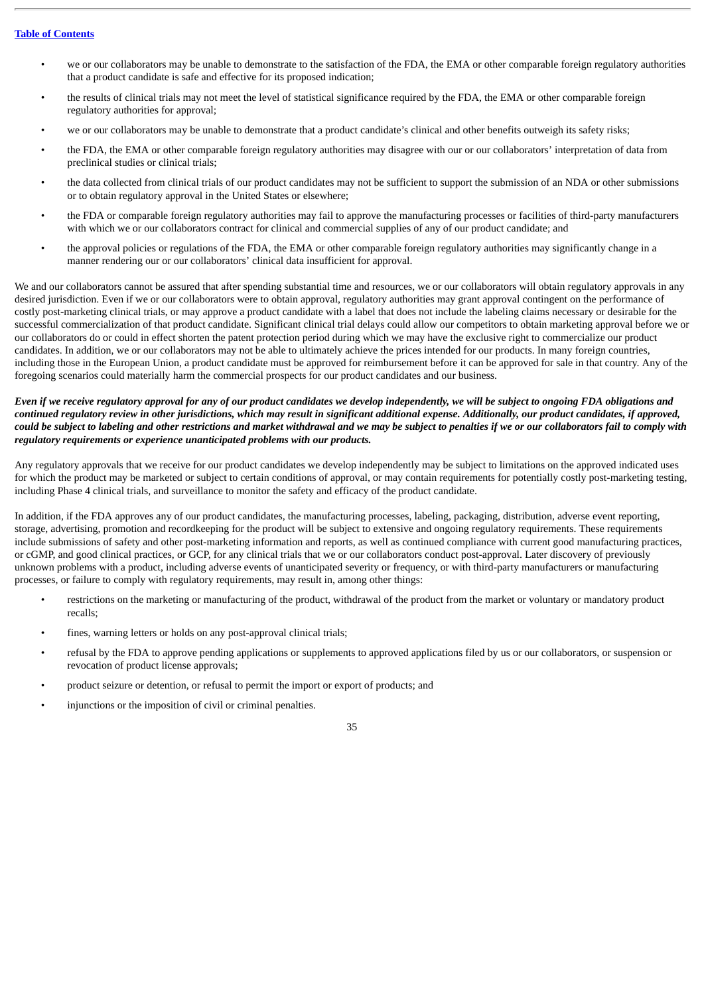- we or our collaborators may be unable to demonstrate to the satisfaction of the FDA, the EMA or other comparable foreign regulatory authorities that a product candidate is safe and effective for its proposed indication;
- the results of clinical trials may not meet the level of statistical significance required by the FDA, the EMA or other comparable foreign regulatory authorities for approval;
- we or our collaborators may be unable to demonstrate that a product candidate's clinical and other benefits outweigh its safety risks;
- the FDA, the EMA or other comparable foreign regulatory authorities may disagree with our or our collaborators' interpretation of data from preclinical studies or clinical trials;
- the data collected from clinical trials of our product candidates may not be sufficient to support the submission of an NDA or other submissions or to obtain regulatory approval in the United States or elsewhere;
- the FDA or comparable foreign regulatory authorities may fail to approve the manufacturing processes or facilities of third-party manufacturers with which we or our collaborators contract for clinical and commercial supplies of any of our product candidate; and
- the approval policies or regulations of the FDA, the EMA or other comparable foreign regulatory authorities may significantly change in a manner rendering our or our collaborators' clinical data insufficient for approval.

We and our collaborators cannot be assured that after spending substantial time and resources, we or our collaborators will obtain regulatory approvals in any desired jurisdiction. Even if we or our collaborators were to obtain approval, regulatory authorities may grant approval contingent on the performance of costly post-marketing clinical trials, or may approve a product candidate with a label that does not include the labeling claims necessary or desirable for the successful commercialization of that product candidate. Significant clinical trial delays could allow our competitors to obtain marketing approval before we or our collaborators do or could in effect shorten the patent protection period during which we may have the exclusive right to commercialize our product candidates. In addition, we or our collaborators may not be able to ultimately achieve the prices intended for our products. In many foreign countries, including those in the European Union, a product candidate must be approved for reimbursement before it can be approved for sale in that country. Any of the foregoing scenarios could materially harm the commercial prospects for our product candidates and our business.

## Even if we receive regulatory approval for any of our product candidates we develop independently, we will be subject to ongoing FDA obligations and continued regulatory review in other jurisdictions, which may result in significant additional expense. Additionally, our product candidates, if approved, could be subject to labeling and other restrictions and market withdrawal and we may be subject to penalties if we or our collaborators fail to comply with *regulatory requirements or experience unanticipated problems with our products.*

Any regulatory approvals that we receive for our product candidates we develop independently may be subject to limitations on the approved indicated uses for which the product may be marketed or subject to certain conditions of approval, or may contain requirements for potentially costly post-marketing testing, including Phase 4 clinical trials, and surveillance to monitor the safety and efficacy of the product candidate.

In addition, if the FDA approves any of our product candidates, the manufacturing processes, labeling, packaging, distribution, adverse event reporting, storage, advertising, promotion and recordkeeping for the product will be subject to extensive and ongoing regulatory requirements. These requirements include submissions of safety and other post-marketing information and reports, as well as continued compliance with current good manufacturing practices, or cGMP, and good clinical practices, or GCP, for any clinical trials that we or our collaborators conduct post-approval. Later discovery of previously unknown problems with a product, including adverse events of unanticipated severity or frequency, or with third-party manufacturers or manufacturing processes, or failure to comply with regulatory requirements, may result in, among other things:

- restrictions on the marketing or manufacturing of the product, withdrawal of the product from the market or voluntary or mandatory product recalls;
- fines, warning letters or holds on any post-approval clinical trials;
- refusal by the FDA to approve pending applications or supplements to approved applications filed by us or our collaborators, or suspension or revocation of product license approvals;
- product seizure or detention, or refusal to permit the import or export of products; and
- injunctions or the imposition of civil or criminal penalties.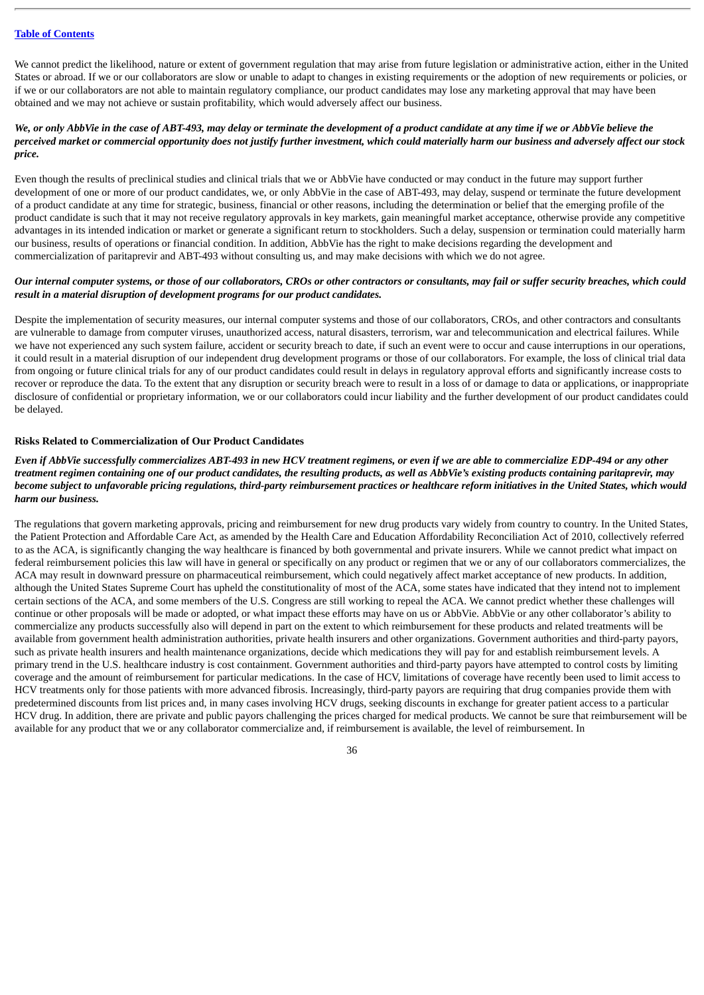We cannot predict the likelihood, nature or extent of government regulation that may arise from future legislation or administrative action, either in the United States or abroad. If we or our collaborators are slow or unable to adapt to changes in existing requirements or the adoption of new requirements or policies, or if we or our collaborators are not able to maintain regulatory compliance, our product candidates may lose any marketing approval that may have been obtained and we may not achieve or sustain profitability, which would adversely affect our business.

#### We, or only AbbVie in the case of ABT-493, may delay or terminate the development of a product candidate at any time if we or AbbVie believe the perceived market or commercial opportunity does not justify further investment, which could materially harm our business and adversely affect our stock *price.*

Even though the results of preclinical studies and clinical trials that we or AbbVie have conducted or may conduct in the future may support further development of one or more of our product candidates, we, or only AbbVie in the case of ABT-493, may delay, suspend or terminate the future development of a product candidate at any time for strategic, business, financial or other reasons, including the determination or belief that the emerging profile of the product candidate is such that it may not receive regulatory approvals in key markets, gain meaningful market acceptance, otherwise provide any competitive advantages in its intended indication or market or generate a significant return to stockholders. Such a delay, suspension or termination could materially harm our business, results of operations or financial condition. In addition, AbbVie has the right to make decisions regarding the development and commercialization of paritaprevir and ABT-493 without consulting us, and may make decisions with which we do not agree.

#### Our internal computer systems, or those of our collaborators, CROs or other contractors or consultants, may fail or suffer security breaches, which could *result in a material disruption of development programs for our product candidates.*

Despite the implementation of security measures, our internal computer systems and those of our collaborators, CROs, and other contractors and consultants are vulnerable to damage from computer viruses, unauthorized access, natural disasters, terrorism, war and telecommunication and electrical failures. While we have not experienced any such system failure, accident or security breach to date, if such an event were to occur and cause interruptions in our operations, it could result in a material disruption of our independent drug development programs or those of our collaborators. For example, the loss of clinical trial data from ongoing or future clinical trials for any of our product candidates could result in delays in regulatory approval efforts and significantly increase costs to recover or reproduce the data. To the extent that any disruption or security breach were to result in a loss of or damage to data or applications, or inappropriate disclosure of confidential or proprietary information, we or our collaborators could incur liability and the further development of our product candidates could be delayed.

#### **Risks Related to Commercialization of Our Product Candidates**

Even if AbbVie successfully commercializes ABT-493 in new HCV treatment regimens, or even if we are able to commercialize EDP-494 or any other treatment regimen containing one of our product candidates, the resulting products, as well as AbbVie's existing products containing paritaprevir, may become subject to unfavorable pricing regulations, third-party reimbursement practices or healthcare reform initiatives in the United States, which would *harm our business.*

The regulations that govern marketing approvals, pricing and reimbursement for new drug products vary widely from country to country. In the United States, the Patient Protection and Affordable Care Act, as amended by the Health Care and Education Affordability Reconciliation Act of 2010, collectively referred to as the ACA, is significantly changing the way healthcare is financed by both governmental and private insurers. While we cannot predict what impact on federal reimbursement policies this law will have in general or specifically on any product or regimen that we or any of our collaborators commercializes, the ACA may result in downward pressure on pharmaceutical reimbursement, which could negatively affect market acceptance of new products. In addition, although the United States Supreme Court has upheld the constitutionality of most of the ACA, some states have indicated that they intend not to implement certain sections of the ACA, and some members of the U.S. Congress are still working to repeal the ACA. We cannot predict whether these challenges will continue or other proposals will be made or adopted, or what impact these efforts may have on us or AbbVie. AbbVie or any other collaborator's ability to commercialize any products successfully also will depend in part on the extent to which reimbursement for these products and related treatments will be available from government health administration authorities, private health insurers and other organizations. Government authorities and third-party payors, such as private health insurers and health maintenance organizations, decide which medications they will pay for and establish reimbursement levels. A primary trend in the U.S. healthcare industry is cost containment. Government authorities and third-party payors have attempted to control costs by limiting coverage and the amount of reimbursement for particular medications. In the case of HCV, limitations of coverage have recently been used to limit access to HCV treatments only for those patients with more advanced fibrosis. Increasingly, third-party payors are requiring that drug companies provide them with predetermined discounts from list prices and, in many cases involving HCV drugs, seeking discounts in exchange for greater patient access to a particular HCV drug. In addition, there are private and public payors challenging the prices charged for medical products. We cannot be sure that reimbursement will be available for any product that we or any collaborator commercialize and, if reimbursement is available, the level of reimbursement. In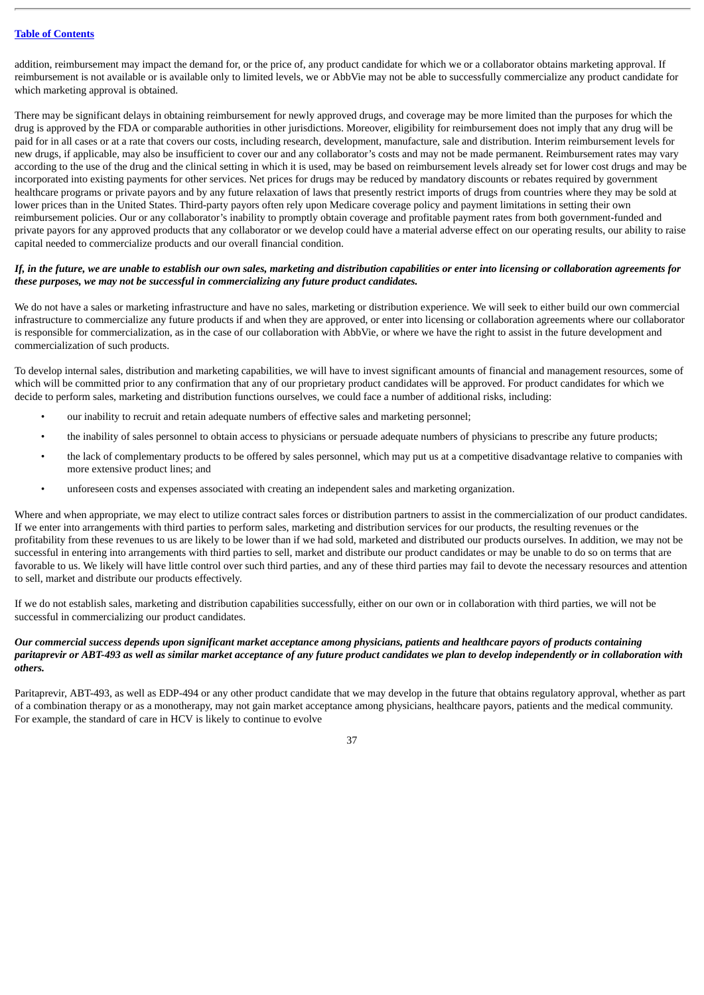addition, reimbursement may impact the demand for, or the price of, any product candidate for which we or a collaborator obtains marketing approval. If reimbursement is not available or is available only to limited levels, we or AbbVie may not be able to successfully commercialize any product candidate for which marketing approval is obtained.

There may be significant delays in obtaining reimbursement for newly approved drugs, and coverage may be more limited than the purposes for which the drug is approved by the FDA or comparable authorities in other jurisdictions. Moreover, eligibility for reimbursement does not imply that any drug will be paid for in all cases or at a rate that covers our costs, including research, development, manufacture, sale and distribution. Interim reimbursement levels for new drugs, if applicable, may also be insufficient to cover our and any collaborator's costs and may not be made permanent. Reimbursement rates may vary according to the use of the drug and the clinical setting in which it is used, may be based on reimbursement levels already set for lower cost drugs and may be incorporated into existing payments for other services. Net prices for drugs may be reduced by mandatory discounts or rebates required by government healthcare programs or private payors and by any future relaxation of laws that presently restrict imports of drugs from countries where they may be sold at lower prices than in the United States. Third-party payors often rely upon Medicare coverage policy and payment limitations in setting their own reimbursement policies. Our or any collaborator's inability to promptly obtain coverage and profitable payment rates from both government-funded and private payors for any approved products that any collaborator or we develop could have a material adverse effect on our operating results, our ability to raise capital needed to commercialize products and our overall financial condition.

#### If, in the future, we are unable to establish our own sales, marketing and distribution capabilities or enter into licensing or collaboration agreements for *these purposes, we may not be successful in commercializing any future product candidates.*

We do not have a sales or marketing infrastructure and have no sales, marketing or distribution experience. We will seek to either build our own commercial infrastructure to commercialize any future products if and when they are approved, or enter into licensing or collaboration agreements where our collaborator is responsible for commercialization, as in the case of our collaboration with AbbVie, or where we have the right to assist in the future development and commercialization of such products.

To develop internal sales, distribution and marketing capabilities, we will have to invest significant amounts of financial and management resources, some of which will be committed prior to any confirmation that any of our proprietary product candidates will be approved. For product candidates for which we decide to perform sales, marketing and distribution functions ourselves, we could face a number of additional risks, including:

- our inability to recruit and retain adequate numbers of effective sales and marketing personnel;
- the inability of sales personnel to obtain access to physicians or persuade adequate numbers of physicians to prescribe any future products;
- the lack of complementary products to be offered by sales personnel, which may put us at a competitive disadvantage relative to companies with more extensive product lines; and
- unforeseen costs and expenses associated with creating an independent sales and marketing organization.

Where and when appropriate, we may elect to utilize contract sales forces or distribution partners to assist in the commercialization of our product candidates. If we enter into arrangements with third parties to perform sales, marketing and distribution services for our products, the resulting revenues or the profitability from these revenues to us are likely to be lower than if we had sold, marketed and distributed our products ourselves. In addition, we may not be successful in entering into arrangements with third parties to sell, market and distribute our product candidates or may be unable to do so on terms that are favorable to us. We likely will have little control over such third parties, and any of these third parties may fail to devote the necessary resources and attention to sell, market and distribute our products effectively.

If we do not establish sales, marketing and distribution capabilities successfully, either on our own or in collaboration with third parties, we will not be successful in commercializing our product candidates.

#### Our commercial success depends upon significant market acceptance among physicians, patients and healthcare payors of products containing paritaprevir or ABT-493 as well as similar market acceptance of any future product candidates we plan to develop independently or in collaboration with *others.*

Paritaprevir, ABT-493, as well as EDP-494 or any other product candidate that we may develop in the future that obtains regulatory approval, whether as part of a combination therapy or as a monotherapy, may not gain market acceptance among physicians, healthcare payors, patients and the medical community. For example, the standard of care in HCV is likely to continue to evolve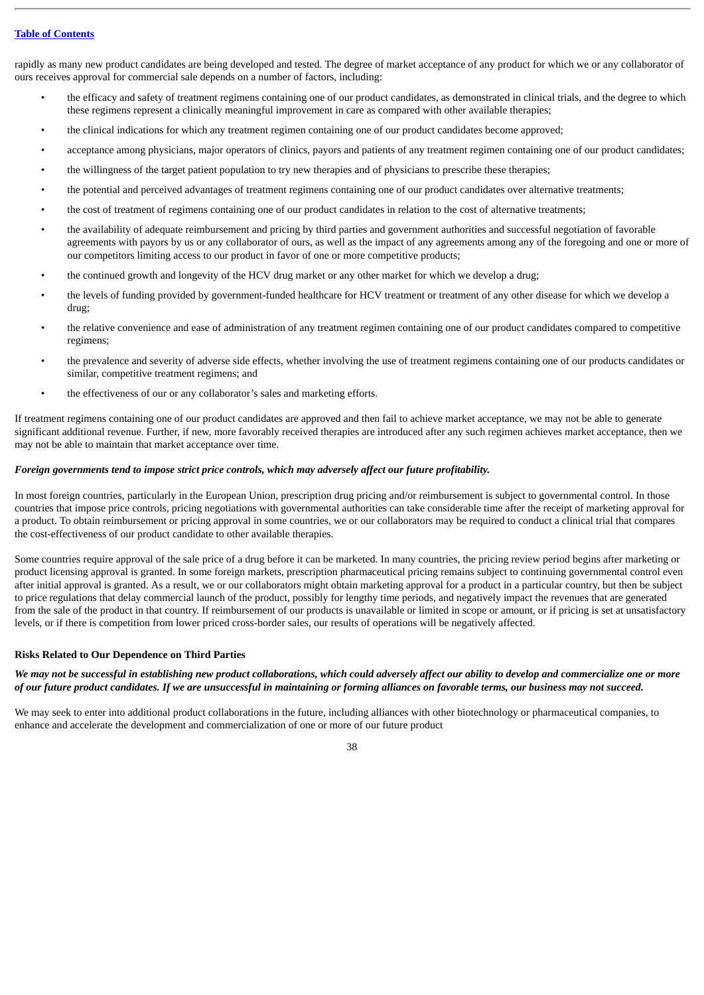rapidly as many new product candidates are being developed and tested. The degree of market acceptance of any product for which we or any collaborator of ours receives approval for commercial sale depends on a number of factors, including:

- the efficacy and safety of treatment regimens containing one of our product candidates, as demonstrated in clinical trials, and the degree to which these regimens represent a clinically meaningful improvement in care as compared with other available therapies;
- the clinical indications for which any treatment regimen containing one of our product candidates become approved;
- acceptance among physicians, major operators of clinics, payors and patients of any treatment regimen containing one of our product candidates;
- the willingness of the target patient population to try new therapies and of physicians to prescribe these therapies;
- the potential and perceived advantages of treatment regimens containing one of our product candidates over alternative treatments;
- the cost of treatment of regimens containing one of our product candidates in relation to the cost of alternative treatments;
- the availability of adequate reimbursement and pricing by third parties and government authorities and successful negotiation of favorable agreements with payors by us or any collaborator of ours, as well as the impact of any agreements among any of the foregoing and one or more of our competitors limiting access to our product in favor of one or more competitive products;
- the continued growth and longevity of the HCV drug market or any other market for which we develop a drug;
- the levels of funding provided by government-funded healthcare for HCV treatment or treatment of any other disease for which we develop a drug;
- the relative convenience and ease of administration of any treatment regimen containing one of our product candidates compared to competitive regimens;
- the prevalence and severity of adverse side effects, whether involving the use of treatment regimens containing one of our products candidates or similar, competitive treatment regimens; and
- the effectiveness of our or any collaborator's sales and marketing efforts.

If treatment regimens containing one of our product candidates are approved and then fail to achieve market acceptance, we may not be able to generate significant additional revenue. Further, if new, more favorably received therapies are introduced after any such regimen achieves market acceptance, then we may not be able to maintain that market acceptance over time.

#### *Foreign governments tend to impose strict price controls, which may adversely affect our future profitability.*

In most foreign countries, particularly in the European Union, prescription drug pricing and/or reimbursement is subject to governmental control. In those countries that impose price controls, pricing negotiations with governmental authorities can take considerable time after the receipt of marketing approval for a product. To obtain reimbursement or pricing approval in some countries, we or our collaborators may be required to conduct a clinical trial that compares the cost-effectiveness of our product candidate to other available therapies.

Some countries require approval of the sale price of a drug before it can be marketed. In many countries, the pricing review period begins after marketing or product licensing approval is granted. In some foreign markets, prescription pharmaceutical pricing remains subject to continuing governmental control even after initial approval is granted. As a result, we or our collaborators might obtain marketing approval for a product in a particular country, but then be subject to price regulations that delay commercial launch of the product, possibly for lengthy time periods, and negatively impact the revenues that are generated from the sale of the product in that country. If reimbursement of our products is unavailable or limited in scope or amount, or if pricing is set at unsatisfactory levels, or if there is competition from lower priced cross-border sales, our results of operations will be negatively affected.

## **Risks Related to Our Dependence on Third Parties**

## We may not be successful in establishing new product collaborations, which could adversely affect our ability to develop and commercialize one or more of our future product candidates. If we are unsuccessful in maintaining or forming alliances on favorable terms, our business may not succeed.

We may seek to enter into additional product collaborations in the future, including alliances with other biotechnology or pharmaceutical companies, to enhance and accelerate the development and commercialization of one or more of our future product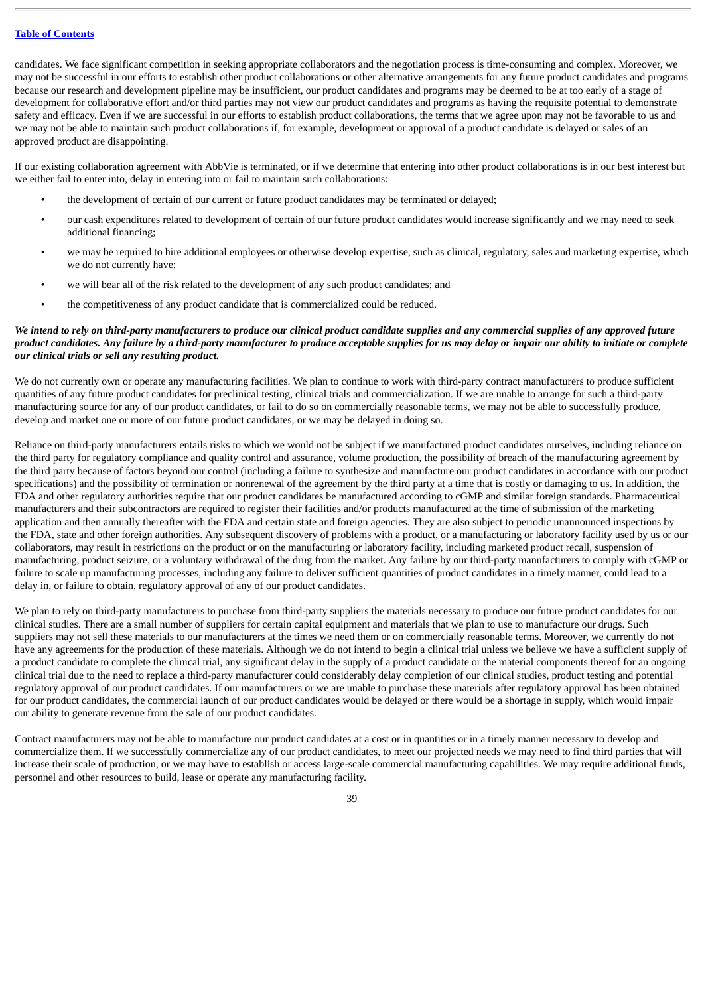candidates. We face significant competition in seeking appropriate collaborators and the negotiation process is time-consuming and complex. Moreover, we may not be successful in our efforts to establish other product collaborations or other alternative arrangements for any future product candidates and programs because our research and development pipeline may be insufficient, our product candidates and programs may be deemed to be at too early of a stage of development for collaborative effort and/or third parties may not view our product candidates and programs as having the requisite potential to demonstrate safety and efficacy. Even if we are successful in our efforts to establish product collaborations, the terms that we agree upon may not be favorable to us and we may not be able to maintain such product collaborations if, for example, development or approval of a product candidate is delayed or sales of an approved product are disappointing.

If our existing collaboration agreement with AbbVie is terminated, or if we determine that entering into other product collaborations is in our best interest but we either fail to enter into, delay in entering into or fail to maintain such collaborations:

- the development of certain of our current or future product candidates may be terminated or delayed;
- our cash expenditures related to development of certain of our future product candidates would increase significantly and we may need to seek additional financing;
- we may be required to hire additional employees or otherwise develop expertise, such as clinical, regulatory, sales and marketing expertise, which we do not currently have;
- we will bear all of the risk related to the development of any such product candidates; and
- the competitiveness of any product candidate that is commercialized could be reduced.

## We intend to rely on third-party manufacturers to produce our clinical product candidate supplies and any commercial supplies of any approved future product candidates. Any failure by a third-party manufacturer to produce acceptable supplies for us may delay or impair our ability to initiate or complete *our clinical trials or sell any resulting product.*

We do not currently own or operate any manufacturing facilities. We plan to continue to work with third-party contract manufacturers to produce sufficient quantities of any future product candidates for preclinical testing, clinical trials and commercialization. If we are unable to arrange for such a third-party manufacturing source for any of our product candidates, or fail to do so on commercially reasonable terms, we may not be able to successfully produce, develop and market one or more of our future product candidates, or we may be delayed in doing so.

Reliance on third-party manufacturers entails risks to which we would not be subject if we manufactured product candidates ourselves, including reliance on the third party for regulatory compliance and quality control and assurance, volume production, the possibility of breach of the manufacturing agreement by the third party because of factors beyond our control (including a failure to synthesize and manufacture our product candidates in accordance with our product specifications) and the possibility of termination or nonrenewal of the agreement by the third party at a time that is costly or damaging to us. In addition, the FDA and other regulatory authorities require that our product candidates be manufactured according to cGMP and similar foreign standards. Pharmaceutical manufacturers and their subcontractors are required to register their facilities and/or products manufactured at the time of submission of the marketing application and then annually thereafter with the FDA and certain state and foreign agencies. They are also subject to periodic unannounced inspections by the FDA, state and other foreign authorities. Any subsequent discovery of problems with a product, or a manufacturing or laboratory facility used by us or our collaborators, may result in restrictions on the product or on the manufacturing or laboratory facility, including marketed product recall, suspension of manufacturing, product seizure, or a voluntary withdrawal of the drug from the market. Any failure by our third-party manufacturers to comply with cGMP or failure to scale up manufacturing processes, including any failure to deliver sufficient quantities of product candidates in a timely manner, could lead to a delay in, or failure to obtain, regulatory approval of any of our product candidates.

We plan to rely on third-party manufacturers to purchase from third-party suppliers the materials necessary to produce our future product candidates for our clinical studies. There are a small number of suppliers for certain capital equipment and materials that we plan to use to manufacture our drugs. Such suppliers may not sell these materials to our manufacturers at the times we need them or on commercially reasonable terms. Moreover, we currently do not have any agreements for the production of these materials. Although we do not intend to begin a clinical trial unless we believe we have a sufficient supply of a product candidate to complete the clinical trial, any significant delay in the supply of a product candidate or the material components thereof for an ongoing clinical trial due to the need to replace a third-party manufacturer could considerably delay completion of our clinical studies, product testing and potential regulatory approval of our product candidates. If our manufacturers or we are unable to purchase these materials after regulatory approval has been obtained for our product candidates, the commercial launch of our product candidates would be delayed or there would be a shortage in supply, which would impair our ability to generate revenue from the sale of our product candidates.

Contract manufacturers may not be able to manufacture our product candidates at a cost or in quantities or in a timely manner necessary to develop and commercialize them. If we successfully commercialize any of our product candidates, to meet our projected needs we may need to find third parties that will increase their scale of production, or we may have to establish or access large-scale commercial manufacturing capabilities. We may require additional funds, personnel and other resources to build, lease or operate any manufacturing facility.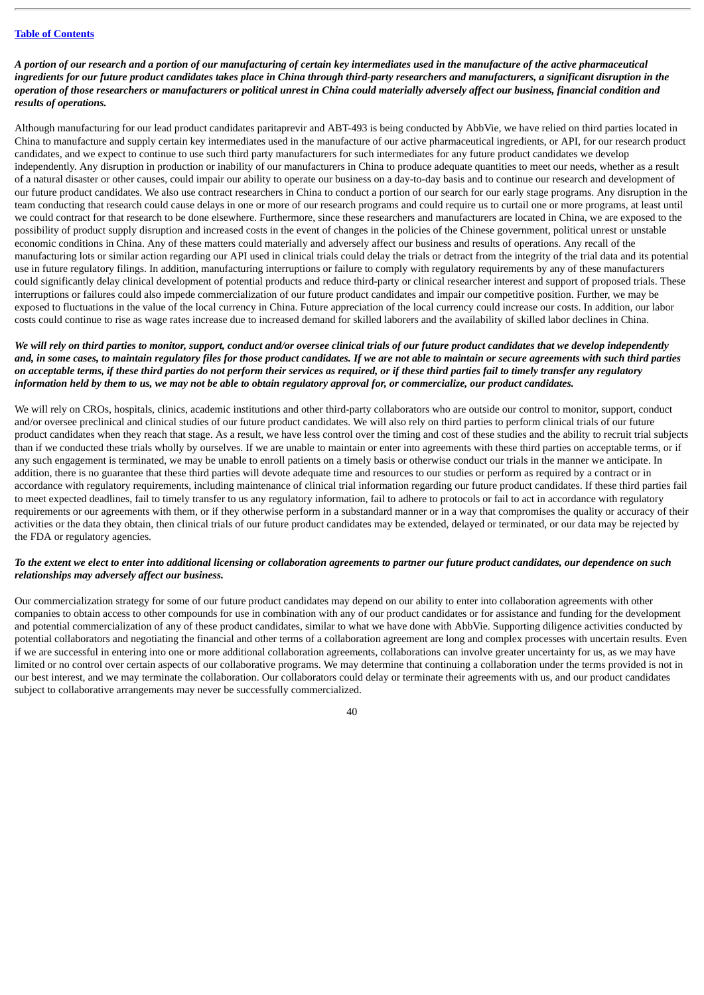A portion of our research and a portion of our manufacturing of certain key intermediates used in the manufacture of the active pharmaceutical ingredients for our future product candidates takes place in China through third-party researchers and manufacturers, a significant disruption in the operation of those researchers or manufacturers or political unrest in China could materially adversely affect our business, financial condition and *results of operations.*

Although manufacturing for our lead product candidates paritaprevir and ABT-493 is being conducted by AbbVie, we have relied on third parties located in China to manufacture and supply certain key intermediates used in the manufacture of our active pharmaceutical ingredients, or API, for our research product candidates, and we expect to continue to use such third party manufacturers for such intermediates for any future product candidates we develop independently. Any disruption in production or inability of our manufacturers in China to produce adequate quantities to meet our needs, whether as a result of a natural disaster or other causes, could impair our ability to operate our business on a day-to-day basis and to continue our research and development of our future product candidates. We also use contract researchers in China to conduct a portion of our search for our early stage programs. Any disruption in the team conducting that research could cause delays in one or more of our research programs and could require us to curtail one or more programs, at least until we could contract for that research to be done elsewhere. Furthermore, since these researchers and manufacturers are located in China, we are exposed to the possibility of product supply disruption and increased costs in the event of changes in the policies of the Chinese government, political unrest or unstable economic conditions in China. Any of these matters could materially and adversely affect our business and results of operations. Any recall of the manufacturing lots or similar action regarding our API used in clinical trials could delay the trials or detract from the integrity of the trial data and its potential use in future regulatory filings. In addition, manufacturing interruptions or failure to comply with regulatory requirements by any of these manufacturers could significantly delay clinical development of potential products and reduce third-party or clinical researcher interest and support of proposed trials. These interruptions or failures could also impede commercialization of our future product candidates and impair our competitive position. Further, we may be exposed to fluctuations in the value of the local currency in China. Future appreciation of the local currency could increase our costs. In addition, our labor costs could continue to rise as wage rates increase due to increased demand for skilled laborers and the availability of skilled labor declines in China.

#### We will rely on third parties to monitor, support, conduct and/or oversee clinical trials of our future product candidates that we develop independently and, in some cases, to maintain reaulatory files for those product candidates. If we are not able to maintain or secure agreements with such third parties on acceptable terms, if these third parties do not perform their services as required, or if these third parties fail to timely transfer any requlatory information held by them to us, we may not be able to obtain regulatory approval for, or commercialize, our product candidates.

We will rely on CROs, hospitals, clinics, academic institutions and other third-party collaborators who are outside our control to monitor, support, conduct and/or oversee preclinical and clinical studies of our future product candidates. We will also rely on third parties to perform clinical trials of our future product candidates when they reach that stage. As a result, we have less control over the timing and cost of these studies and the ability to recruit trial subjects than if we conducted these trials wholly by ourselves. If we are unable to maintain or enter into agreements with these third parties on acceptable terms, or if any such engagement is terminated, we may be unable to enroll patients on a timely basis or otherwise conduct our trials in the manner we anticipate. In addition, there is no guarantee that these third parties will devote adequate time and resources to our studies or perform as required by a contract or in accordance with regulatory requirements, including maintenance of clinical trial information regarding our future product candidates. If these third parties fail to meet expected deadlines, fail to timely transfer to us any regulatory information, fail to adhere to protocols or fail to act in accordance with regulatory requirements or our agreements with them, or if they otherwise perform in a substandard manner or in a way that compromises the quality or accuracy of their activities or the data they obtain, then clinical trials of our future product candidates may be extended, delayed or terminated, or our data may be rejected by the FDA or regulatory agencies.

#### To the extent we elect to enter into additional licensing or collaboration agreements to partner our future product candidates, our dependence on such *relationships may adversely affect our business.*

Our commercialization strategy for some of our future product candidates may depend on our ability to enter into collaboration agreements with other companies to obtain access to other compounds for use in combination with any of our product candidates or for assistance and funding for the development and potential commercialization of any of these product candidates, similar to what we have done with AbbVie. Supporting diligence activities conducted by potential collaborators and negotiating the financial and other terms of a collaboration agreement are long and complex processes with uncertain results. Even if we are successful in entering into one or more additional collaboration agreements, collaborations can involve greater uncertainty for us, as we may have limited or no control over certain aspects of our collaborative programs. We may determine that continuing a collaboration under the terms provided is not in our best interest, and we may terminate the collaboration. Our collaborators could delay or terminate their agreements with us, and our product candidates subject to collaborative arrangements may never be successfully commercialized.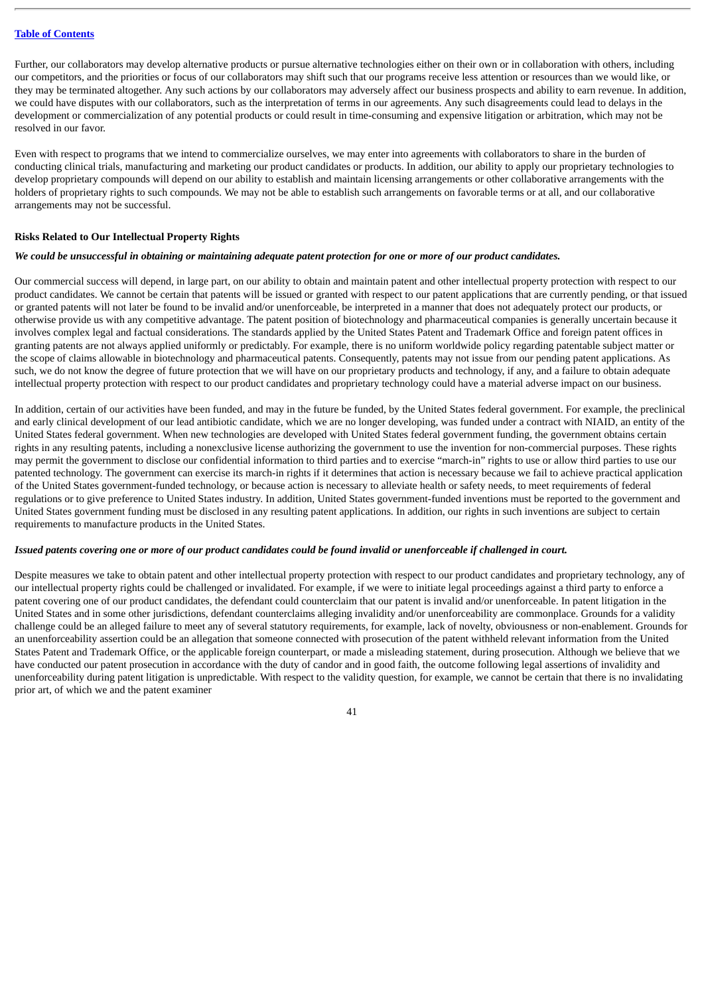Further, our collaborators may develop alternative products or pursue alternative technologies either on their own or in collaboration with others, including our competitors, and the priorities or focus of our collaborators may shift such that our programs receive less attention or resources than we would like, or they may be terminated altogether. Any such actions by our collaborators may adversely affect our business prospects and ability to earn revenue. In addition, we could have disputes with our collaborators, such as the interpretation of terms in our agreements. Any such disagreements could lead to delays in the development or commercialization of any potential products or could result in time-consuming and expensive litigation or arbitration, which may not be resolved in our favor.

Even with respect to programs that we intend to commercialize ourselves, we may enter into agreements with collaborators to share in the burden of conducting clinical trials, manufacturing and marketing our product candidates or products. In addition, our ability to apply our proprietary technologies to develop proprietary compounds will depend on our ability to establish and maintain licensing arrangements or other collaborative arrangements with the holders of proprietary rights to such compounds. We may not be able to establish such arrangements on favorable terms or at all, and our collaborative arrangements may not be successful.

#### **Risks Related to Our Intellectual Property Rights**

#### We could be unsuccessful in obtaining or maintaining adequate patent protection for one or more of our product candidates.

Our commercial success will depend, in large part, on our ability to obtain and maintain patent and other intellectual property protection with respect to our product candidates. We cannot be certain that patents will be issued or granted with respect to our patent applications that are currently pending, or that issued or granted patents will not later be found to be invalid and/or unenforceable, be interpreted in a manner that does not adequately protect our products, or otherwise provide us with any competitive advantage. The patent position of biotechnology and pharmaceutical companies is generally uncertain because it involves complex legal and factual considerations. The standards applied by the United States Patent and Trademark Office and foreign patent offices in granting patents are not always applied uniformly or predictably. For example, there is no uniform worldwide policy regarding patentable subject matter or the scope of claims allowable in biotechnology and pharmaceutical patents. Consequently, patents may not issue from our pending patent applications. As such, we do not know the degree of future protection that we will have on our proprietary products and technology, if any, and a failure to obtain adequate intellectual property protection with respect to our product candidates and proprietary technology could have a material adverse impact on our business.

In addition, certain of our activities have been funded, and may in the future be funded, by the United States federal government. For example, the preclinical and early clinical development of our lead antibiotic candidate, which we are no longer developing, was funded under a contract with NIAID, an entity of the United States federal government. When new technologies are developed with United States federal government funding, the government obtains certain rights in any resulting patents, including a nonexclusive license authorizing the government to use the invention for non-commercial purposes. These rights may permit the government to disclose our confidential information to third parties and to exercise "march-in" rights to use or allow third parties to use our patented technology. The government can exercise its march-in rights if it determines that action is necessary because we fail to achieve practical application of the United States government-funded technology, or because action is necessary to alleviate health or safety needs, to meet requirements of federal regulations or to give preference to United States industry. In addition, United States government-funded inventions must be reported to the government and United States government funding must be disclosed in any resulting patent applications. In addition, our rights in such inventions are subject to certain requirements to manufacture products in the United States.

#### Issued patents covering one or more of our product candidates could be found invalid or unenforceable if challenged in court.

Despite measures we take to obtain patent and other intellectual property protection with respect to our product candidates and proprietary technology, any of our intellectual property rights could be challenged or invalidated. For example, if we were to initiate legal proceedings against a third party to enforce a patent covering one of our product candidates, the defendant could counterclaim that our patent is invalid and/or unenforceable. In patent litigation in the United States and in some other jurisdictions, defendant counterclaims alleging invalidity and/or unenforceability are commonplace. Grounds for a validity challenge could be an alleged failure to meet any of several statutory requirements, for example, lack of novelty, obviousness or non-enablement. Grounds for an unenforceability assertion could be an allegation that someone connected with prosecution of the patent withheld relevant information from the United States Patent and Trademark Office, or the applicable foreign counterpart, or made a misleading statement, during prosecution. Although we believe that we have conducted our patent prosecution in accordance with the duty of candor and in good faith, the outcome following legal assertions of invalidity and unenforceability during patent litigation is unpredictable. With respect to the validity question, for example, we cannot be certain that there is no invalidating prior art, of which we and the patent examiner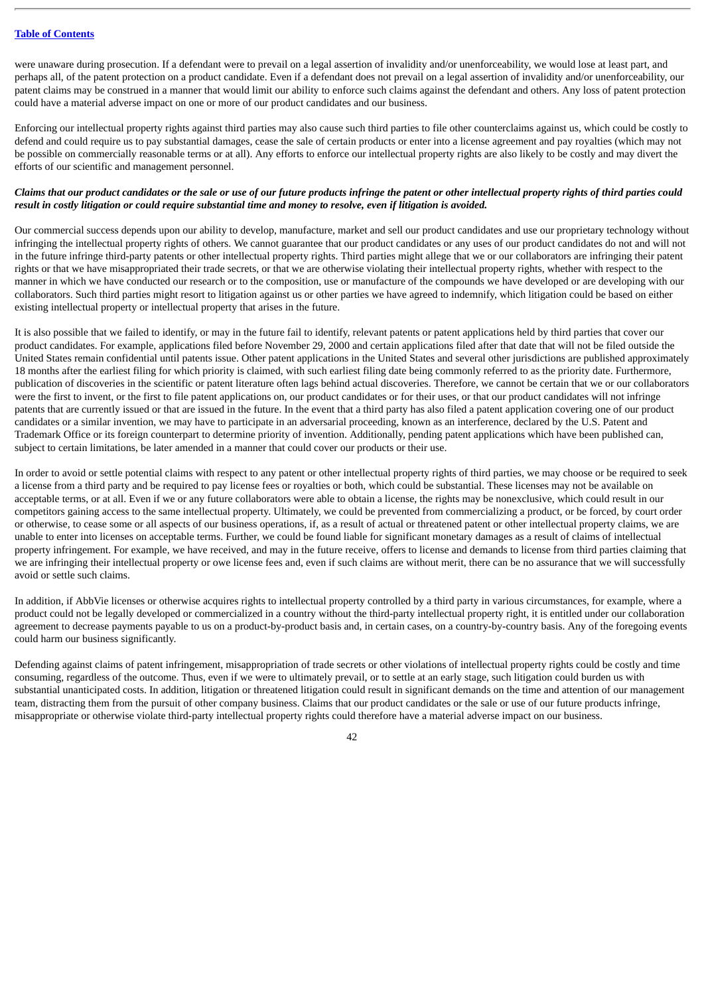were unaware during prosecution. If a defendant were to prevail on a legal assertion of invalidity and/or unenforceability, we would lose at least part, and perhaps all, of the patent protection on a product candidate. Even if a defendant does not prevail on a legal assertion of invalidity and/or unenforceability, our patent claims may be construed in a manner that would limit our ability to enforce such claims against the defendant and others. Any loss of patent protection could have a material adverse impact on one or more of our product candidates and our business.

Enforcing our intellectual property rights against third parties may also cause such third parties to file other counterclaims against us, which could be costly to defend and could require us to pay substantial damages, cease the sale of certain products or enter into a license agreement and pay royalties (which may not be possible on commercially reasonable terms or at all). Any efforts to enforce our intellectual property rights are also likely to be costly and may divert the efforts of our scientific and management personnel.

#### Claims that our product candidates or the sale or use of our future products infringe the patent or other intellectual property rights of third parties could result in costly litigation or could require substantial time and money to resolve, even if litigation is avoided.

Our commercial success depends upon our ability to develop, manufacture, market and sell our product candidates and use our proprietary technology without infringing the intellectual property rights of others. We cannot guarantee that our product candidates or any uses of our product candidates do not and will not in the future infringe third-party patents or other intellectual property rights. Third parties might allege that we or our collaborators are infringing their patent rights or that we have misappropriated their trade secrets, or that we are otherwise violating their intellectual property rights, whether with respect to the manner in which we have conducted our research or to the composition, use or manufacture of the compounds we have developed or are developing with our collaborators. Such third parties might resort to litigation against us or other parties we have agreed to indemnify, which litigation could be based on either existing intellectual property or intellectual property that arises in the future.

It is also possible that we failed to identify, or may in the future fail to identify, relevant patents or patent applications held by third parties that cover our product candidates. For example, applications filed before November 29, 2000 and certain applications filed after that date that will not be filed outside the United States remain confidential until patents issue. Other patent applications in the United States and several other jurisdictions are published approximately 18 months after the earliest filing for which priority is claimed, with such earliest filing date being commonly referred to as the priority date. Furthermore, publication of discoveries in the scientific or patent literature often lags behind actual discoveries. Therefore, we cannot be certain that we or our collaborators were the first to invent, or the first to file patent applications on, our product candidates or for their uses, or that our product candidates will not infringe patents that are currently issued or that are issued in the future. In the event that a third party has also filed a patent application covering one of our product candidates or a similar invention, we may have to participate in an adversarial proceeding, known as an interference, declared by the U.S. Patent and Trademark Office or its foreign counterpart to determine priority of invention. Additionally, pending patent applications which have been published can, subject to certain limitations, be later amended in a manner that could cover our products or their use.

In order to avoid or settle potential claims with respect to any patent or other intellectual property rights of third parties, we may choose or be required to seek a license from a third party and be required to pay license fees or royalties or both, which could be substantial. These licenses may not be available on acceptable terms, or at all. Even if we or any future collaborators were able to obtain a license, the rights may be nonexclusive, which could result in our competitors gaining access to the same intellectual property. Ultimately, we could be prevented from commercializing a product, or be forced, by court order or otherwise, to cease some or all aspects of our business operations, if, as a result of actual or threatened patent or other intellectual property claims, we are unable to enter into licenses on acceptable terms. Further, we could be found liable for significant monetary damages as a result of claims of intellectual property infringement. For example, we have received, and may in the future receive, offers to license and demands to license from third parties claiming that we are infringing their intellectual property or owe license fees and, even if such claims are without merit, there can be no assurance that we will successfully avoid or settle such claims.

In addition, if AbbVie licenses or otherwise acquires rights to intellectual property controlled by a third party in various circumstances, for example, where a product could not be legally developed or commercialized in a country without the third-party intellectual property right, it is entitled under our collaboration agreement to decrease payments payable to us on a product-by-product basis and, in certain cases, on a country-by-country basis. Any of the foregoing events could harm our business significantly.

Defending against claims of patent infringement, misappropriation of trade secrets or other violations of intellectual property rights could be costly and time consuming, regardless of the outcome. Thus, even if we were to ultimately prevail, or to settle at an early stage, such litigation could burden us with substantial unanticipated costs. In addition, litigation or threatened litigation could result in significant demands on the time and attention of our management team, distracting them from the pursuit of other company business. Claims that our product candidates or the sale or use of our future products infringe, misappropriate or otherwise violate third-party intellectual property rights could therefore have a material adverse impact on our business.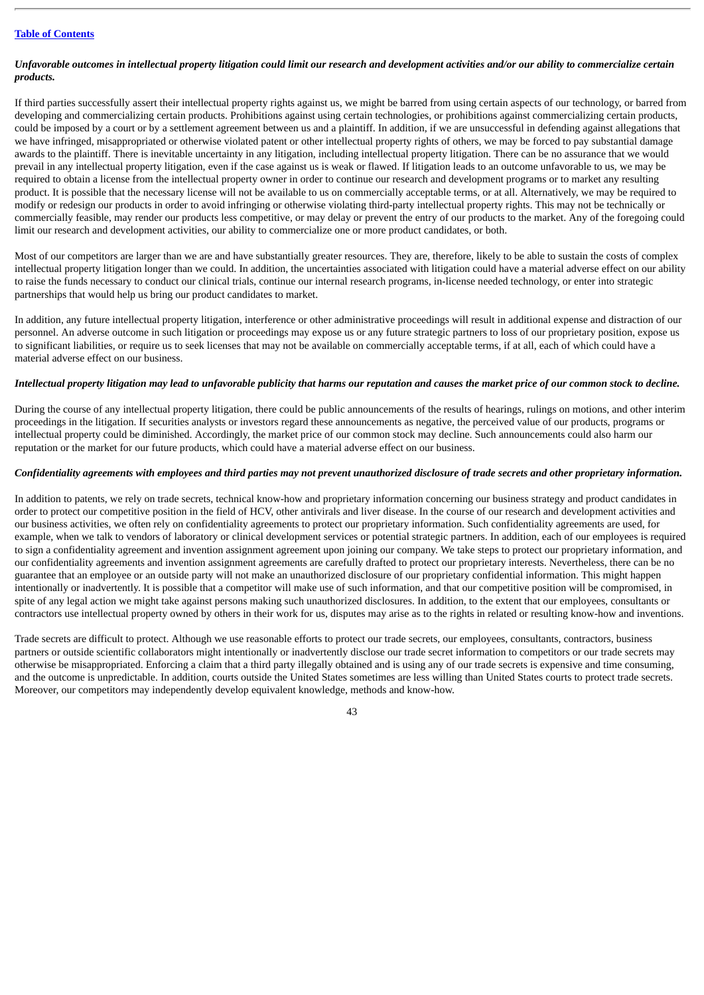#### Unfavorable outcomes in intellectual property litigation could limit our research and development activities and/or our ability to commercialize certain *products.*

If third parties successfully assert their intellectual property rights against us, we might be barred from using certain aspects of our technology, or barred from developing and commercializing certain products. Prohibitions against using certain technologies, or prohibitions against commercializing certain products, could be imposed by a court or by a settlement agreement between us and a plaintiff. In addition, if we are unsuccessful in defending against allegations that we have infringed, misappropriated or otherwise violated patent or other intellectual property rights of others, we may be forced to pay substantial damage awards to the plaintiff. There is inevitable uncertainty in any litigation, including intellectual property litigation. There can be no assurance that we would prevail in any intellectual property litigation, even if the case against us is weak or flawed. If litigation leads to an outcome unfavorable to us, we may be required to obtain a license from the intellectual property owner in order to continue our research and development programs or to market any resulting product. It is possible that the necessary license will not be available to us on commercially acceptable terms, or at all. Alternatively, we may be required to modify or redesign our products in order to avoid infringing or otherwise violating third-party intellectual property rights. This may not be technically or commercially feasible, may render our products less competitive, or may delay or prevent the entry of our products to the market. Any of the foregoing could limit our research and development activities, our ability to commercialize one or more product candidates, or both.

Most of our competitors are larger than we are and have substantially greater resources. They are, therefore, likely to be able to sustain the costs of complex intellectual property litigation longer than we could. In addition, the uncertainties associated with litigation could have a material adverse effect on our ability to raise the funds necessary to conduct our clinical trials, continue our internal research programs, in-license needed technology, or enter into strategic partnerships that would help us bring our product candidates to market.

In addition, any future intellectual property litigation, interference or other administrative proceedings will result in additional expense and distraction of our personnel. An adverse outcome in such litigation or proceedings may expose us or any future strategic partners to loss of our proprietary position, expose us to significant liabilities, or require us to seek licenses that may not be available on commercially acceptable terms, if at all, each of which could have a material adverse effect on our business.

#### Intellectual property litigation may lead to unfavorable publicity that harms our reputation and causes the market price of our common stock to decline.

During the course of any intellectual property litigation, there could be public announcements of the results of hearings, rulings on motions, and other interim proceedings in the litigation. If securities analysts or investors regard these announcements as negative, the perceived value of our products, programs or intellectual property could be diminished. Accordingly, the market price of our common stock may decline. Such announcements could also harm our reputation or the market for our future products, which could have a material adverse effect on our business.

#### Confidentiality agreements with employees and third parties may not prevent unauthorized disclosure of trade secrets and other proprietary information.

In addition to patents, we rely on trade secrets, technical know-how and proprietary information concerning our business strategy and product candidates in order to protect our competitive position in the field of HCV, other antivirals and liver disease. In the course of our research and development activities and our business activities, we often rely on confidentiality agreements to protect our proprietary information. Such confidentiality agreements are used, for example, when we talk to vendors of laboratory or clinical development services or potential strategic partners. In addition, each of our employees is required to sign a confidentiality agreement and invention assignment agreement upon joining our company. We take steps to protect our proprietary information, and our confidentiality agreements and invention assignment agreements are carefully drafted to protect our proprietary interests. Nevertheless, there can be no guarantee that an employee or an outside party will not make an unauthorized disclosure of our proprietary confidential information. This might happen intentionally or inadvertently. It is possible that a competitor will make use of such information, and that our competitive position will be compromised, in spite of any legal action we might take against persons making such unauthorized disclosures. In addition, to the extent that our employees, consultants or contractors use intellectual property owned by others in their work for us, disputes may arise as to the rights in related or resulting know-how and inventions.

Trade secrets are difficult to protect. Although we use reasonable efforts to protect our trade secrets, our employees, consultants, contractors, business partners or outside scientific collaborators might intentionally or inadvertently disclose our trade secret information to competitors or our trade secrets may otherwise be misappropriated. Enforcing a claim that a third party illegally obtained and is using any of our trade secrets is expensive and time consuming, and the outcome is unpredictable. In addition, courts outside the United States sometimes are less willing than United States courts to protect trade secrets. Moreover, our competitors may independently develop equivalent knowledge, methods and know-how.

 $\overline{A}$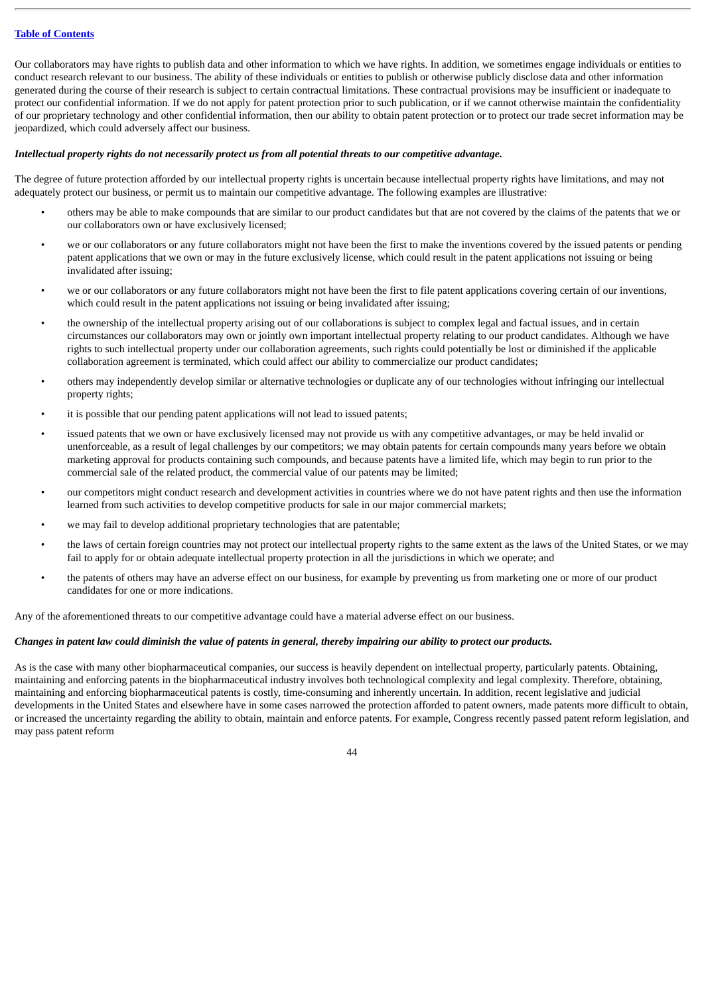Our collaborators may have rights to publish data and other information to which we have rights. In addition, we sometimes engage individuals or entities to conduct research relevant to our business. The ability of these individuals or entities to publish or otherwise publicly disclose data and other information generated during the course of their research is subject to certain contractual limitations. These contractual provisions may be insufficient or inadequate to protect our confidential information. If we do not apply for patent protection prior to such publication, or if we cannot otherwise maintain the confidentiality of our proprietary technology and other confidential information, then our ability to obtain patent protection or to protect our trade secret information may be jeopardized, which could adversely affect our business.

#### Intellectual property rights do not necessarily protect us from all potential threats to our competitive advantage.

The degree of future protection afforded by our intellectual property rights is uncertain because intellectual property rights have limitations, and may not adequately protect our business, or permit us to maintain our competitive advantage. The following examples are illustrative:

- others may be able to make compounds that are similar to our product candidates but that are not covered by the claims of the patents that we or our collaborators own or have exclusively licensed;
- we or our collaborators or any future collaborators might not have been the first to make the inventions covered by the issued patents or pending patent applications that we own or may in the future exclusively license, which could result in the patent applications not issuing or being invalidated after issuing;
- we or our collaborators or any future collaborators might not have been the first to file patent applications covering certain of our inventions, which could result in the patent applications not issuing or being invalidated after issuing;
- the ownership of the intellectual property arising out of our collaborations is subject to complex legal and factual issues, and in certain circumstances our collaborators may own or jointly own important intellectual property relating to our product candidates. Although we have rights to such intellectual property under our collaboration agreements, such rights could potentially be lost or diminished if the applicable collaboration agreement is terminated, which could affect our ability to commercialize our product candidates;
- others may independently develop similar or alternative technologies or duplicate any of our technologies without infringing our intellectual property rights;
- it is possible that our pending patent applications will not lead to issued patents;
- issued patents that we own or have exclusively licensed may not provide us with any competitive advantages, or may be held invalid or unenforceable, as a result of legal challenges by our competitors; we may obtain patents for certain compounds many years before we obtain marketing approval for products containing such compounds, and because patents have a limited life, which may begin to run prior to the commercial sale of the related product, the commercial value of our patents may be limited;
- our competitors might conduct research and development activities in countries where we do not have patent rights and then use the information learned from such activities to develop competitive products for sale in our major commercial markets;
- we may fail to develop additional proprietary technologies that are patentable;
- the laws of certain foreign countries may not protect our intellectual property rights to the same extent as the laws of the United States, or we may fail to apply for or obtain adequate intellectual property protection in all the jurisdictions in which we operate; and
- the patents of others may have an adverse effect on our business, for example by preventing us from marketing one or more of our product candidates for one or more indications.

Any of the aforementioned threats to our competitive advantage could have a material adverse effect on our business.

#### Changes in patent law could diminish the value of patents in general, thereby impairing our ability to protect our products.

As is the case with many other biopharmaceutical companies, our success is heavily dependent on intellectual property, particularly patents. Obtaining, maintaining and enforcing patents in the biopharmaceutical industry involves both technological complexity and legal complexity. Therefore, obtaining, maintaining and enforcing biopharmaceutical patents is costly, time-consuming and inherently uncertain. In addition, recent legislative and judicial developments in the United States and elsewhere have in some cases narrowed the protection afforded to patent owners, made patents more difficult to obtain, or increased the uncertainty regarding the ability to obtain, maintain and enforce patents. For example, Congress recently passed patent reform legislation, and may pass patent reform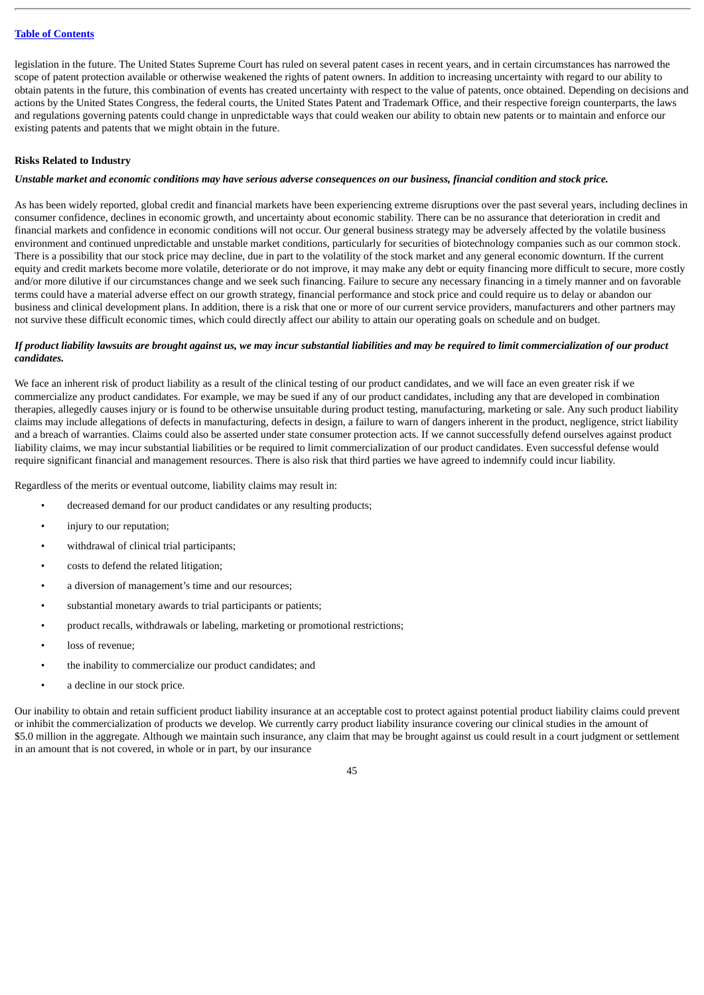legislation in the future. The United States Supreme Court has ruled on several patent cases in recent years, and in certain circumstances has narrowed the scope of patent protection available or otherwise weakened the rights of patent owners. In addition to increasing uncertainty with regard to our ability to obtain patents in the future, this combination of events has created uncertainty with respect to the value of patents, once obtained. Depending on decisions and actions by the United States Congress, the federal courts, the United States Patent and Trademark Office, and their respective foreign counterparts, the laws and regulations governing patents could change in unpredictable ways that could weaken our ability to obtain new patents or to maintain and enforce our existing patents and patents that we might obtain in the future.

#### **Risks Related to Industry**

#### Unstable market and economic conditions may have serious adverse consequences on our business, financial condition and stock price.

As has been widely reported, global credit and financial markets have been experiencing extreme disruptions over the past several years, including declines in consumer confidence, declines in economic growth, and uncertainty about economic stability. There can be no assurance that deterioration in credit and financial markets and confidence in economic conditions will not occur. Our general business strategy may be adversely affected by the volatile business environment and continued unpredictable and unstable market conditions, particularly for securities of biotechnology companies such as our common stock. There is a possibility that our stock price may decline, due in part to the volatility of the stock market and any general economic downturn. If the current equity and credit markets become more volatile, deteriorate or do not improve, it may make any debt or equity financing more difficult to secure, more costly and/or more dilutive if our circumstances change and we seek such financing. Failure to secure any necessary financing in a timely manner and on favorable terms could have a material adverse effect on our growth strategy, financial performance and stock price and could require us to delay or abandon our business and clinical development plans. In addition, there is a risk that one or more of our current service providers, manufacturers and other partners may not survive these difficult economic times, which could directly affect our ability to attain our operating goals on schedule and on budget.

#### If product liability lawsuits are brought against us, we may incur substantial liabilities and may be required to limit commercialization of our product *candidates.*

We face an inherent risk of product liability as a result of the clinical testing of our product candidates, and we will face an even greater risk if we commercialize any product candidates. For example, we may be sued if any of our product candidates, including any that are developed in combination therapies, allegedly causes injury or is found to be otherwise unsuitable during product testing, manufacturing, marketing or sale. Any such product liability claims may include allegations of defects in manufacturing, defects in design, a failure to warn of dangers inherent in the product, negligence, strict liability and a breach of warranties. Claims could also be asserted under state consumer protection acts. If we cannot successfully defend ourselves against product liability claims, we may incur substantial liabilities or be required to limit commercialization of our product candidates. Even successful defense would require significant financial and management resources. There is also risk that third parties we have agreed to indemnify could incur liability.

Regardless of the merits or eventual outcome, liability claims may result in:

- decreased demand for our product candidates or any resulting products;
- injury to our reputation;
- withdrawal of clinical trial participants;
- costs to defend the related litigation;
- a diversion of management's time and our resources;
- substantial monetary awards to trial participants or patients;
- product recalls, withdrawals or labeling, marketing or promotional restrictions;
- loss of revenue;
- the inability to commercialize our product candidates; and
- a decline in our stock price.

Our inability to obtain and retain sufficient product liability insurance at an acceptable cost to protect against potential product liability claims could prevent or inhibit the commercialization of products we develop. We currently carry product liability insurance covering our clinical studies in the amount of \$5.0 million in the aggregate. Although we maintain such insurance, any claim that may be brought against us could result in a court judgment or settlement in an amount that is not covered, in whole or in part, by our insurance

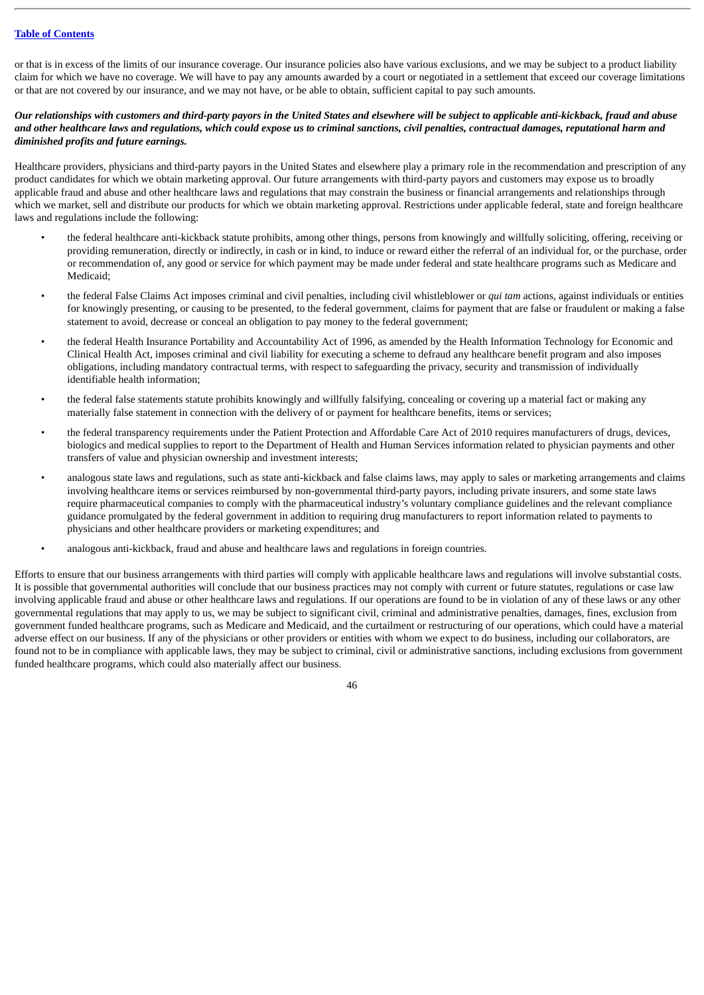or that is in excess of the limits of our insurance coverage. Our insurance policies also have various exclusions, and we may be subject to a product liability claim for which we have no coverage. We will have to pay any amounts awarded by a court or negotiated in a settlement that exceed our coverage limitations or that are not covered by our insurance, and we may not have, or be able to obtain, sufficient capital to pay such amounts.

#### Our relationships with customers and third-party payors in the United States and elsewhere will be subject to applicable anti-kickback, fraud and abuse and other healthcare laws and regulations, which could expose us to criminal sanctions, civil penalties, contractual damages, reputational harm and *diminished profits and future earnings.*

Healthcare providers, physicians and third-party payors in the United States and elsewhere play a primary role in the recommendation and prescription of any product candidates for which we obtain marketing approval. Our future arrangements with third-party payors and customers may expose us to broadly applicable fraud and abuse and other healthcare laws and regulations that may constrain the business or financial arrangements and relationships through which we market, sell and distribute our products for which we obtain marketing approval. Restrictions under applicable federal, state and foreign healthcare laws and regulations include the following:

- the federal healthcare anti-kickback statute prohibits, among other things, persons from knowingly and willfully soliciting, offering, receiving or providing remuneration, directly or indirectly, in cash or in kind, to induce or reward either the referral of an individual for, or the purchase, order or recommendation of, any good or service for which payment may be made under federal and state healthcare programs such as Medicare and Medicaid;
- the federal False Claims Act imposes criminal and civil penalties, including civil whistleblower or *qui tam* actions, against individuals or entities for knowingly presenting, or causing to be presented, to the federal government, claims for payment that are false or fraudulent or making a false statement to avoid, decrease or conceal an obligation to pay money to the federal government;
- the federal Health Insurance Portability and Accountability Act of 1996, as amended by the Health Information Technology for Economic and Clinical Health Act, imposes criminal and civil liability for executing a scheme to defraud any healthcare benefit program and also imposes obligations, including mandatory contractual terms, with respect to safeguarding the privacy, security and transmission of individually identifiable health information;
- the federal false statements statute prohibits knowingly and willfully falsifying, concealing or covering up a material fact or making any materially false statement in connection with the delivery of or payment for healthcare benefits, items or services;
- the federal transparency requirements under the Patient Protection and Affordable Care Act of 2010 requires manufacturers of drugs, devices, biologics and medical supplies to report to the Department of Health and Human Services information related to physician payments and other transfers of value and physician ownership and investment interests;
- analogous state laws and regulations, such as state anti-kickback and false claims laws, may apply to sales or marketing arrangements and claims involving healthcare items or services reimbursed by non-governmental third-party payors, including private insurers, and some state laws require pharmaceutical companies to comply with the pharmaceutical industry's voluntary compliance guidelines and the relevant compliance guidance promulgated by the federal government in addition to requiring drug manufacturers to report information related to payments to physicians and other healthcare providers or marketing expenditures; and
- analogous anti-kickback, fraud and abuse and healthcare laws and regulations in foreign countries.

Efforts to ensure that our business arrangements with third parties will comply with applicable healthcare laws and regulations will involve substantial costs. It is possible that governmental authorities will conclude that our business practices may not comply with current or future statutes, regulations or case law involving applicable fraud and abuse or other healthcare laws and regulations. If our operations are found to be in violation of any of these laws or any other governmental regulations that may apply to us, we may be subject to significant civil, criminal and administrative penalties, damages, fines, exclusion from government funded healthcare programs, such as Medicare and Medicaid, and the curtailment or restructuring of our operations, which could have a material adverse effect on our business. If any of the physicians or other providers or entities with whom we expect to do business, including our collaborators, are found not to be in compliance with applicable laws, they may be subject to criminal, civil or administrative sanctions, including exclusions from government funded healthcare programs, which could also materially affect our business.

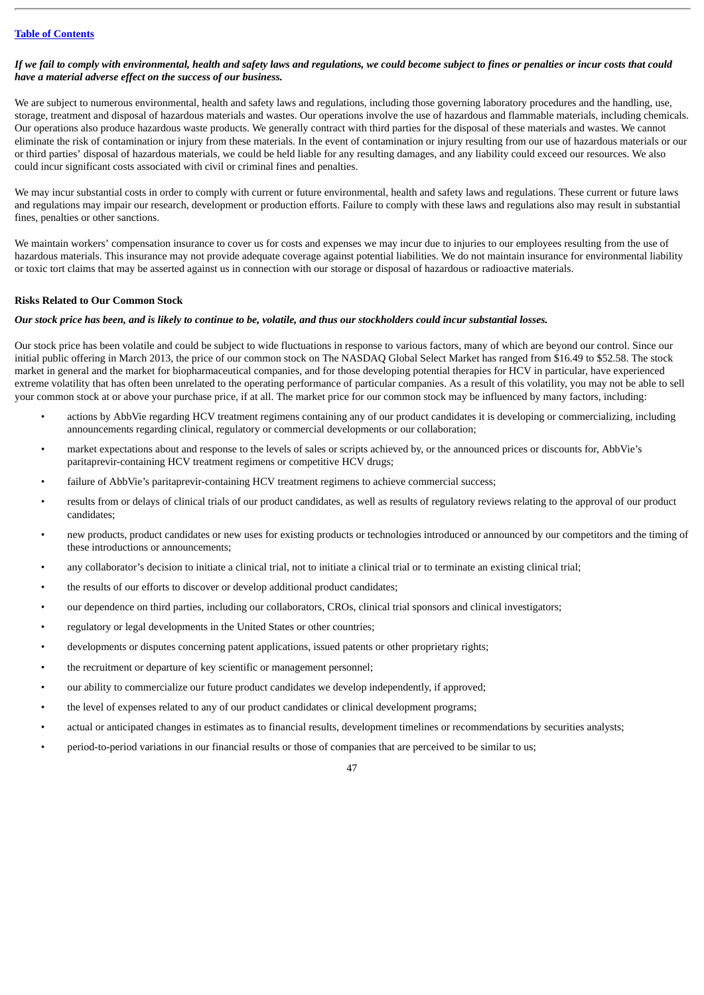#### If we fail to comply with environmental, health and safety laws and regulations, we could become subject to fines or penalties or incur costs that could *have a material adverse effect on the success of our business.*

We are subject to numerous environmental, health and safety laws and regulations, including those governing laboratory procedures and the handling, use, storage, treatment and disposal of hazardous materials and wastes. Our operations involve the use of hazardous and flammable materials, including chemicals. Our operations also produce hazardous waste products. We generally contract with third parties for the disposal of these materials and wastes. We cannot eliminate the risk of contamination or injury from these materials. In the event of contamination or injury resulting from our use of hazardous materials or our or third parties' disposal of hazardous materials, we could be held liable for any resulting damages, and any liability could exceed our resources. We also could incur significant costs associated with civil or criminal fines and penalties.

We may incur substantial costs in order to comply with current or future environmental, health and safety laws and regulations. These current or future laws and regulations may impair our research, development or production efforts. Failure to comply with these laws and regulations also may result in substantial fines, penalties or other sanctions.

We maintain workers' compensation insurance to cover us for costs and expenses we may incur due to injuries to our employees resulting from the use of hazardous materials. This insurance may not provide adequate coverage against potential liabilities. We do not maintain insurance for environmental liability or toxic tort claims that may be asserted against us in connection with our storage or disposal of hazardous or radioactive materials.

#### **Risks Related to Our Common Stock**

#### Our stock price has been, and is likely to continue to be, volatile, and thus our stockholders could incur substantial losses.

Our stock price has been volatile and could be subject to wide fluctuations in response to various factors, many of which are beyond our control. Since our initial public offering in March 2013, the price of our common stock on The NASDAQ Global Select Market has ranged from \$16.49 to \$52.58. The stock market in general and the market for biopharmaceutical companies, and for those developing potential therapies for HCV in particular, have experienced extreme volatility that has often been unrelated to the operating performance of particular companies. As a result of this volatility, you may not be able to sell your common stock at or above your purchase price, if at all. The market price for our common stock may be influenced by many factors, including:

- actions by AbbVie regarding HCV treatment regimens containing any of our product candidates it is developing or commercializing, including announcements regarding clinical, regulatory or commercial developments or our collaboration;
- market expectations about and response to the levels of sales or scripts achieved by, or the announced prices or discounts for, AbbVie's paritaprevir-containing HCV treatment regimens or competitive HCV drugs;
- failure of AbbVie's paritaprevir-containing HCV treatment regimens to achieve commercial success;
- results from or delays of clinical trials of our product candidates, as well as results of regulatory reviews relating to the approval of our product candidates;
- new products, product candidates or new uses for existing products or technologies introduced or announced by our competitors and the timing of these introductions or announcements;
- any collaborator's decision to initiate a clinical trial, not to initiate a clinical trial or to terminate an existing clinical trial;
- the results of our efforts to discover or develop additional product candidates;
- our dependence on third parties, including our collaborators, CROs, clinical trial sponsors and clinical investigators;
- regulatory or legal developments in the United States or other countries;
- developments or disputes concerning patent applications, issued patents or other proprietary rights;
- the recruitment or departure of key scientific or management personnel;
- our ability to commercialize our future product candidates we develop independently, if approved;
- the level of expenses related to any of our product candidates or clinical development programs;
- actual or anticipated changes in estimates as to financial results, development timelines or recommendations by securities analysts;
- period-to-period variations in our financial results or those of companies that are perceived to be similar to us;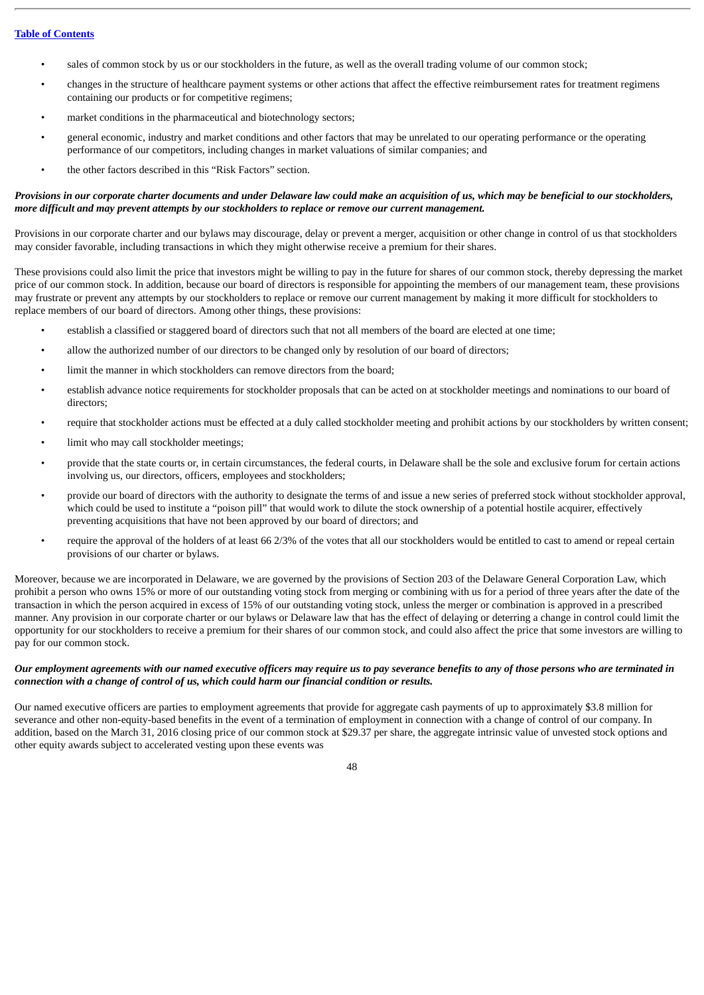- sales of common stock by us or our stockholders in the future, as well as the overall trading volume of our common stock;
- changes in the structure of healthcare payment systems or other actions that affect the effective reimbursement rates for treatment regimens containing our products or for competitive regimens;
- market conditions in the pharmaceutical and biotechnology sectors:
- general economic, industry and market conditions and other factors that may be unrelated to our operating performance or the operating performance of our competitors, including changes in market valuations of similar companies; and
- the other factors described in this "Risk Factors" section.

#### Provisions in our corporate charter documents and under Delaware law could make an acquisition of us, which may be beneficial to our stockholders, *more difficult and may prevent attempts by our stockholders to replace or remove our current management.*

Provisions in our corporate charter and our bylaws may discourage, delay or prevent a merger, acquisition or other change in control of us that stockholders may consider favorable, including transactions in which they might otherwise receive a premium for their shares.

These provisions could also limit the price that investors might be willing to pay in the future for shares of our common stock, thereby depressing the market price of our common stock. In addition, because our board of directors is responsible for appointing the members of our management team, these provisions may frustrate or prevent any attempts by our stockholders to replace or remove our current management by making it more difficult for stockholders to replace members of our board of directors. Among other things, these provisions:

- establish a classified or staggered board of directors such that not all members of the board are elected at one time;
- allow the authorized number of our directors to be changed only by resolution of our board of directors;
- limit the manner in which stockholders can remove directors from the board;
- establish advance notice requirements for stockholder proposals that can be acted on at stockholder meetings and nominations to our board of directors;
- require that stockholder actions must be effected at a duly called stockholder meeting and prohibit actions by our stockholders by written consent;
- limit who may call stockholder meetings;
- provide that the state courts or, in certain circumstances, the federal courts, in Delaware shall be the sole and exclusive forum for certain actions involving us, our directors, officers, employees and stockholders;
- provide our board of directors with the authority to designate the terms of and issue a new series of preferred stock without stockholder approval, which could be used to institute a "poison pill" that would work to dilute the stock ownership of a potential hostile acquirer, effectively preventing acquisitions that have not been approved by our board of directors; and
- require the approval of the holders of at least 66 2/3% of the votes that all our stockholders would be entitled to cast to amend or repeal certain provisions of our charter or bylaws.

Moreover, because we are incorporated in Delaware, we are governed by the provisions of Section 203 of the Delaware General Corporation Law, which prohibit a person who owns 15% or more of our outstanding voting stock from merging or combining with us for a period of three years after the date of the transaction in which the person acquired in excess of 15% of our outstanding voting stock, unless the merger or combination is approved in a prescribed manner. Any provision in our corporate charter or our bylaws or Delaware law that has the effect of delaying or deterring a change in control could limit the opportunity for our stockholders to receive a premium for their shares of our common stock, and could also affect the price that some investors are willing to pay for our common stock.

## Our employment agreements with our named executive officers may require us to pay severance benefits to any of those persons who are terminated in *connection with a change of control of us, which could harm our financial condition or results.*

Our named executive officers are parties to employment agreements that provide for aggregate cash payments of up to approximately \$3.8 million for severance and other non-equity-based benefits in the event of a termination of employment in connection with a change of control of our company. In addition, based on the March 31, 2016 closing price of our common stock at \$29.37 per share, the aggregate intrinsic value of unvested stock options and other equity awards subject to accelerated vesting upon these events was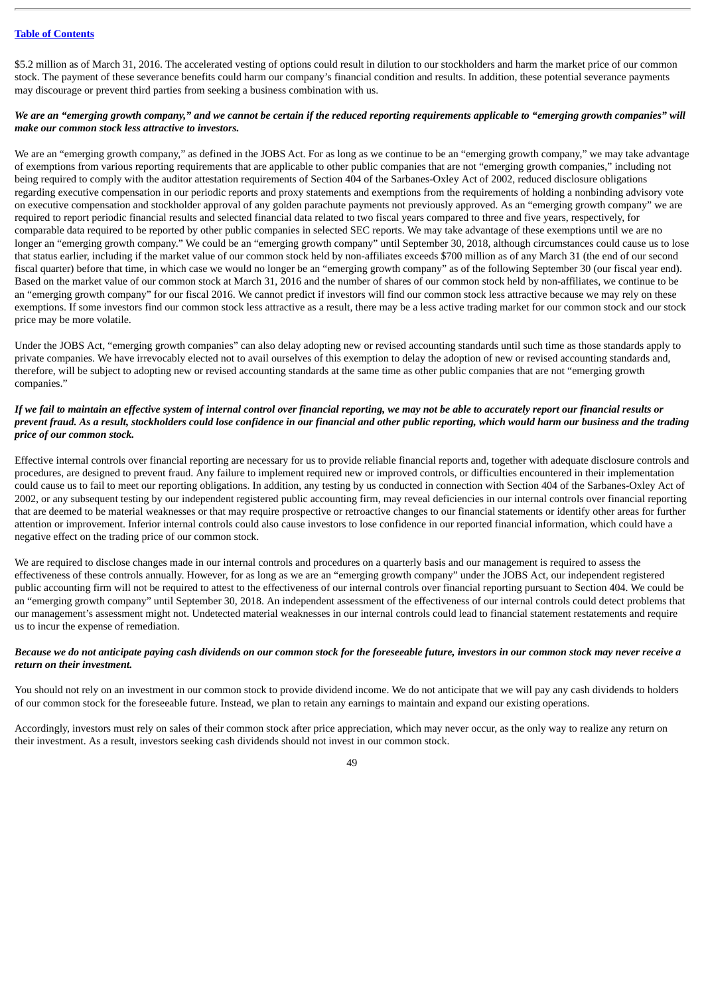\$5.2 million as of March 31, 2016. The accelerated vesting of options could result in dilution to our stockholders and harm the market price of our common stock. The payment of these severance benefits could harm our company's financial condition and results. In addition, these potential severance payments may discourage or prevent third parties from seeking a business combination with us.

#### We are an "emerging growth company," and we cannot be certain if the reduced reporting requirements applicable to "emerging growth companies" will *make our common stock less attractive to investors.*

We are an "emerging growth company," as defined in the JOBS Act. For as long as we continue to be an "emerging growth company," we may take advantage of exemptions from various reporting requirements that are applicable to other public companies that are not "emerging growth companies," including not being required to comply with the auditor attestation requirements of Section 404 of the Sarbanes-Oxley Act of 2002, reduced disclosure obligations regarding executive compensation in our periodic reports and proxy statements and exemptions from the requirements of holding a nonbinding advisory vote on executive compensation and stockholder approval of any golden parachute payments not previously approved. As an "emerging growth company" we are required to report periodic financial results and selected financial data related to two fiscal years compared to three and five years, respectively, for comparable data required to be reported by other public companies in selected SEC reports. We may take advantage of these exemptions until we are no longer an "emerging growth company." We could be an "emerging growth company" until September 30, 2018, although circumstances could cause us to lose that status earlier, including if the market value of our common stock held by non-affiliates exceeds \$700 million as of any March 31 (the end of our second fiscal quarter) before that time, in which case we would no longer be an "emerging growth company" as of the following September 30 (our fiscal year end). Based on the market value of our common stock at March 31, 2016 and the number of shares of our common stock held by non-affiliates, we continue to be an "emerging growth company" for our fiscal 2016. We cannot predict if investors will find our common stock less attractive because we may rely on these exemptions. If some investors find our common stock less attractive as a result, there may be a less active trading market for our common stock and our stock price may be more volatile.

Under the JOBS Act, "emerging growth companies" can also delay adopting new or revised accounting standards until such time as those standards apply to private companies. We have irrevocably elected not to avail ourselves of this exemption to delay the adoption of new or revised accounting standards and, therefore, will be subject to adopting new or revised accounting standards at the same time as other public companies that are not "emerging growth companies."

## If we fail to maintain an effective system of internal control over financial reporting, we may not be able to accurately report our financial results or prevent fraud. As a result, stockholders could lose confidence in our financial and other public reportina, which would harm our business and the tradina *price of our common stock.*

Effective internal controls over financial reporting are necessary for us to provide reliable financial reports and, together with adequate disclosure controls and procedures, are designed to prevent fraud. Any failure to implement required new or improved controls, or difficulties encountered in their implementation could cause us to fail to meet our reporting obligations. In addition, any testing by us conducted in connection with Section 404 of the Sarbanes-Oxley Act of 2002, or any subsequent testing by our independent registered public accounting firm, may reveal deficiencies in our internal controls over financial reporting that are deemed to be material weaknesses or that may require prospective or retroactive changes to our financial statements or identify other areas for further attention or improvement. Inferior internal controls could also cause investors to lose confidence in our reported financial information, which could have a negative effect on the trading price of our common stock.

We are required to disclose changes made in our internal controls and procedures on a quarterly basis and our management is required to assess the effectiveness of these controls annually. However, for as long as we are an "emerging growth company" under the JOBS Act, our independent registered public accounting firm will not be required to attest to the effectiveness of our internal controls over financial reporting pursuant to Section 404. We could be an "emerging growth company" until September 30, 2018. An independent assessment of the effectiveness of our internal controls could detect problems that our management's assessment might not. Undetected material weaknesses in our internal controls could lead to financial statement restatements and require us to incur the expense of remediation.

#### Because we do not anticipate paying cash dividends on our common stock for the foreseeable future, investors in our common stock may never receive a *return on their investment.*

You should not rely on an investment in our common stock to provide dividend income. We do not anticipate that we will pay any cash dividends to holders of our common stock for the foreseeable future. Instead, we plan to retain any earnings to maintain and expand our existing operations.

Accordingly, investors must rely on sales of their common stock after price appreciation, which may never occur, as the only way to realize any return on their investment. As a result, investors seeking cash dividends should not invest in our common stock.

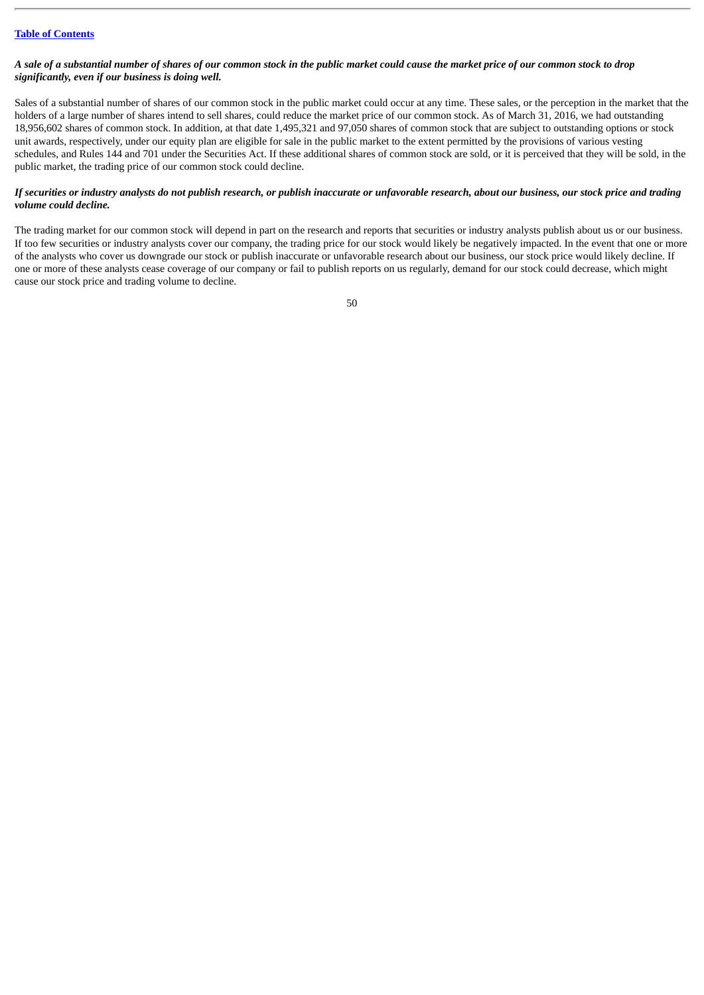## A sale of a substantial number of shares of our common stock in the public market could cause the market price of our common stock to drop *significantly, even if our business is doing well.*

Sales of a substantial number of shares of our common stock in the public market could occur at any time. These sales, or the perception in the market that the holders of a large number of shares intend to sell shares, could reduce the market price of our common stock. As of March 31, 2016, we had outstanding 18,956,602 shares of common stock. In addition, at that date 1,495,321 and 97,050 shares of common stock that are subject to outstanding options or stock unit awards, respectively, under our equity plan are eligible for sale in the public market to the extent permitted by the provisions of various vesting schedules, and Rules 144 and 701 under the Securities Act. If these additional shares of common stock are sold, or it is perceived that they will be sold, in the public market, the trading price of our common stock could decline.

## If securities or industry analysts do not publish research, or publish inaccurate or unfavorable research, about our business, our stock price and trading *volume could decline.*

The trading market for our common stock will depend in part on the research and reports that securities or industry analysts publish about us or our business. If too few securities or industry analysts cover our company, the trading price for our stock would likely be negatively impacted. In the event that one or more of the analysts who cover us downgrade our stock or publish inaccurate or unfavorable research about our business, our stock price would likely decline. If one or more of these analysts cease coverage of our company or fail to publish reports on us regularly, demand for our stock could decrease, which might cause our stock price and trading volume to decline.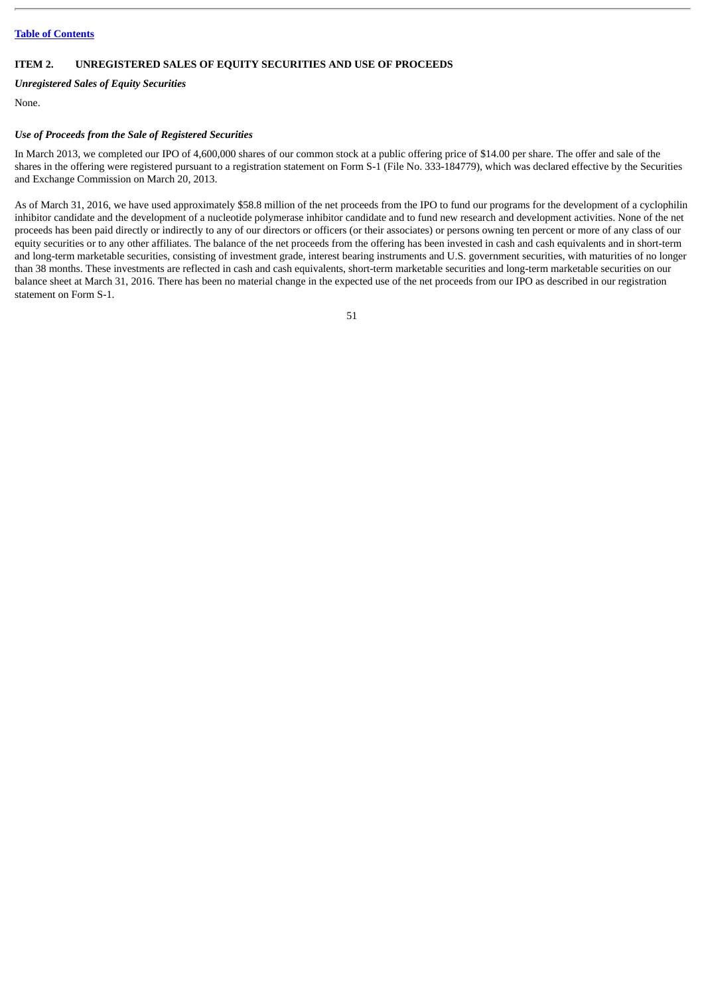## <span id="page-50-0"></span>**ITEM 2. UNREGISTERED SALES OF EQUITY SECURITIES AND USE OF PROCEEDS**

#### *Unregistered Sales of Equity Securities*

None.

#### *Use of Proceeds from the Sale of Registered Securities*

In March 2013, we completed our IPO of 4,600,000 shares of our common stock at a public offering price of \$14.00 per share. The offer and sale of the shares in the offering were registered pursuant to a registration statement on Form S-1 (File No. 333-184779), which was declared effective by the Securities and Exchange Commission on March 20, 2013.

As of March 31, 2016, we have used approximately \$58.8 million of the net proceeds from the IPO to fund our programs for the development of a cyclophilin inhibitor candidate and the development of a nucleotide polymerase inhibitor candidate and to fund new research and development activities. None of the net proceeds has been paid directly or indirectly to any of our directors or officers (or their associates) or persons owning ten percent or more of any class of our equity securities or to any other affiliates. The balance of the net proceeds from the offering has been invested in cash and cash equivalents and in short-term and long-term marketable securities, consisting of investment grade, interest bearing instruments and U.S. government securities, with maturities of no longer than 38 months. These investments are reflected in cash and cash equivalents, short-term marketable securities and long-term marketable securities on our balance sheet at March 31, 2016. There has been no material change in the expected use of the net proceeds from our IPO as described in our registration statement on Form S-1.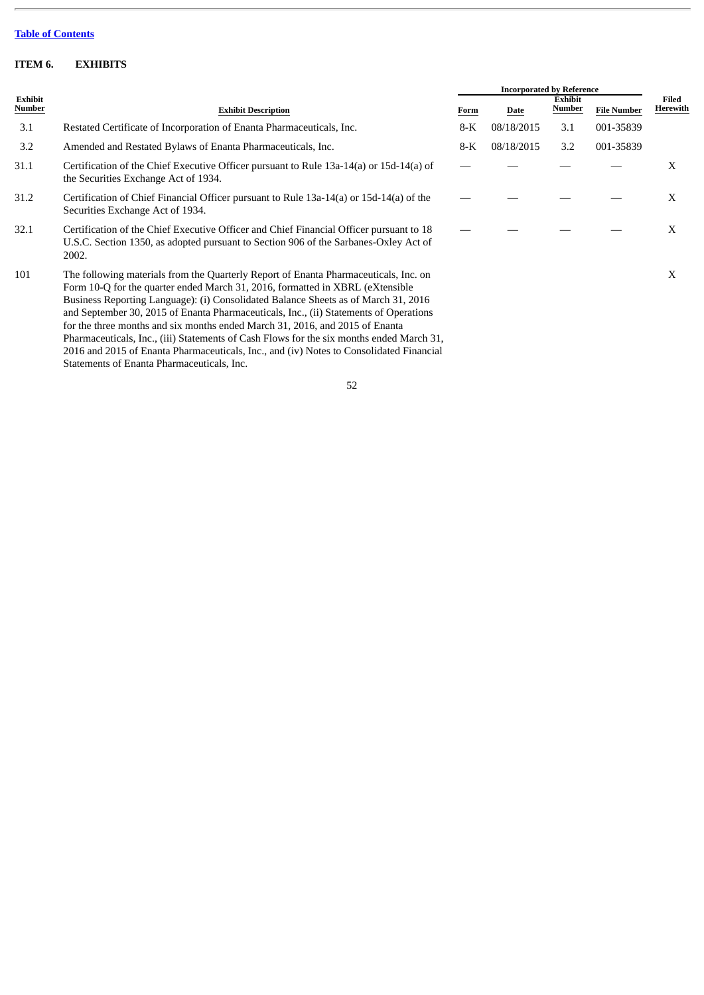## <span id="page-51-0"></span>**ITEM 6. EXHIBITS**

|                          |                                                                                                                                                                                                                                                                                                                                                                                                                                      |       | <b>Incorporated by Reference</b> |                          |                    |                   |
|--------------------------|--------------------------------------------------------------------------------------------------------------------------------------------------------------------------------------------------------------------------------------------------------------------------------------------------------------------------------------------------------------------------------------------------------------------------------------|-------|----------------------------------|--------------------------|--------------------|-------------------|
| <b>Exhibit</b><br>Number | <b>Exhibit Description</b>                                                                                                                                                                                                                                                                                                                                                                                                           | Form  | Date                             | <b>Exhibit</b><br>Number | <b>File Number</b> | Filed<br>Herewith |
| 3.1                      | Restated Certificate of Incorporation of Enanta Pharmaceuticals, Inc.                                                                                                                                                                                                                                                                                                                                                                | $8-K$ | 08/18/2015                       | 3.1                      | 001-35839          |                   |
| 3.2                      | Amended and Restated Bylaws of Enanta Pharmaceuticals, Inc.                                                                                                                                                                                                                                                                                                                                                                          | 8-K   | 08/18/2015                       | 3.2                      | 001-35839          |                   |
| 31.1                     | Certification of the Chief Executive Officer pursuant to Rule 13a-14(a) or 15d-14(a) of<br>the Securities Exchange Act of 1934.                                                                                                                                                                                                                                                                                                      |       |                                  |                          |                    | X                 |
| 31.2                     | Certification of Chief Financial Officer pursuant to Rule 13a-14(a) or 15d-14(a) of the<br>Securities Exchange Act of 1934.                                                                                                                                                                                                                                                                                                          |       |                                  |                          |                    | X                 |
| 32.1                     | Certification of the Chief Executive Officer and Chief Financial Officer pursuant to 18<br>U.S.C. Section 1350, as adopted pursuant to Section 906 of the Sarbanes-Oxley Act of<br>2002.                                                                                                                                                                                                                                             |       |                                  |                          |                    | X                 |
| 101                      | The following materials from the Quarterly Report of Enanta Pharmaceuticals, Inc. on<br>Form 10-Q for the quarter ended March 31, 2016, formatted in XBRL (eXtensible<br>Business Reporting Language): (i) Consolidated Balance Sheets as of March 31, 2016<br>and September 30, 2015 of Enanta Pharmaceuticals, Inc., (ii) Statements of Operations<br>for the three months and six months ended March 31, 2016, and 2015 of Enanta |       |                                  |                          |                    | X                 |

52

Pharmaceuticals, Inc., (iii) Statements of Cash Flows for the six months ended March 31, 2016 and 2015 of Enanta Pharmaceuticals, Inc., and (iv) Notes to Consolidated Financial

Statements of Enanta Pharmaceuticals, Inc.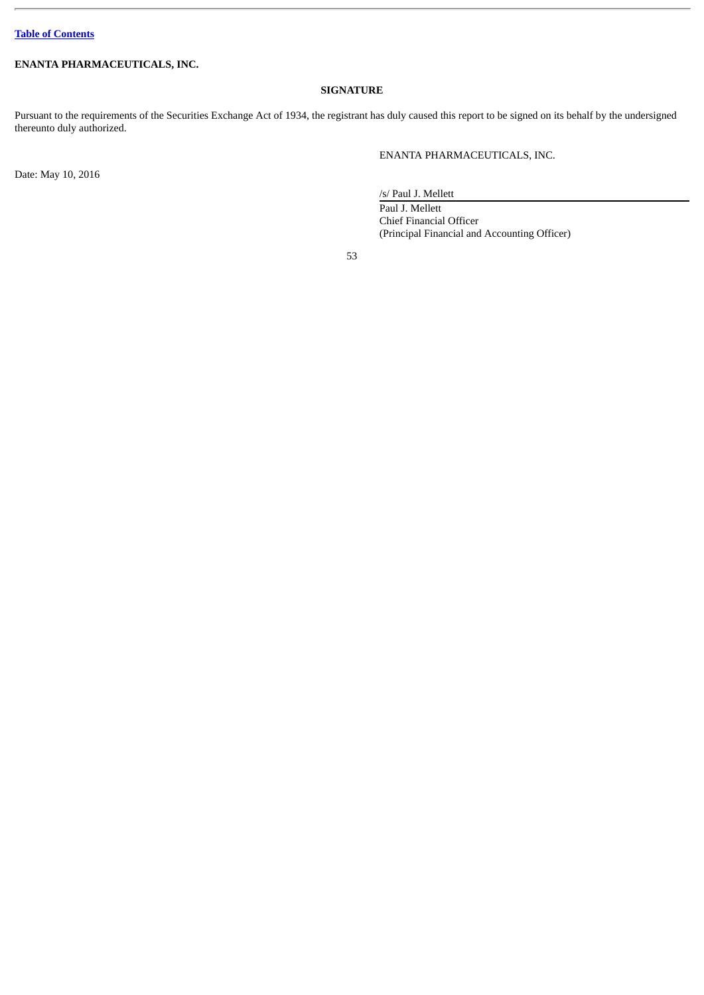## <span id="page-52-0"></span>**ENANTA PHARMACEUTICALS, INC.**

## **SIGNATURE**

Pursuant to the requirements of the Securities Exchange Act of 1934, the registrant has duly caused this report to be signed on its behalf by the undersigned thereunto duly authorized.

Date: May 10, 2016

ENANTA PHARMACEUTICALS, INC.

/s/ Paul J. Mellett

Paul J. Mellett Chief Financial Officer (Principal Financial and Accounting Officer)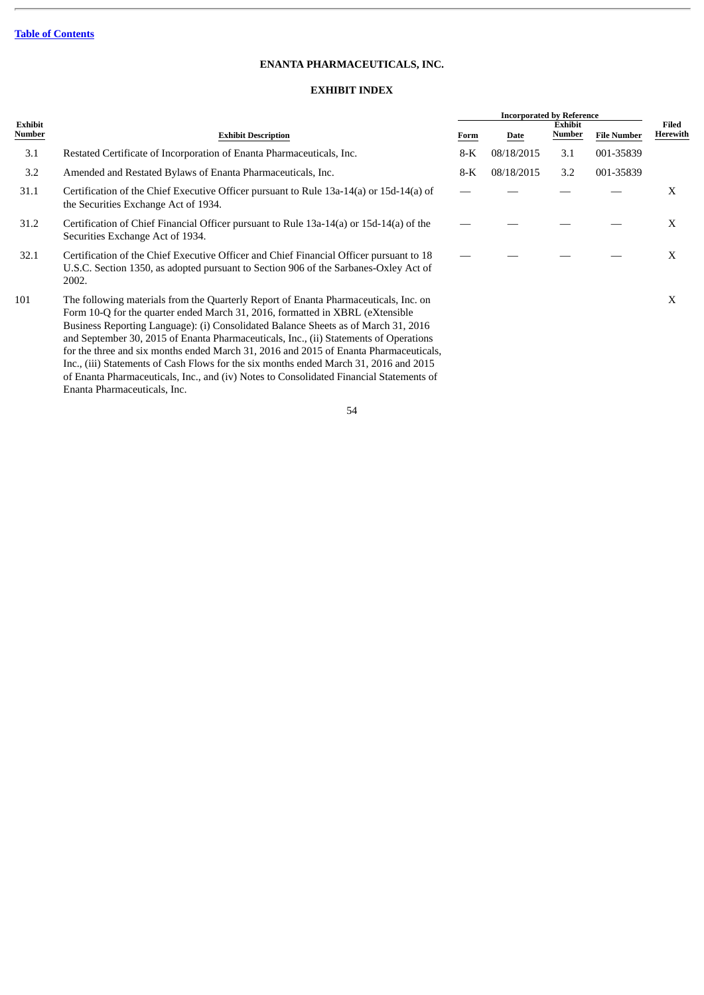## **ENANTA PHARMACEUTICALS, INC.**

## **EXHIBIT INDEX**

<span id="page-53-0"></span>

|                   |                                                                                                                                                                                                                                                                                                                                                                                                                                                                                                                                        | <b>Incorporated by Reference</b> |            |                          |                    |                   |
|-------------------|----------------------------------------------------------------------------------------------------------------------------------------------------------------------------------------------------------------------------------------------------------------------------------------------------------------------------------------------------------------------------------------------------------------------------------------------------------------------------------------------------------------------------------------|----------------------------------|------------|--------------------------|--------------------|-------------------|
| Exhibit<br>Number | <b>Exhibit Description</b>                                                                                                                                                                                                                                                                                                                                                                                                                                                                                                             | Form                             | Date       | <b>Exhibit</b><br>Number | <b>File Number</b> | Filed<br>Herewith |
| 3.1               | Restated Certificate of Incorporation of Enanta Pharmaceuticals, Inc.                                                                                                                                                                                                                                                                                                                                                                                                                                                                  | $8-K$                            | 08/18/2015 | 3.1                      | 001-35839          |                   |
| 3.2               | Amended and Restated Bylaws of Enanta Pharmaceuticals, Inc.                                                                                                                                                                                                                                                                                                                                                                                                                                                                            | 8-K                              | 08/18/2015 | 3.2                      | 001-35839          |                   |
| 31.1              | Certification of the Chief Executive Officer pursuant to Rule 13a-14(a) or 15d-14(a) of<br>the Securities Exchange Act of 1934.                                                                                                                                                                                                                                                                                                                                                                                                        |                                  |            |                          |                    | X                 |
| 31.2              | Certification of Chief Financial Officer pursuant to Rule 13a-14(a) or 15d-14(a) of the<br>Securities Exchange Act of 1934.                                                                                                                                                                                                                                                                                                                                                                                                            |                                  |            |                          |                    | $\mathbf{x}$      |
| 32.1              | Certification of the Chief Executive Officer and Chief Financial Officer pursuant to 18<br>U.S.C. Section 1350, as adopted pursuant to Section 906 of the Sarbanes-Oxley Act of<br>2002.                                                                                                                                                                                                                                                                                                                                               |                                  |            |                          |                    | X                 |
| 101               | The following materials from the Quarterly Report of Enanta Pharmaceuticals, Inc. on<br>Form 10-Q for the quarter ended March 31, 2016, formatted in XBRL (eXtensible<br>Business Reporting Language): (i) Consolidated Balance Sheets as of March 31, 2016<br>and September 30, 2015 of Enanta Pharmaceuticals, Inc., (ii) Statements of Operations<br>for the three and six months ended March 31, 2016 and 2015 of Enanta Pharmaceuticals,<br>Inc., (iii) Statements of Cash Flows for the six months ended March 31, 2016 and 2015 |                                  |            |                          |                    | X                 |

of Enanta Pharmaceuticals, Inc., and (iv) Notes to Consolidated Financial Statements of

Enanta Pharmaceuticals, Inc.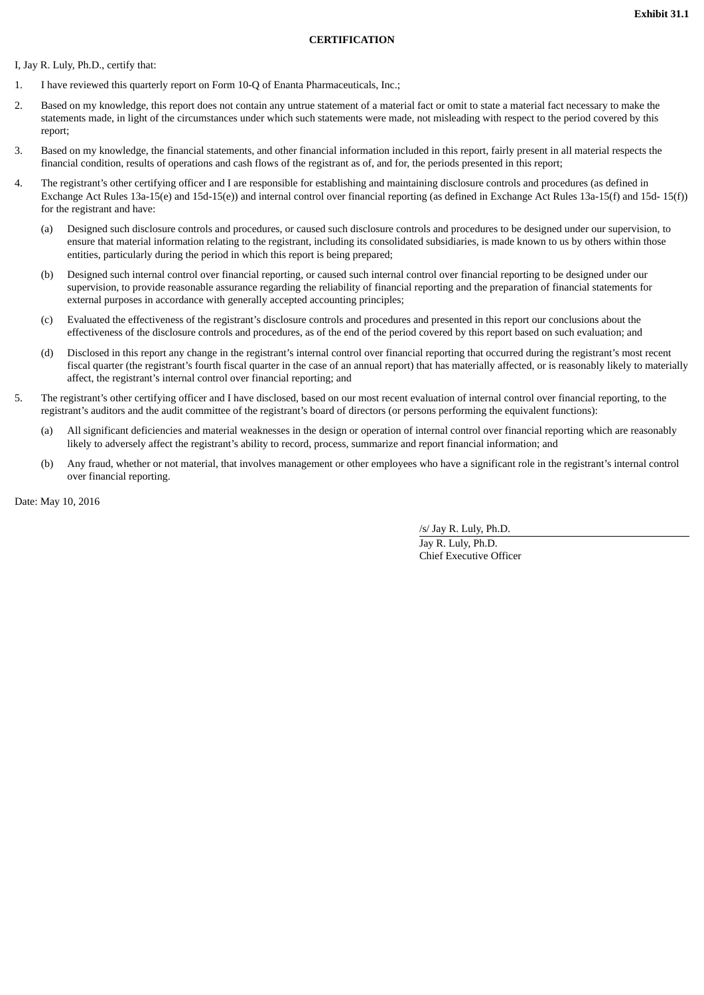#### **CERTIFICATION**

I, Jay R. Luly, Ph.D., certify that:

- 1. I have reviewed this quarterly report on Form 10-Q of Enanta Pharmaceuticals, Inc.;
- 2. Based on my knowledge, this report does not contain any untrue statement of a material fact or omit to state a material fact necessary to make the statements made, in light of the circumstances under which such statements were made, not misleading with respect to the period covered by this report;
- 3. Based on my knowledge, the financial statements, and other financial information included in this report, fairly present in all material respects the financial condition, results of operations and cash flows of the registrant as of, and for, the periods presented in this report;
- 4. The registrant's other certifying officer and I are responsible for establishing and maintaining disclosure controls and procedures (as defined in Exchange Act Rules 13a-15(e) and 15d-15(e)) and internal control over financial reporting (as defined in Exchange Act Rules 13a-15(f) and 15d- 15(f)) for the registrant and have:
	- (a) Designed such disclosure controls and procedures, or caused such disclosure controls and procedures to be designed under our supervision, to ensure that material information relating to the registrant, including its consolidated subsidiaries, is made known to us by others within those entities, particularly during the period in which this report is being prepared;
	- (b) Designed such internal control over financial reporting, or caused such internal control over financial reporting to be designed under our supervision, to provide reasonable assurance regarding the reliability of financial reporting and the preparation of financial statements for external purposes in accordance with generally accepted accounting principles;
	- (c) Evaluated the effectiveness of the registrant's disclosure controls and procedures and presented in this report our conclusions about the effectiveness of the disclosure controls and procedures, as of the end of the period covered by this report based on such evaluation; and
	- (d) Disclosed in this report any change in the registrant's internal control over financial reporting that occurred during the registrant's most recent fiscal quarter (the registrant's fourth fiscal quarter in the case of an annual report) that has materially affected, or is reasonably likely to materially affect, the registrant's internal control over financial reporting; and
- 5. The registrant's other certifying officer and I have disclosed, based on our most recent evaluation of internal control over financial reporting, to the registrant's auditors and the audit committee of the registrant's board of directors (or persons performing the equivalent functions):
	- (a) All significant deficiencies and material weaknesses in the design or operation of internal control over financial reporting which are reasonably likely to adversely affect the registrant's ability to record, process, summarize and report financial information; and
	- (b) Any fraud, whether or not material, that involves management or other employees who have a significant role in the registrant's internal control over financial reporting.

Date: May 10, 2016

/s/ Jay R. Luly, Ph.D.

Jay R. Luly, Ph.D. Chief Executive Officer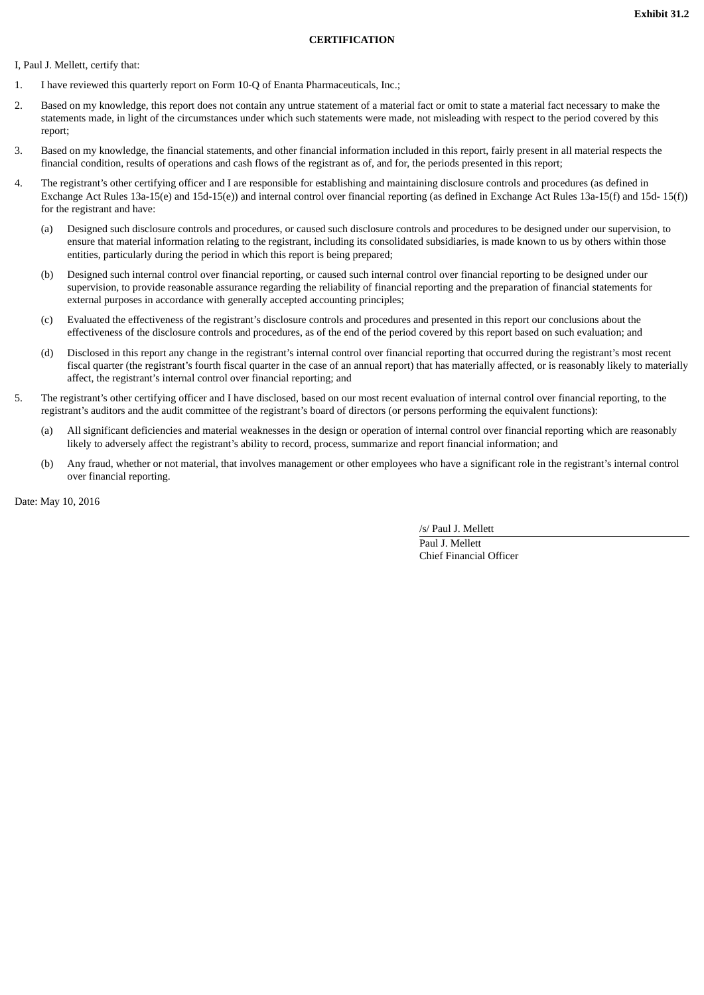## **CERTIFICATION**

I, Paul J. Mellett, certify that:

- 1. I have reviewed this quarterly report on Form 10-Q of Enanta Pharmaceuticals, Inc.;
- 2. Based on my knowledge, this report does not contain any untrue statement of a material fact or omit to state a material fact necessary to make the statements made, in light of the circumstances under which such statements were made, not misleading with respect to the period covered by this report;
- 3. Based on my knowledge, the financial statements, and other financial information included in this report, fairly present in all material respects the financial condition, results of operations and cash flows of the registrant as of, and for, the periods presented in this report;
- 4. The registrant's other certifying officer and I are responsible for establishing and maintaining disclosure controls and procedures (as defined in Exchange Act Rules 13a-15(e) and 15d-15(e)) and internal control over financial reporting (as defined in Exchange Act Rules 13a-15(f) and 15d- 15(f)) for the registrant and have:
	- (a) Designed such disclosure controls and procedures, or caused such disclosure controls and procedures to be designed under our supervision, to ensure that material information relating to the registrant, including its consolidated subsidiaries, is made known to us by others within those entities, particularly during the period in which this report is being prepared;
	- (b) Designed such internal control over financial reporting, or caused such internal control over financial reporting to be designed under our supervision, to provide reasonable assurance regarding the reliability of financial reporting and the preparation of financial statements for external purposes in accordance with generally accepted accounting principles;
	- (c) Evaluated the effectiveness of the registrant's disclosure controls and procedures and presented in this report our conclusions about the effectiveness of the disclosure controls and procedures, as of the end of the period covered by this report based on such evaluation; and
	- (d) Disclosed in this report any change in the registrant's internal control over financial reporting that occurred during the registrant's most recent fiscal quarter (the registrant's fourth fiscal quarter in the case of an annual report) that has materially affected, or is reasonably likely to materially affect, the registrant's internal control over financial reporting; and
- 5. The registrant's other certifying officer and I have disclosed, based on our most recent evaluation of internal control over financial reporting, to the registrant's auditors and the audit committee of the registrant's board of directors (or persons performing the equivalent functions):
	- (a) All significant deficiencies and material weaknesses in the design or operation of internal control over financial reporting which are reasonably likely to adversely affect the registrant's ability to record, process, summarize and report financial information; and
	- (b) Any fraud, whether or not material, that involves management or other employees who have a significant role in the registrant's internal control over financial reporting.

Date: May 10, 2016

/s/ Paul J. Mellett

Paul J. Mellett Chief Financial Officer